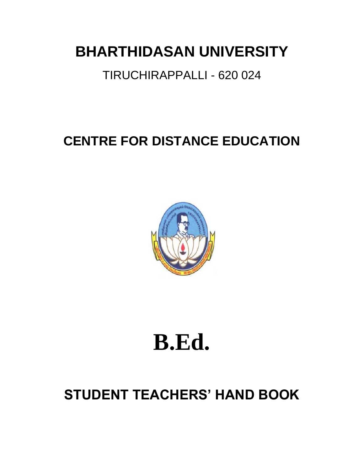# **BHARTHIDASAN UNIVERSITY**

# TIRUCHIRAPPALLI - 620 024

# **CENTRE FOR DISTANCE EDUCATION**



# **B.Ed.**

# **STUDENT TEACHERS' HAND BOOK**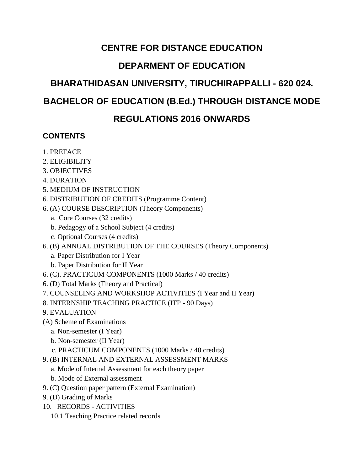## **CENTRE FOR DISTANCE EDUCATION**

## **DEPARMENT OF EDUCATION**

# **BHARATHIDASAN UNIVERSITY, TIRUCHIRAPPALLI - 620 024.**

## **BACHELOR OF EDUCATION (B.Ed.) THROUGH DISTANCE MODE**

## **REGULATIONS 2016 ONWARDS**

### **CONTENTS**

- 1. PREFACE
- 2. ELIGIBILITY
- 3. OBJECTIVES
- 4. DURATION
- 5. MEDIUM OF INSTRUCTION
- 6. DISTRIBUTION OF CREDITS (Programme Content)
- 6. (A) COURSE DESCRIPTION (Theory Components)
	- a. Core Courses (32 credits)
	- b. Pedagogy of a School Subject (4 credits)
	- c. Optional Courses (4 credits)
- 6. (B) ANNUAL DISTRIBUTION OF THE COURSES (Theory Components)
	- a. Paper Distribution for I Year
	- b. Paper Distribution for II Year
- 6. (C). PRACTICUM COMPONENTS (1000 Marks / 40 credits)
- 6. (D) Total Marks (Theory and Practical)
- 7. COUNSELING AND WORKSHOP ACTIVITIES (I Year and II Year)
- 8. INTERNSHIP TEACHING PRACTICE (ITP 90 Days)
- 9. EVALUATION
- (A) Scheme of Examinations
	- a. Non-semester (I Year)
	- b. Non-semester (II Year)
	- c. PRACTICUM COMPONENTS (1000 Marks / 40 credits)
- 9. (B) INTERNAL AND EXTERNAL ASSESSMENT MARKS
	- a. Mode of Internal Assessment for each theory paper
	- b. Mode of External assessment
- 9. (C) Question paper pattern (External Examination)
- 9. (D) Grading of Marks
- 10. RECORDS ACTIVITIES
	- 10.1 Teaching Practice related records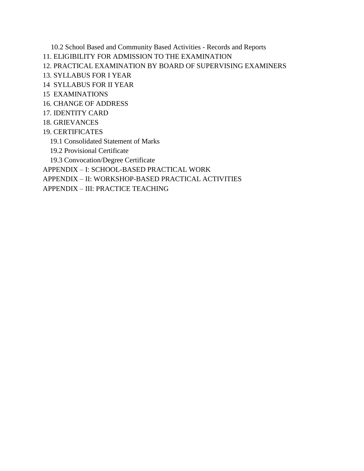10.2 School Based and Community Based Activities - Records and Reports

- 11. ELIGIBILITY FOR ADMISSION TO THE EXAMINATION
- 12. PRACTICAL EXAMINATION BY BOARD OF SUPERVISING EXAMINERS
- 13. SYLLABUS FOR I YEAR
- 14 SYLLABUS FOR II YEAR
- 15 EXAMINATIONS
- 16. CHANGE OF ADDRESS
- 17. IDENTITY CARD
- 18. GRIEVANCES
- 19. CERTIFICATES
	- 19.1 Consolidated Statement of Marks
	- 19.2 Provisional Certificate

19.3 Convocation/Degree Certificate

APPENDIX – I: SCHOOL-BASED PRACTICAL WORK

APPENDIX – II: WORKSHOP-BASED PRACTICAL ACTIVITIES

APPENDIX – III: PRACTICE TEACHING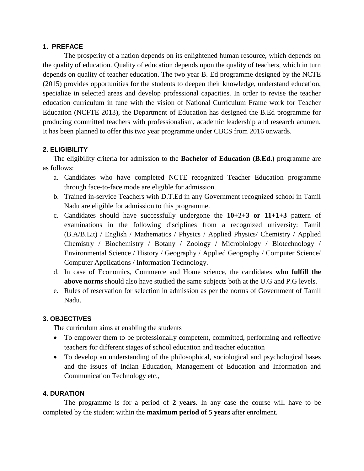#### **1. PREFACE**

The prosperity of a nation depends on its enlightened human resource, which depends on the quality of education. Quality of education depends upon the quality of teachers, which in turn depends on quality of teacher education. The two year B. Ed programme designed by the NCTE (2015) provides opportunities for the students to deepen their knowledge, understand education, specialize in selected areas and develop professional capacities. In order to revise the teacher education curriculum in tune with the vision of National Curriculum Frame work for Teacher Education (NCFTE 2013), the Department of Education has designed the B.Ed programme for producing committed teachers with professionalism, academic leadership and research acumen. It has been planned to offer this two year programme under CBCS from 2016 onwards.

#### **2. ELIGIBILITY**

The eligibility criteria for admission to the **Bachelor of Education (B.Ed.)** programme are as follows:

- a. Candidates who have completed NCTE recognized Teacher Education programme through face-to-face mode are eligible for admission.
- b. Trained in-service Teachers with D.T.Ed in any Government recognized school in Tamil Nadu are eligible for admission to this programme.
- c. Candidates should have successfully undergone the **10+2+3 or 11+1+3** pattern of examinations in the following disciplines from a recognized university: Tamil (B.A/B.Lit) / English / Mathematics / Physics / Applied Physics/ Chemistry / Applied Chemistry / Biochemistry / Botany / Zoology / Microbiology / Biotechnology / Environmental Science / History / Geography / Applied Geography / Computer Science/ Computer Applications / Information Technology.
- d. In case of Economics, Commerce and Home science, the candidates **who fulfill the above norms** should also have studied the same subjects both at the U.G and P.G levels.
- e. Rules of reservation for selection in admission as per the norms of Government of Tamil Nadu.

#### **3. OBJECTIVES**

The curriculum aims at enabling the students

- To empower them to be professionally competent, committed, performing and reflective teachers for different stages of school education and teacher education
- To develop an understanding of the philosophical, sociological and psychological bases and the issues of Indian Education, Management of Education and Information and Communication Technology etc.,

#### **4. DURATION**

The programme is for a period of **2 years**. In any case the course will have to be completed by the student within the **maximum period of 5 years** after enrolment.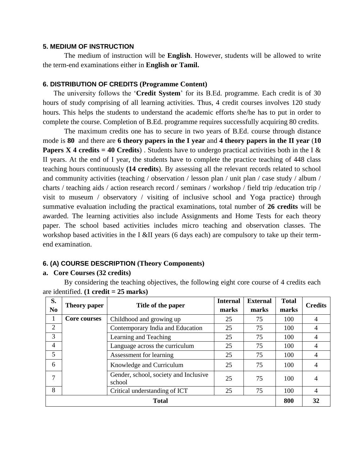#### **5. MEDIUM OF INSTRUCTION**

The medium of instruction will be **English**. However, students will be allowed to write the term-end examinations either in **English or Tamil.**

#### **6. DISTRIBUTION OF CREDITS (Programme Content)**

The university follows the '**Credit System**' for its B.Ed. programme. Each credit is of 30 hours of study comprising of all learning activities. Thus, 4 credit courses involves 120 study hours. This helps the students to understand the academic efforts she/he has to put in order to complete the course. Completion of B.Ed. programme requires successfully acquiring 80 credits.

The maximum credits one has to secure in two years of B.Ed. course through distance mode is **80** and there are **6 theory papers in the I year** and **4 theory papers in the II year** (**10 Papers X 4 credits = 40 Credits**). Students have to undergo practical activities both in the I  $\&$ II years. At the end of I year, the students have to complete the practice teaching of 448 class teaching hours continuously **(14 credits**). By assessing all the relevant records related to school and community activities (teaching / observation / lesson plan / unit plan / case study / album / charts / teaching aids / action research record / seminars / workshop / field trip /education trip / visit to museum / observatory / visiting of inclusive school and Yoga practice) through summative evaluation including the practical examinations, total number of **26 credits** will be awarded. The learning activities also include Assignments and Home Tests for each theory paper. The school based activities includes micro teaching and observation classes. The workshop based activities in the I &II years (6 days each) are compulsory to take up their termend examination.

#### **6. (A) COURSE DESCRIPTION (Theory Components)**

#### **a. Core Courses (32 credits)**

By considering the teaching objectives, the following eight core course of 4 credits each are identified. **(1 credit = 25 marks)**

| S.<br>N <sub>0</sub> | Title of the paper<br>Theory paper |                                                 | <b>Internal</b><br>marks | <b>External</b><br>marks | <b>Total</b><br>marks | <b>Credits</b> |
|----------------------|------------------------------------|-------------------------------------------------|--------------------------|--------------------------|-----------------------|----------------|
| 1                    | <b>Core courses</b>                | Childhood and growing up                        | 25                       | 75                       | 100                   | 4              |
| $\overline{2}$       |                                    | Contemporary India and Education                | 25                       | 75                       | 100                   |                |
| 3                    |                                    | Learning and Teaching                           | 25                       | 75                       | 100                   |                |
| 4                    |                                    | Language across the curriculum                  | 25                       | 75                       | 100                   |                |
| 5                    |                                    | Assessment for learning                         | 25                       | 75                       | 100                   |                |
| 6                    |                                    | Knowledge and Curriculum                        | 25                       | 75                       | 100                   |                |
| 7                    |                                    | Gender, school, society and Inclusive<br>school | 25                       | 75                       | 100                   |                |
| 8                    |                                    | Critical understanding of ICT                   | 25                       | 75                       | 100                   | 4              |
| <b>Total</b>         |                                    |                                                 |                          |                          | 800                   | 32             |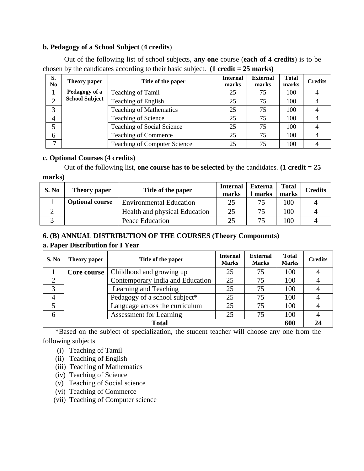#### **b. Pedagogy of a School Subject** (**4 credits**)

Out of the following list of school subjects, **any one** course (**each of 4 credits**) is to be chosen by the candidates according to their basic subject. **(1 credit = 25 marks)**

| S.<br>N <sub>0</sub> | <b>Theory paper</b>   | Title of the paper                  | <b>Internal</b><br>marks | <b>External</b><br>marks | <b>Total</b><br>marks | <b>Credits</b> |
|----------------------|-----------------------|-------------------------------------|--------------------------|--------------------------|-----------------------|----------------|
|                      | Pedagogy of a         | <b>Teaching of Tamil</b>            | 25                       | 75                       | 100                   |                |
|                      | <b>School Subject</b> | Teaching of English                 | 25                       | 75                       | 100                   |                |
| 3                    |                       | <b>Teaching of Mathematics</b>      | 25                       | 75                       | 100                   |                |
| 4                    |                       | Teaching of Science                 | 25                       | 75                       | 100                   |                |
|                      |                       | Teaching of Social Science          | 25                       | 75                       | 100                   |                |
| 6                    |                       | <b>Teaching of Commerce</b>         | 25                       | 75                       | 100                   |                |
| −                    |                       | <b>Teaching of Computer Science</b> | 25                       | 75                       | 100                   |                |

#### **c. Optional Courses** (**4 credits**)

Out of the following list, **one course has to be selected** by the candidates. **(1 credit = 25 marks)**

| S. No | Theory paper           | Title of the paper             | <b>Internal</b><br>marks | <b>Externa</b><br>marks | Total<br>marks | <b>Credits</b> |
|-------|------------------------|--------------------------------|--------------------------|-------------------------|----------------|----------------|
|       | <b>Optional course</b> | <b>Environmental Education</b> | 25                       |                         | 100            |                |
|       |                        | Health and physical Education  | 25                       |                         | 100            |                |
|       |                        | Peace Education                | 25                       |                         | 100            |                |

#### **6. (B) ANNUAL DISTRIBUTION OF THE COURSES (Theory Components)**

#### **a. Paper Distribution for I Year**

| S. No        | Theory paper                            | Title of the paper               | <b>Internal</b><br><b>Marks</b> | <b>External</b><br><b>Marks</b> | <b>Total</b><br><b>Marks</b> | <b>Credits</b> |
|--------------|-----------------------------------------|----------------------------------|---------------------------------|---------------------------------|------------------------------|----------------|
|              | Childhood and growing up<br>Core course |                                  | 25                              | 75                              | 100                          |                |
|              |                                         | Contemporary India and Education | 25                              | 75                              | 100                          |                |
| 3            |                                         | Learning and Teaching            | 25                              | 75                              | 100                          |                |
|              |                                         | Pedagogy of a school subject*    | 25                              | 75                              | 100                          |                |
|              |                                         | Language across the curriculum   | 25                              | 75                              | 100                          |                |
| 6            |                                         | <b>Assessment for Learning</b>   | 25                              | 75                              | 100                          |                |
| <b>Total</b> |                                         |                                  |                                 |                                 | 600                          |                |

 \*Based on the subject of specialization, the student teacher will choose any one from the following subjects

- (i) Teaching of Tamil
- (ii) Teaching of English
- (iii) Teaching of Mathematics
- (iv) Teaching of Science
- (v) Teaching of Social science
- (vi) Teaching of Commerce
- (vii) Teaching of Computer science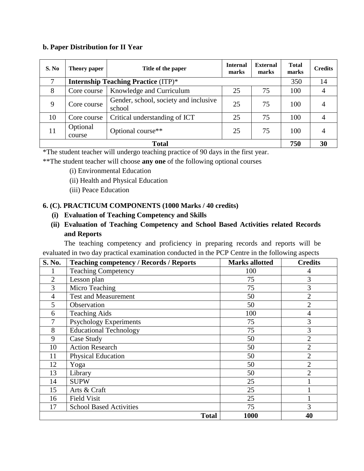#### **b. Paper Distribution for II Year**

| S. No        | Theory paper                               | <b>External</b><br><b>Internal</b><br>Title of the paper<br>marks<br>marks |    | <b>Total</b><br>marks | <b>Credits</b> |    |
|--------------|--------------------------------------------|----------------------------------------------------------------------------|----|-----------------------|----------------|----|
| 7            | <b>Internship Teaching Practice (ITP)*</b> |                                                                            |    |                       |                | 14 |
| 8            | Core course                                | Knowledge and Curriculum<br>75<br>25                                       |    | 100                   | 4              |    |
| 9            | Core course                                | Gender, school, society and inclusive<br>school                            | 25 | 75                    | 100            |    |
| 10           | Core course                                | Critical understanding of ICT                                              | 25 | 75                    | 100            |    |
| 11           | Optional<br>course                         | Optional course**                                                          | 25 | 75                    | 100            | 4  |
| <b>Total</b> |                                            |                                                                            |    |                       |                | 30 |

\*The student teacher will undergo teaching practice of 90 days in the first year.

\*\*The student teacher will choose **any one** of the following optional courses

- (i) Environmental Education
- (ii) Health and Physical Education
- (iii) Peace Education

#### **6. (C). PRACTICUM COMPONENTS (1000 Marks / 40 credits)**

 **(i) Evaluation of Teaching Competency and Skills**

#### **(ii) Evaluation of Teaching Competency and School Based Activities related Records and Reports**

The teaching competency and proficiency in preparing records and reports will be evaluated in two day practical examination conducted in the PCP Centre in the following aspects

| S. No.         | <b>Teaching competency / Records / Reports</b> | <b>Marks allotted</b> | <b>Credits</b> |
|----------------|------------------------------------------------|-----------------------|----------------|
|                | <b>Teaching Competency</b>                     | 100                   | 4              |
| $\overline{2}$ | Lesson plan                                    | 75                    | 3              |
| 3              | Micro Teaching                                 | 75                    | 3              |
| 4              | <b>Test and Measurement</b>                    | 50                    | $\overline{2}$ |
| 5              | Observation                                    | 50                    | $\overline{2}$ |
| 6              | <b>Teaching Aids</b>                           | 100                   | $\overline{4}$ |
|                | <b>Psychology Experiments</b>                  | 75                    | 3              |
| 8              | <b>Educational Technology</b>                  | 75                    | 3              |
| 9              | Case Study                                     | 50                    | $\overline{2}$ |
| 10             | <b>Action Research</b>                         | 50                    | $\overline{2}$ |
| 11             | <b>Physical Education</b>                      | 50                    | $\overline{2}$ |
| 12             | Yoga                                           | 50                    | $\overline{2}$ |
| 13             | Library                                        | 50                    | $\overline{2}$ |
| 14             | <b>SUPW</b>                                    | 25                    |                |
| 15             | Arts & Craft                                   | 25                    |                |
| 16             | <b>Field Visit</b>                             | 25                    |                |
| 17             | <b>School Based Activities</b>                 | 75                    | 3              |
|                | <b>Total</b>                                   | 1000                  | 40             |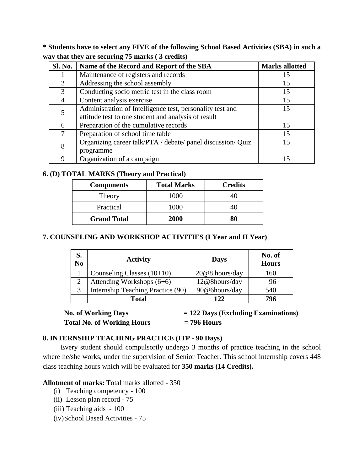**\* Students have to select any FIVE of the following School Based Activities (SBA) in such a way that they are securing 75 marks ( 3 credits)**

| <b>Sl. No.</b> | Name of the Record and Report of the SBA                    | <b>Marks allotted</b> |
|----------------|-------------------------------------------------------------|-----------------------|
|                | Maintenance of registers and records                        | 15                    |
| 2              | Addressing the school assembly                              | 15                    |
|                | Conducting socio metric test in the class room              | 15                    |
| 4              | Content analysis exercise                                   | 15                    |
|                | Administration of Intelligence test, personality test and   | 15                    |
|                | attitude test to one student and analysis of result         |                       |
| 6              | Preparation of the cumulative records                       | 15                    |
| 7              | Preparation of school time table                            | 15                    |
| 8              | Organizing career talk/PTA / debate/ panel discussion/ Quiz | 15                    |
|                | programme                                                   |                       |
| 9              | Organization of a campaign                                  | 15                    |

#### **6. (D) TOTAL MARKS (Theory and Practical)**

| <b>Components</b>  | <b>Total Marks</b> | <b>Credits</b> |
|--------------------|--------------------|----------------|
| Theory             | 1000               |                |
| Practical          | 1000               |                |
| <b>Grand Total</b> | <b>2000</b>        | 80             |

#### **7. COUNSELING AND WORKSHOP ACTIVITIES (I Year and II Year)**

| S.<br>N <sub>0</sub> | <b>Activity</b>                   | <b>Days</b>    | No. of<br><b>Hours</b> |
|----------------------|-----------------------------------|----------------|------------------------|
|                      | Counseling Classes $(10+10)$      | 20@8 hours/day | 160                    |
| 2                    | Attending Workshops $(6+6)$       | 12@8hours/day  | 96                     |
| 3                    | Internship Teaching Practice (90) | 90@6hours/day  | 540                    |
|                      | <b>Total</b>                      | 122            | 796                    |

**Total No. of Working Hours = 796 Hours**

No. of Working Days = 122 Days (Excluding Examinations)

#### **8. INTERNSHIP TEACHING PRACTICE (ITP - 90 Days)**

 Every student should compulsorily undergo 3 months of practice teaching in the school where he/she works, under the supervision of Senior Teacher. This school internship covers 448 class teaching hours which will be evaluated for **350 marks (14 Credits).**

**Allotment of marks:** Total marks allotted - 350

- (i) Teaching competency 100
- (ii) Lesson plan record 75
- (iii) Teaching aids 100
- (iv)School Based Activities 75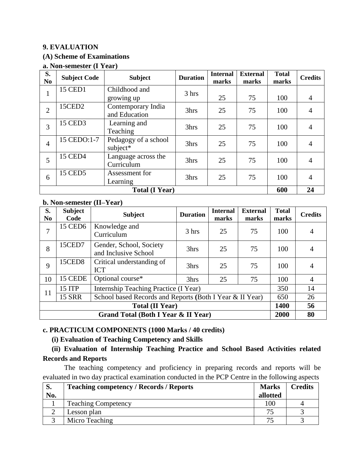#### **9. EVALUATION**

#### **(A) Scheme of Examinations**

#### **a. Non-semester (I Year)**

| S.<br>N <sub>0</sub>  | <b>Subject Code</b> | <b>Subject</b>                      | <b>Duration</b> | <b>Internal</b><br>marks | <b>External</b><br>marks | <b>Total</b><br>marks | <b>Credits</b> |
|-----------------------|---------------------|-------------------------------------|-----------------|--------------------------|--------------------------|-----------------------|----------------|
| 1                     | <b>15 CED1</b>      | Childhood and<br>growing up         | 3 hrs           | 25                       | 75                       | 100                   | $\overline{4}$ |
| $\overline{2}$        | 15CED2              | Contemporary India<br>and Education | 3hrs            | 25                       | 75                       | 100                   | 4              |
| 3                     | <b>15 CED3</b>      | Learning and<br>Teaching            | 3hrs            | 25                       | 75                       | 100                   | 4              |
| $\overline{4}$        | 15 CEDO:1-7         | Pedagogy of a school<br>subject*    | 3hrs            | 25                       | 75                       | 100                   | 4              |
| 5                     | <b>15 CED4</b>      | Language across the<br>Curriculum   | 3hrs            | 25                       | 75                       | 100                   |                |
| 6                     | <b>15 CED5</b>      | Assessment for<br>Learning          | 3hrs            | 25                       | 75                       | 100                   | 4              |
| <b>Total (I Year)</b> |                     |                                     |                 |                          |                          | 600                   | 24             |

#### **b. Non-semester (II–Year)**

| S.<br>N <sub>0</sub>                | <b>Subject</b><br>Code | <b>Subject</b>                                           | <b>Duration</b> | <b>Internal</b><br>marks | <b>External</b><br>marks | <b>Total</b><br>marks | <b>Credits</b> |
|-------------------------------------|------------------------|----------------------------------------------------------|-----------------|--------------------------|--------------------------|-----------------------|----------------|
| 7                                   | <b>15 CED6</b>         | Knowledge and<br>Curriculum                              | 3 hrs           | 25                       | 75                       | 100                   | $\overline{4}$ |
| 8                                   | 15CED7                 | Gender, School, Society<br>and Inclusive School          | 3hrs            | 25                       | 75                       | 100                   | $\overline{A}$ |
| 9                                   | 15CED8                 | Critical understanding of<br><b>ICT</b>                  | 3hrs            | 25                       | 75                       | 100                   | $\overline{4}$ |
| 10                                  | 15 CEDE                | Optional course*                                         | 3hrs            | 25                       | 75                       | 100                   | $\overline{4}$ |
| 11                                  | <b>15 ITP</b>          | Internship Teaching Practice (I Year)                    |                 |                          |                          | 350                   | 14             |
|                                     | <b>15 SRR</b>          | School based Records and Reports (Both I Year & II Year) |                 |                          |                          |                       |                |
| <b>Total (II Year)</b>              |                        |                                                          |                 |                          |                          | 1400                  | 56             |
| Grand Total (Both I Year & II Year) |                        |                                                          |                 |                          |                          |                       | 80             |

#### **c. PRACTICUM COMPONENTS (1000 Marks / 40 credits)**

#### **(i) Evaluation of Teaching Competency and Skills**

#### **(ii) Evaluation of Internship Teaching Practice and School Based Activities related Records and Reports**

The teaching competency and proficiency in preparing records and reports will be evaluated in two day practical examination conducted in the PCP Centre in the following aspects

| S.  | <b>Teaching competency / Records / Reports</b> | <b>Marks</b> | Credits |
|-----|------------------------------------------------|--------------|---------|
| No. |                                                | allotted     |         |
|     | <b>Teaching Competency</b>                     | 100          |         |
|     | Lesson plan                                    |              |         |
|     | Micro Teaching                                 |              |         |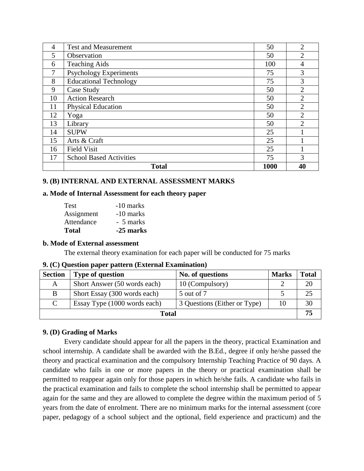| 4  | <b>Test and Measurement</b>    |      | $\overline{2}$ |
|----|--------------------------------|------|----------------|
| 5  | Observation                    |      | 2              |
| 6  | <b>Teaching Aids</b>           |      | 4              |
| 7  | <b>Psychology Experiments</b>  |      | 3              |
| 8  | <b>Educational Technology</b>  |      | 3              |
| 9  | Case Study                     |      | $\overline{2}$ |
| 10 | <b>Action Research</b>         | 50   | $\overline{2}$ |
| 11 | <b>Physical Education</b>      | 50   | $\overline{2}$ |
| 12 | Yoga                           | 50   | $\overline{2}$ |
| 13 | Library                        |      | $\overline{2}$ |
| 14 | <b>SUPW</b>                    | 25   |                |
| 15 | Arts & Craft                   | 25   |                |
| 16 | <b>Field Visit</b>             | 25   |                |
| 17 | <b>School Based Activities</b> | 75   | 3              |
|    | <b>Total</b>                   | 1000 | 40             |

#### **9. (B) INTERNAL AND EXTERNAL ASSESSMENT MARKS**

#### **a. Mode of Internal Assessment for each theory paper**

| <b>Test</b>  | -10 marks   |
|--------------|-------------|
| Assignment   | $-10$ marks |
| Attendance   | - 5 marks   |
| <b>Total</b> | -25 marks   |

#### **b. Mode of External assessment**

The external theory examination for each paper will be conducted for 75 marks

|  |  |  |  |  |  | 9. (C) Question paper pattern (External Examination) |
|--|--|--|--|--|--|------------------------------------------------------|
|--|--|--|--|--|--|------------------------------------------------------|

| <b>Section</b> | <b>Type of question</b>      | No. of questions             | <b>Marks</b> | <b>Total</b> |
|----------------|------------------------------|------------------------------|--------------|--------------|
| A              | Short Answer (50 words each) | 10 (Compulsory)              |              | 20           |
| B.             | Short Essay (300 words each) | 5 out of 7                   |              | 25           |
| C              | Essay Type (1000 words each) | 3 Questions (Either or Type) | 10           | 30           |
| <b>Total</b>   |                              |                              |              |              |

#### **9. (D) Grading of Marks**

Every candidate should appear for all the papers in the theory, practical Examination and school internship. A candidate shall be awarded with the B.Ed., degree if only he/she passed the theory and practical examination and the compulsory Internship Teaching Practice of 90 days. A candidate who fails in one or more papers in the theory or practical examination shall be permitted to reappear again only for those papers in which he/she fails. A candidate who fails in the practical examination and fails to complete the school internship shall be permitted to appear again for the same and they are allowed to complete the degree within the maximum period of 5 years from the date of enrolment. There are no minimum marks for the internal assessment (core paper, pedagogy of a school subject and the optional, field experience and practicum) and the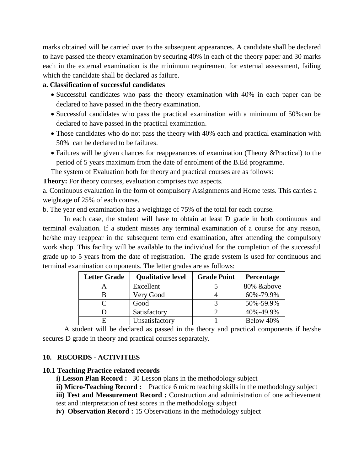marks obtained will be carried over to the subsequent appearances. A candidate shall be declared to have passed the theory examination by securing 40% in each of the theory paper and 30 marks each in the external examination is the minimum requirement for external assessment, failing which the candidate shall be declared as failure.

#### **a. Classification of successful candidates**

- Successful candidates who pass the theory examination with 40% in each paper can be declared to have passed in the theory examination.
- Successful candidates who pass the practical examination with a minimum of 50%can be declared to have passed in the practical examination.
- Those candidates who do not pass the theory with 40% each and practical examination with 50% can be declared to be failures.
- Failures will be given chances for reappearances of examination (Theory &Practical) to the period of 5 years maximum from the date of enrolment of the B.Ed programme.

The system of Evaluation both for theory and practical courses are as follows:

**Theory:** For theory courses, evaluation comprises two aspects.

a. Continuous evaluation in the form of compulsory Assignments and Home tests. This carries a weightage of 25% of each course.

b. The year end examination has a weightage of 75% of the total for each course.

In each case, the student will have to obtain at least D grade in both continuous and terminal evaluation. If a student misses any terminal examination of a course for any reason, he/she may reappear in the subsequent term end examination, after attending the compulsory work shop. This facility will be available to the individual for the completion of the successful grade up to 5 years from the date of registration. The grade system is used for continuous and terminal examination components. The letter grades are as follows:

| <b>Letter Grade</b> | <b>Qualitative level</b> | <b>Grade Point</b> | Percentage |
|---------------------|--------------------------|--------------------|------------|
|                     | Excellent                |                    | 80% &above |
|                     | Very Good                |                    | 60%-79.9%  |
|                     | Good                     |                    | 50%-59.9%  |
|                     | Satisfactory             |                    | 40%-49.9%  |
|                     | Unsatisfactory           |                    | Below 40%  |

A student will be declared as passed in the theory and practical components if he/she secures D grade in theory and practical courses separately.

#### **10. RECORDS - ACTIVITIES**

#### **10.1 Teaching Practice related records**

**i) Lesson Plan Record :** 30 Lesson plans in the methodology subject

**ii) Micro-Teaching Record :** Practice 6 micro teaching skills in the methodology subject

**iii) Test and Measurement Record :** Construction and administration of one achievement

test and interpretation of test scores in the methodology subject

**iv) Observation Record :** 15 Observations in the methodology subject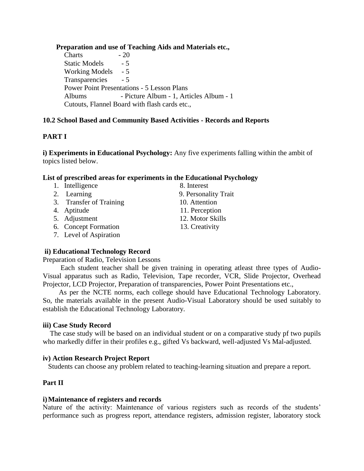#### **Preparation and use of Teaching Aids and Materials etc.,**

 $Charles$   $-20$ Static Models  $-5$ Working Models - 5 Transparencies - 5 Power Point Presentations - 5 Lesson Plans Albums - Picture Album - 1, Articles Album - 1 Cutouts, Flannel Board with flash cards etc.,

#### **10.2 School Based and Community Based Activities - Records and Reports**

#### **PART I**

**i) Experiments in Educational Psychology:** Any five experiments falling within the ambit of topics listed below.

#### **List of prescribed areas for experiments in the Educational Psychology**

- 1. Intelligence 8. Interest
- 2. Learning 9. Personality Trait
- 3. Transfer of Training 10. Attention
- 
- 5. Adjustment 12. Motor Skills
- 6. Concept Formation 13. Creativity
- 7. Level of Aspiration

#### **ii) Educational Technology Record**

Preparation of Radio, Television Lessons

 Each student teacher shall be given training in operating atleast three types of Audio-Visual apparatus such as Radio, Television, Tape recorder, VCR, Slide Projector, Overhead Projector, LCD Projector, Preparation of transparencies, Power Point Presentations etc.,

 As per the NCTE norms, each college should have Educational Technology Laboratory. So, the materials available in the present Audio-Visual Laboratory should be used suitably to establish the Educational Technology Laboratory.

#### **iii) Case Study Record**

 The case study will be based on an individual student or on a comparative study pf two pupils who markedly differ in their profiles e.g., gifted Vs backward, well-adjusted Vs Mal-adjusted.

#### **iv) Action Research Project Report**

Students can choose any problem related to teaching-learning situation and prepare a report.

#### **Part II**

#### **i)Maintenance of registers and records**

Nature of the activity: Maintenance of various registers such as records of the students' performance such as progress report, attendance registers, admission register, laboratory stock

- 
- 
- 4. Aptitude 11. Perception
	-
	-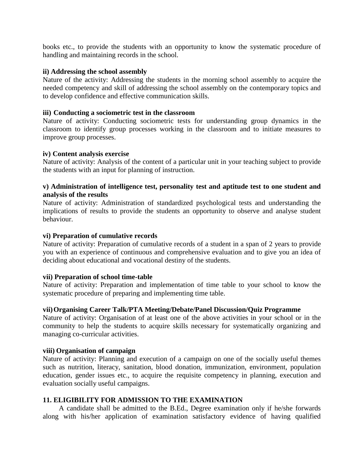books etc., to provide the students with an opportunity to know the systematic procedure of handling and maintaining records in the school.

#### **ii) Addressing the school assembly**

Nature of the activity: Addressing the students in the morning school assembly to acquire the needed competency and skill of addressing the school assembly on the contemporary topics and to develop confidence and effective communication skills.

#### **iii) Conducting a sociometric test in the classroom**

Nature of activity: Conducting sociometric tests for understanding group dynamics in the classroom to identify group processes working in the classroom and to initiate measures to improve group processes.

#### **iv) Content analysis exercise**

Nature of activity: Analysis of the content of a particular unit in your teaching subject to provide the students with an input for planning of instruction.

#### **v) Administration of intelligence test, personality test and aptitude test to one student and analysis of the results**

Nature of activity: Administration of standardized psychological tests and understanding the implications of results to provide the students an opportunity to observe and analyse student behaviour.

#### **vi) Preparation of cumulative records**

Nature of activity: Preparation of cumulative records of a student in a span of 2 years to provide you with an experience of continuous and comprehensive evaluation and to give you an idea of deciding about educational and vocational destiny of the students.

#### **vii) Preparation of school time-table**

Nature of activity: Preparation and implementation of time table to your school to know the systematic procedure of preparing and implementing time table.

#### **vii)Organising Career Talk/PTA Meeting/Debate/Panel Discussion/Quiz Programme**

Nature of activity: Organisation of at least one of the above activities in your school or in the community to help the students to acquire skills necessary for systematically organizing and managing co-curricular activities.

#### **viii) Organisation of campaign**

Nature of activity: Planning and execution of a campaign on one of the socially useful themes such as nutrition, literacy, sanitation, blood donation, immunization, environment, population education, gender issues etc., to acquire the requisite competency in planning, execution and evaluation socially useful campaigns.

#### **11. ELIGIBILITY FOR ADMISSION TO THE EXAMINATION**

A candidate shall be admitted to the B.Ed., Degree examination only if he/she forwards along with his/her application of examination satisfactory evidence of having qualified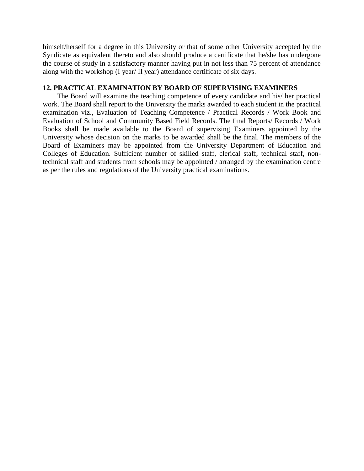himself/herself for a degree in this University or that of some other University accepted by the Syndicate as equivalent thereto and also should produce a certificate that he/she has undergone the course of study in a satisfactory manner having put in not less than 75 percent of attendance along with the workshop (I year/ II year) attendance certificate of six days.

#### **12. PRACTICAL EXAMINATION BY BOARD OF SUPERVISING EXAMINERS**

The Board will examine the teaching competence of every candidate and his/ her practical work. The Board shall report to the University the marks awarded to each student in the practical examination viz., Evaluation of Teaching Competence / Practical Records / Work Book and Evaluation of School and Community Based Field Records. The final Reports/ Records / Work Books shall be made available to the Board of supervising Examiners appointed by the University whose decision on the marks to be awarded shall be the final. The members of the Board of Examiners may be appointed from the University Department of Education and Colleges of Education. Sufficient number of skilled staff, clerical staff, technical staff, nontechnical staff and students from schools may be appointed / arranged by the examination centre as per the rules and regulations of the University practical examinations.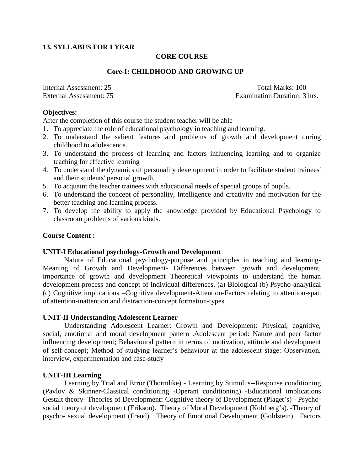#### **13. SYLLABUS FOR I YEAR**

#### **CORE COURSE**

#### **Core-I: CHILDHOOD AND GROWING UP**

Internal Assessment: 25 Total Marks: 100

External Assessment: 75 Examination Duration: 3 hrs.

#### **Objectives:**

After the completion of this course the student teacher will be able

- 1. To appreciate the role of educational psychology in teaching and learning.
- 2. To understand the salient features and problems of growth and development during childhood to adolescence.
- 3. To understand the process of learning and factors influencing learning and to organize teaching for effective learning
- 4. To understand the dynamics of personality development in order to facilitate student trainees' and their students' personal growth.
- 5. To acquaint the teacher trainees with educational needs of special groups of pupils.
- 6. To understand the concept of personality, Intelligence and creativity and motivation for the better teaching and learning process.
- 7. To develop the ability to apply the knowledge provided by Educational Psychology to classroom problems of various kinds.

#### **Course Content :**

#### **UNIT-I Educational psychology-Growth and Development**

Nature of Educational psychology-purpose and principles in teaching and learning-Meaning of Growth and Development- Differences between growth and development, importance of growth and development Theoretical viewpoints to understand the human development process and concept of individual differences. (a) Biological (b) Psycho-analytical (c) Cognitive implications –Cognitive development-Attention-Factors relating to attention-span of attention-inattention and distraction-concept formation-types

#### **UNIT-II Understanding Adolescent Learner**

Understanding Adolescent Learner: Growth and Development: Physical, cognitive, social, emotional and moral development pattern .Adolescent period: Nature and peer factor influencing development; Behavioural pattern in terms of motivation, attitude and development of self-concept; Method of studying learner's behaviour at the adolescent stage: Observation, interview, experimentation and case-study

#### **UNIT-III Learning**

Learning by Trial and Error (Thorndike) - Learning by Stimulus--Response conditioning (Pavlov & Skinner-Classical conditioning -Operant conditioning) -Educational implications Gestalt theory- Theories of Development**:** Cognitive theory of Development (Piaget's) - Psychosocial theory of development (Erikson). Theory of Moral Development (Kohlberg's). -Theory of psycho- sexual development (Freud). Theory of Emotional Development (Goldstein). Factors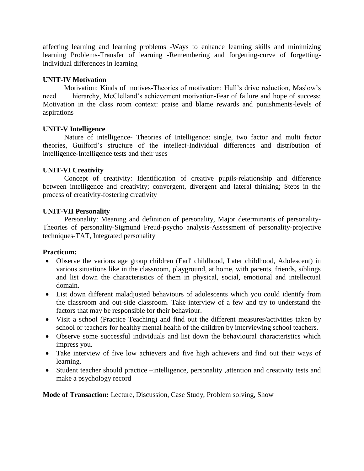affecting learning and learning problems -Ways to enhance learning skills and minimizing learning Problems-Transfer of learning -Remembering and forgetting-curve of forgettingindividual differences in learning

#### **UNIT-IV Motivation**

Motivation: Kinds of motives-Theories of motivation: Hull's drive reduction, Maslow's need hierarchy, McClelland's achievement motivation-Fear of failure and hope of success; Motivation in the class room context: praise and blame rewards and punishments-levels of aspirations

#### **UNIT-V Intelligence**

Nature of intelligence- Theories of Intelligence: single, two factor and multi factor theories, Guilford's structure of the intellect-Individual differences and distribution of intelligence-Intelligence tests and their uses

#### **UNIT-VI Creativity**

Concept of creativity: Identification of creative pupils-relationship and difference between intelligence and creativity; convergent, divergent and lateral thinking; Steps in the process of creativity-fostering creativity

#### **UNIT-VII Personality**

Personality: Meaning and definition of personality, Major determinants of personality-Theories of personality-Sigmund Freud-psycho analysis-Assessment of personality-projective techniques-TAT, Integrated personality

#### **Practicum:**

- Observe the various age group children (Earl' childhood, Later childhood, Adolescent) in various situations like in the classroom, playground, at home, with parents, friends, siblings and list down the characteristics of them in physical, social, emotional and intellectual domain.
- List down different maladjusted behaviours of adolescents which you could identify from the classroom and out-side classroom. Take interview of a few and try to understand the factors that may be responsible for their behaviour.
- Visit a school (Practice Teaching) and find out the different measures/activities taken by school or teachers for healthy mental health of the children by interviewing school teachers.
- Observe some successful individuals and list down the behavioural characteristics which impress you.
- Take interview of five low achievers and five high achievers and find out their ways of learning.
- Student teacher should practice –intelligence, personality ,attention and creativity tests and make a psychology record

**Mode of Transaction:** Lecture, Discussion, Case Study, Problem solving, Show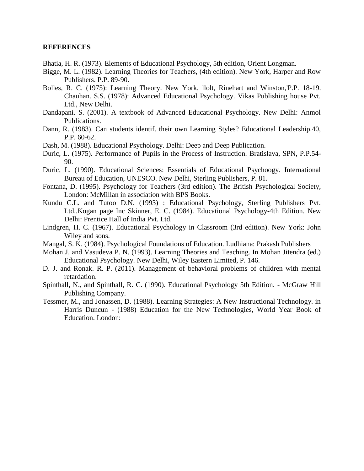#### **REFERENCES**

- Bhatia, H. R. (1973). Elements of Educational Psychology, 5th edition, Orient Longman.
- Bigge, M. L. (1982). Learning Theories for Teachers, (4th edition). New York, Harper and Row Publishers. P.P. 89-90.
- Bolles, R. C. (1975): Learning Theory. New York, llolt, Rinehart and Winston,'P.P. 18-19. Chauhan. S.S. (1978): Advanced Educational Psychology. Vikas Publishing house Pvt. Ltd., New Delhi.
- Dandapani. S. (2001). A textbook of Advanced Educational Psychology. New Delhi: Anmol Publications.
- Dann, R. (1983). Can students identif. their own Learning Styles? Educational Leadership.40, P.P. 60-62.
- Dash, M. (1988). Educational Psychology. Delhi: Deep and Deep Publication.
- Duric, L. (1975). Performance of Pupils in the Process of Instruction. Bratislava, SPN, P.P.54- 90.
- Duric, L. (1990). Educational Sciences: Essentials of Educational Psychoogy. International Bureau of Education, UNESCO. New Delhi, Sterling Publishers, P. 81.
- Fontana, D. (1995). Psychology for Teachers (3rd edition). The British Psychological Society, London: McMillan in association with BPS Books.
- Kundu C.L. and Tutoo D.N. (1993) : Educational Psychology, Sterling Publishers Pvt. Ltd..Kogan page Inc Skinner, E. C. (1984). Educational Psychology-4th Edition. New Delhi: Prentice Hall of India Pvt. Ltd.
- Lindgren, H. C. (1967). Educational Psychology in Classroom (3rd edition). New York: John Wiley and sons.
- Mangal, S. K. (1984). Psychological Foundations of Education. Ludhiana: Prakash Publishers
- Mohan J. and Vasudeva P. N. (1993). Learning Theories and Teaching. In Mohan Jitendra (ed.) Educational Psychology. New Delhi, Wiley Eastern Limited, P. 146.
- D. J. and Ronak. R. P. (2011). Management of behavioral problems of children with mental retardation.
- Spinthall, N., and Spinthall, R. C. (1990). Educational Psychology 5th Edition. McGraw Hill Publishing Company.
- Tessmer, M., and Jonassen, D. (1988). Learning Strategies: A New Instructional Technology. in Harris Duncun - (1988) Education for the New Technologies, World Year Book of Education. London: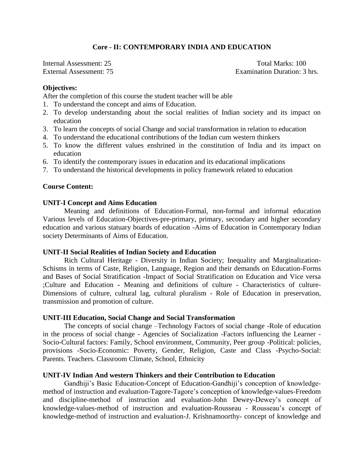#### **Core - II: CONTEMPORARY INDIA AND EDUCATION**

Internal Assessment: 25 Total Marks: 100 External Assessment: 75 Examination Duration: 3 hrs.

#### **Objectives:**

After the completion of this course the student teacher will be able

- 1. To understand the concept and aims of Education.
- 2. To develop understanding about the social realities of Indian society and its impact on education
- 3. To learn the concepts of social Change and social transformation in relation to education
- 4. To understand the educational contributions of the Indian cum western thinkers
- 5. To know the different values enshrined in the constitution of India and its impact on education
- 6. To identify the contemporary issues in education and its educational implications
- 7. To understand the historical developments in policy framework related to education

#### **Course Content:**

#### **UNIT-I Concept and Aims Education**

Meaning and definitions of Education-Formal, non-formal and informal education Various levels of Education-Objectives-pre-primary, primary, secondary and higher secondary education and various statuary boards of education -Aims of Education in Contemporary Indian society Determinants of Aims of Education.

#### **UNIT-II Social Realities of Indian Society and Education**

Rich Cultural Heritage - Diversity in Indian Society; Inequality and Marginalization-Schisms in terms of Caste, Religion, Language, Region and their demands on Education-Forms and Bases of Social Stratification -Impact of Social Stratification on Education and Vice versa ;Culture and Education **-** Meaning and definitions of culture - Characteristics of culture-Dimensions of culture, cultural lag, cultural pluralism - Role of Education in preservation, transmission and promotion of culture.

#### **UNIT-III Education, Social Change and Social Transformation**

The concepts of social change –Technology Factors of social change -Role of education in the process of social change - Agencies of Socialization -Factors influencing the Learner - Socio-Cultural factors: Family, School environment, Community, Peer group -Political: policies, provisions -Socio-Economic: Poverty, Gender, Religion, Caste and Class -Psycho-Social: Parents. Teachers. Classroom Climate, School, Ethnicity

#### **UNIT-IV Indian And western Thinkers and their Contribution to Education**

Gandhiji's Basic Education-Concept of Education-Gandhiji's conception of knowledgemethod of instruction and evaluation-Tagore-Tagore's conception of knowledge-values-Freedom and discipline-method of instruction and evaluation-John Dewey-Dewey's concept of knowledge-values-method of instruction and evaluation-Rousseau - Rousseau's concept of knowledge-method of instruction and evaluation-J. Krishnamoorthy- concept of knowledge and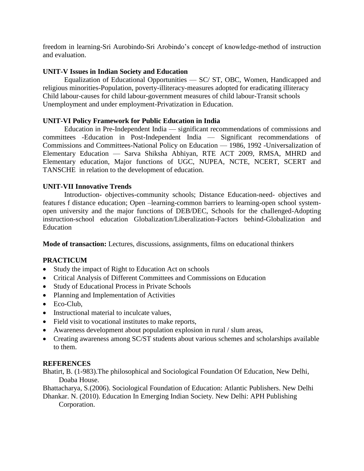freedom in learning-Sri Aurobindo-Sri Arobindo's concept of knowledge-method of instruction and evaluation.

#### **UNIT-V Issues in Indian Society and Education**

Equalization of Educational Opportunities — SC/ ST, OBC, Women, Handicapped and religious minorities-Population, poverty-illiteracy-measures adopted for eradicating illiteracy Child labour-causes for child labour-government measures of child labour-Transit schools Unemployment and under employment-Privatization in Education.

#### **UNIT-VI Policy Framework for Public Education in India**

Education in Pre-Independent India — significant recommendations of commissions and committees -Education in Post-Independent India — Significant recommendations of Commissions and Committees-National Policy on Education — 1986, 1992 -Universalization of Elementary Education — Sarva Shiksha Abhiyan, RTE ACT 2009, RMSA, MHRD and Elementary education, Major functions of UGC, NUPEA, NCTE, NCERT, SCERT and TANSCHE in relation to the development of education.

#### **UNIT-VII Innovative Trends**

Introduction- objectives-community schools; Distance Education-need- objectives and features f distance education; Open –learning-common barriers to learning-open school systemopen university and the major functions of DEB/DEC, Schools for the challenged-Adopting instruction-school education Globalization/Liberalization-Factors behind-Globalization and Education

**Mode of transaction:** Lectures, discussions, assignments, films on educational thinkers

#### **PRACTICUM**

- Study the impact of Right to Education Act on schools
- Critical Analysis of Different Committees and Commissions on Education
- Study of Educational Process in Private Schools
- Planning and Implementation of Activities
- Eco-Club,
- Instructional material to inculcate values,
- Field visit to vocational institutes to make reports,
- Awareness development about population explosion in rural / slum areas,
- Creating awareness among SC/ST students about various schemes and scholarships available to them.

#### **REFERENCES**

Bhatirt, B. (1-983).The philosophical and Sociological Foundation Of Education, New Delhi, Doaba House.

Bhattacharya, S.(2006). Sociological Foundation of Education: Atlantic Publishers. New Delhi

Dhankar. N. (2010). Education In Emerging Indian Society. New Delhi: APH Publishing Corporation.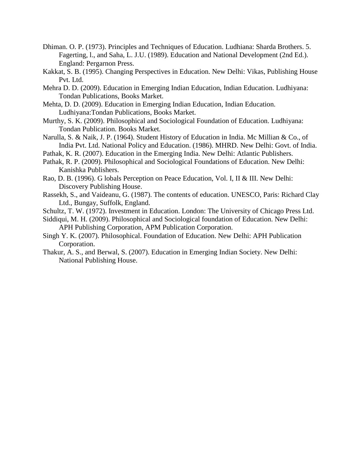- Dhiman. O. P. (1973). Principles and Techniques of Education. Ludhiana: Sharda Brothers. 5. Fagerting, l., and Saha, L. J.U. (1989). Education and National Development (2nd Ed.). England: Pergarnon Press.
- Kakkat, S. B. (1995). Changing Perspectives in Education. New Delhi: Vikas, Publishing House Pvt. Ltd.
- Mehra D. D. (2009). Education in Emerging Indian Education, Indian Education. Ludhiyana: Tondan Publications, Books Market.
- Mehta, D. D. (2009). Education in Emerging Indian Education, Indian Education. Ludhiyana:Tondan Publications, Books Market.
- Murthy, S. K. (2009). Philosophical and Sociological Foundation of Education. Ludhiyana: Tondan Publication. Books Market.
- Narulla, S. & Naik, J. P. (1964). Student History of Education in India. Mc Millian & Co., of India Pvt. Ltd. National Policy and Education. (1986). MHRD. New Delhi: Govt. of India.
- Pathak, K. R. (2007). Education in the Emerging India. New Delhi: Atlantic Publishers.
- Pathak, R. P. (2009). Philosophical and Sociological Foundations of Education. New Delhi: Kanishka Publishers.
- Rao, D. B. (1996). G lobals Perception on Peace Education, Vol. I, II & III. New Delhi: Discovery Publishing House.
- Rassekh, S., and Vaideanu, G. (1987). The contents of education. UNESCO, Paris: Richard Clay Ltd., Bungay, Suffolk, England.
- Schultz, T. W. (1972). Investment in Education. London: The University of Chicago Press Ltd.
- Siddiqui, M. H. (2009). Philosophical and Sociological foundation of Education. New Delhi: APH Publishing Corporation, APM Publication Corporation.
- Singh Y. K. (2007). Philosophical. Foundation of Education. New Delhi: APH Publication Corporation.
- Thakur, A. S., and Berwal, S. (2007). Education in Emerging Indian Society. New Delhi: National Publishing House.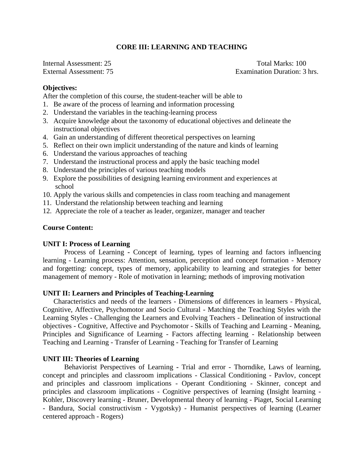#### **CORE III: LEARNING AND TEACHING**

Internal Assessment: 25 Total Marks: 100

External Assessment: 75 Examination Duration: 3 hrs.

#### **Objectives:**

After the completion of this course, the student-teacher will be able to

- 1. Be aware of the process of learning and information processing
- 2. Understand the variables in the teaching-learning process
- 3. Acquire knowledge about the taxonomy of educational objectives and delineate the instructional objectives
- 4. Gain an understanding of different theoretical perspectives on learning
- 5. Reflect on their own implicit understanding of the nature and kinds of learning
- 6. Understand the various approaches of teaching
- 7. Understand the instructional process and apply the basic teaching model
- 8. Understand the principles of various teaching models
- 9. Explore the possibilities of designing learning environment and experiences at school
- 10. Apply the various skills and competencies in class room teaching and management
- 11. Understand the relationship between teaching and learning
- 12. Appreciate the role of a teacher as leader, organizer, manager and teacher

#### **Course Content:**

#### **UNIT I: Process of Learning**

Process of Learning **-** Concept of learning, types of learning and factors influencing learning - Learning process: Attention, sensation, perception and concept formation - Memory and forgetting: concept, types of memory, applicability to learning and strategies for better management of memory - Role of motivation in learning; methods of improving motivation

#### **UNIT II: Learners and Principles of Teaching-Learning**

Characteristics and needs of the learners - Dimensions of differences in learners - Physical, Cognitive, Affective, Psychomotor and Socio Cultural - Matching the Teaching Styles with the Learning Styles - Challenging the Learners and Evolving Teachers - Delineation of instructional objectives - Cognitive, Affective and Psychomotor - Skills of Teaching and Learning - Meaning, Principles and Significance of Learning - Factors affecting learning - Relationship between Teaching and Learning - Transfer of Learning - Teaching for Transfer of Learning

#### **UNIT III: Theories of Learning**

Behaviorist Perspectives of Learning **-** Trial and error - Thorndike, Laws of learning, concept and principles and classroom implications - Classical Conditioning - Pavlov, concept and principles and classroom implications - Operant Conditioning - Skinner, concept and principles and classroom implications - Cognitive perspectives of learning (Insight learning - Kohler, Discovery learning - Bruner, Developmental theory of learning - Piaget, Social Learning - Bandura, Social constructivism - Vygotsky) - Humanist perspectives of learning (Learner centered approach - Rogers)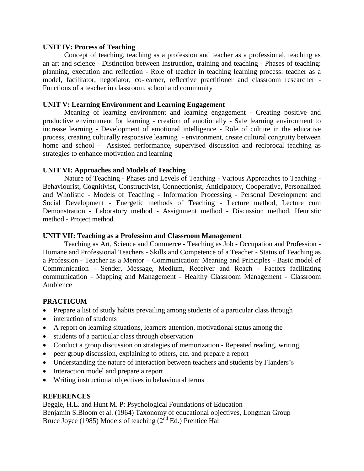#### **UNIT IV: Process of Teaching**

Concept of teaching, teaching as a profession and teacher as a professional, teaching as an art and science - Distinction between Instruction, training and teaching - Phases of teaching: planning, execution and reflection - Role of teacher in teaching learning process: teacher as a model, facilitator, negotiator, co-learner, reflective practitioner and classroom researcher - Functions of a teacher in classroom, school and community

#### **UNIT V: Learning Environment and Learning Engagement**

Meaning of learning environment and learning engagement - Creating positive and productive environment for learning - creation of emotionally - Safe learning environment to increase learning - Development of emotional intelligence - Role of culture in the educative process, creating culturally responsive learning - environment, create cultural congruity between home and school - Assisted performance, supervised discussion and reciprocal teaching as strategies to enhance motivation and learning

#### **UNIT VI: Approaches and Models of Teaching**

Nature of Teaching - Phases and Levels of Teaching - Various Approaches to Teaching - Behaviourist, Cognitivist, Constructivist, Connectionist, Anticipatory, Cooperative, Personalized and Wholistic - Models of Teaching - Information Processing - Personal Development and Social Development - Energetic methods of Teaching - Lecture method, Lecture cum Demonstration - Laboratory method - Assignment method - Discussion method, Heuristic method - Project method

#### **UNIT VII: Teaching as a Profession and Classroom Management**

Teaching as Art, Science and Commerce - Teaching as Job - Occupation and Profession - Humane and Professional Teachers - Skills and Competence of a Teacher - Status of Teaching as a Profession - Teacher as a Mentor – Communication: Meaning and Principles - Basic model of Communication - Sender, Message, Medium, Receiver and Reach - Factors facilitating communication - Mapping and Management - Healthy Classroom Management - Classroom Ambience

#### **PRACTICUM**

- Prepare a list of study habits prevailing among students of a particular class through
- interaction of students
- A report on learning situations, learners attention, motivational status among the
- students of a particular class through observation
- Conduct a group discussion on strategies of memorization Repeated reading, writing,
- peer group discussion, explaining to others, etc. and prepare a report
- Understanding the nature of interaction between teachers and students by Flanders's
- Interaction model and prepare a report
- Writing instructional objectives in behavioural terms

#### **REFERENCES**

Beggie, H.L. and Hunt M. P: Psychological Foundations of Education Benjamin S.Bloom et al. (1964) Taxonomy of educational objectives, Longman Group Bruce Joyce (1985) Models of teaching  $(2<sup>nd</sup> Ed.)$  Prentice Hall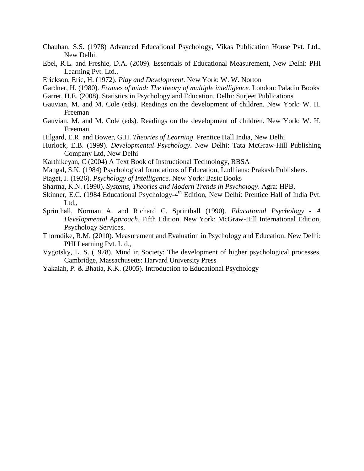- Chauhan, S.S. (1978) Advanced Educational Psychology, Vikas Publication House Pvt. Ltd., New Delhi.
- Ebel, R.L. and Freshie, D.A. (2009). Essentials of Educational Measurement, New Delhi: PHI Learning Pvt. Ltd.,
- Erickson, Eric, H. (1972). *Play and Development*. New York: W. W. Norton
- Gardner, H. (1980). *Frames of mind: The theory of multiple intelligence.* London: Paladin Books
- Garret, H.E. (2008). Statistics in Psychology and Education. Delhi: Surjeet Publications
- Gauvian, M. and M. Cole (eds). Readings on the development of children. New York: W. H. Freeman
- Gauvian, M. and M. Cole (eds). Readings on the development of children. New York: W. H. Freeman
- Hilgard, E.R. and Bower, G.H. *Theories of Learning*. Prentice Hall India, New Delhi
- Hurlock, E.B. (1999). *Developmental Psychology*. New Delhi: Tata McGraw-Hill Publishing Company Ltd, New Delhi
- Karthikeyan, C (2004) A Text Book of Instructional Technology, RBSA
- Mangal, S.K. (1984) Psychological foundations of Education, Ludhiana: Prakash Publishers.
- Piaget, J. (1926). *Psychology of Intelligence.* New York: Basic Books
- Sharma, K.N. (1990). *Systems, Theories and Modern Trends in Psychology*. Agra: HPB.
- Skinner, E.C. (1984 Educational Psychology-4<sup>th</sup> Edition, New Delhi: Prentice Hall of India Pvt. Ltd.,
- Sprinthall, Norman A. and Richard C. Sprinthall (1990). *Educational Psychology - A Developmental Approach*, Fifth Edition. New York: McGraw-Hill International Edition, Psychology Services.
- Thorndike, R.M. (2010). Measurement and Evaluation in Psychology and Education. New Delhi: PHI Learning Pvt. Ltd.,
- Vygotsky, L. S. (1978). Mind in Society: The development of higher psychological processes. Cambridge, Massachusetts: Harvard University Press
- Yakaiah, P. & Bhatia, K.K. (2005). Introduction to Educational Psychology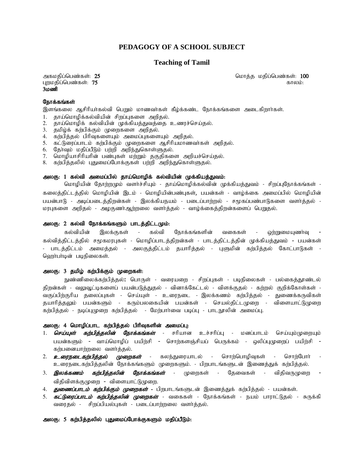#### **PEDAGOGY OF A SCHOOL SUBJECT**

#### **Teaching of Tamil**

புறமதிப்பெண்கள்:  $75$  $3n$ 

mfkjpg;ngz;fs;: 25 nkhj ;j kjpg;ngz;fs;: 100

#### நோக்கங்கள்

இளங்கலை ஆசிரியர்கல்வி பெறும் மாணவர்கள் கீழ்க்கண்ட நோக்கங்களை அடைகிறார்கள்.

- 1. தாய்மொழிக்கல்வியின் சிறப்புகளை அறிதல்.
- 2. தாய்மொழிக் கல்வியின் முக்கியத்துவத்தை உணரச்செய்தல்.
- 3. தமிழ்க் கற்பிக்கும் முறைகளை அறிதல்.
- 4. கர்பித்தல் பிரிவுகளையும் அமைப்புகளையும் அறிதல்.
- 5. கட்டுரைப்பாடம் கற்பிக்கும் முறைகளை ஆசிரியமாணவர்கள் அறிதல்.
- 6. தோ்வும் மதிப்பீடும் பற்றி அறிந்துகொள்ளுதல்.
- 7. மொழியாசிரியரின் பண்புகள் மற்றும் தகுதிகளை அறியச்செய்தல்.
- 8. கற்பித்தலில் புதுமைப்போக்குகள் பற்றி அறிந்துகொள்ளுதல்.

#### அலகு: 1 கல்வி அமைப்பில் தாய்மொழிக் கல்வியின் முக்கியத்துவம்:

மொழியின் தோற்றமும் வளர்ச்சியும் - தாய்மொழிக்கல்வின் முக்கியத்துவம் - சிறப்புநோக்கங்கள் -கலைத்திட்டத்தில் மொழியின் இடம் - மொழியின்பண்புகள், பயன்கள் - வாழ்க்கை அமைப்பில் மொழியின் பயன்பாடு - அடிப்படைத்திறன்கள் - இலக்கியநயம் - படைப்பாற்றல் - சமூகப்பண்பாடுகளை வளர்த்தல் -மரபுகளை அறிதல் - அழகுணர்ஆற்றலை வளர்த்தல் - வாழ்க்கைத்திறன்களைப் பெறுதல்.

#### அலகு: 2 கல்வி நோக்கங்களும் பாடத்திட்டமும்:

கல்வியின் இலக்குகள் - கல்வி நோக்கங்களின் வகைகள் - ஒற்றுமையுணாவு கல்வித்திட்டத்தில் சமூகமரபுகள் - மொழிப்பாடத்திறன்கள் - பாடத்திட்டத்தின் முக்கியத்துவம் - பயன்கள் - பாடத்திட்டம் அமைத்தல் - அலகுத்திட்டம் தயாரித்தல் - புளுமின் கற்பித்தல் கோட்பாடுகள் -வெராபாடின் படிநிலைகள்.

#### அலகு: 3 தமிழ் கற்பிக்கும் முறைகள்:

நுண்ணிலைக்கற்பித்தல்**:** பொருள் - வரையறை - சிறப்புகள் - படிநிலைகள் - பல்கைத்தூண்டல் திறன்கள் - வலுவூட்டிகளைப் பயன்படுத்துதல் - வினாக்கேட்டல் - விளக்குதல் - கற்றல் குறிக்கோள்கள் -வகுப்பிற்குரிய தலைப்புகள் - செய்யுள் - உரைநடை - இலக்கணம் கற்பித்தல் - துணைக்கருவிகள் தயாரித்தலும் பயன்களும் - கரும்பலகையின் பயன்கள் - செயல்திட்டமுறை - விளையாட்டுமுறை கற்பித்தல் - நடிப்புமுறை கற்பித்தல் - மேற்பார்வை படிப்பு - பாடநூலின் அமைப்பு.

#### அலகு: 4 மொழிப்பாட கற்பித்தல் பிரிவுகளின் அமைப்பு:

- 1. செய்யுள் கற்பித்தலின் நோக்கங்கள் சரியான உச்சரிப்பு மனப்பாடம் செய்யும்முறையும் பயன்களும் - வாய்மொழிப் பயிற்சி - சொற்களஞ்சியப் பெருக்கம் - ஒலிப்புமுறைப் பயிற்சி -கற்பனையாற்றலை வளர்த்தல்.
- 2. *உரைநடைகற்பித்தல் முறைகள்* கலந்துரையாடல் சொற்பொழிவுகள் சொற்போா் உரைநடைகற்பித்தலின் நோக்கங்களும் முறைகளும். - பிறபாடங்களுடன் இணைத்துக் கற்பித்தல்.
- 3. *இலக்கணம் கற்பித்தலின் நோக்கங்கள்* முறைகள் தேவைகள் விதிவருமுறை **-**விதிவிளக்குமுறை - விளையாட்டுமுறை.
- 4. *துணைப்பாடம் கற்பிக்கும் முறைகள் -* பிறபாடங்களுடன் இணைத்துக் கற்பித்தல் பயன்கள்.
- 5. *கட்டுரைப்பாடம் கற்பித்தலின் முறைகள்* வகைகள் நோக்கங்கள் நயம் பாராட்டுதல் சுருக்கி வரைதல் - சிறப்பியல்புகள் - படைப்பாற்றலை வளர்த்தல்.

#### அலகு: 5 கற்பித்தலில் புதுமைப்போக்குகளும் மதிப்பீடும்: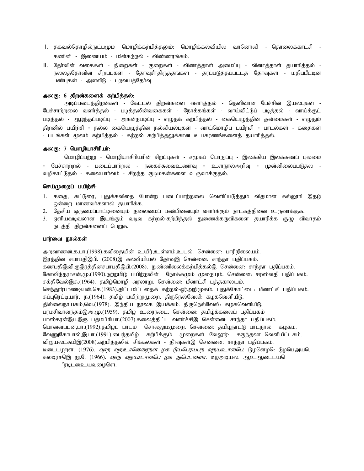- I. தகவல்தொழில்நுட்பமும் மொழிக்கற்பித்தலும்: மொழிக்கல்வியில் வானொலி தொலைக்காட்சி -கணினி - இணையம் - மின்கர்றுல் - விண்ணரங்கம்.
- II. தேர்வின் வகைகள் நிறைகள் குறைகள் வினாத்தாள் அமைப்பு வினாத்தாள் தயாரித்தல் -நல்லத்தோவின் சிறப்புகள் - தோவுசீர்திருத்தங்கள் - தரப்படுத்தப்பட்டத் தோவுகள் - மதிப்பீட்டின் பண்புகள் - அளவீடு - புறவயத்தோவு.

#### அலகு: 6 திறன்களைக் கற்பித்தல்:

அடிப்படைத்திறன்கள் - கேட்டல் திறன்களை வளர்த்தல் - தெளிவான பேச்சின் இயல்புகள் -பேச்சாற்றலை வளர்த்தல் - படித்தலின்வகைகள் - நோக்கங்கள் - வாய்விட்டுப் படித்தல் - வாய்க்குட் படித்தல் - அம்ந்தப்படிப்பு - அகன்றுபடிப்பு - எமுதக் கற்பித்தல் - கையெமுத்தின் தன்மைகள் - எமுதும் திறனில் பயிற்சி - நல்ல கையெழுத்தின் நல்லியல்புகள் - வாய்மொழிப் பயிற்சி - பாடல்கள் - கதைகள் - படங்கள் மூலம் கற்பித்தல் - கற்றல் கற்பித்தலுக்கான உபகரணங்களைத் தயாரித்தல்.

#### அலகு:  $7 \,$  மொழியாசிரியா்:

மொழிப்பற்று - மொழியாசிரியாின் சிறப்புகள் - சமூகப் பொறுப்பு - இலக்கிய இலக்கணப் புலமை - பேச்சாற்றல் - படைப்பாற்றல் - நகைச்சுவைஉணர்வு - உளநூல்அறிவு - முன்னிலைப்படுதல் -வழிகாட்டுதல் - கலையாா்வம் - சிறந்த குடிமகன்களை உருவாக்குதல்.

#### செய்முறைப் பயிற்சி:

- 1. கதை, கட்டுரை, புதுக்கவிதை போன்ற படைப்பாற்றலை வெளிப்படுத்தும் விதமான கல்லூரி இதழ் ஒன்றை மாணவா்களால் தயாரிக்க.
- 2. தேசிய ஒருமைப்பாட்டினையும் தலைமைப் பண்பினையும் வளர்க்கும் நாடகத்தினை உருவாக்குக.
- 3. ஏளியவடிவலான இயங்கும் வடிவ கற்றல்-கற்பித்தல் துணைக்கருவிகளை தயாரிக்க குழு விவாதம் நடத்தி திறன்களைப் பெறுக.

#### பார்வை நூல்கள்

அறவாணன்,க.பா.(1998).கவிதையின் உயிர்,உள்ளம்,உடல். சென்னை: பாரிநிலையம். இரத்தின சபாபதிஇபி. (2008)இ கல்வியியல் தேர்வுஇ சென்னை: சாந்தா பதிப்பகம். கணபதிஇவி.ருஇரத்தினசபாபதிஇபி.(2008). நுண்ணிலைக்கற்பித்தல்இ சென்னை: சாந்தா பதிப்பகம். கோவிந்தராசன்,மு.(1990).நற்றமிழ் பயிற்றலின் நோக்கமும் முறையும். சென்னை: சரஸ்வதி பதிப்பகம். சக்திவேல்இசு.(1964). தமிழ்மொழி வரலாறு. சென்னை: மீனாட்சி புத்தகாலயம். செந்தூர்பாண்டியன்,செ.(1983).திட்டமிட்டதைக் கற்றல்-ஓர்அறிமுகம். புதுக்கோட்டை: மீனாட்சி பதிப்பகம். சுப்புரெட்டியார், ந.(1964). தமிழ் பயிற்றுமுறை. திருநெல்வேலி: கழகவெளியீடு. தில்லைநாயகம்,வெ.(1978). இந்திய நூலக இயக்கம். திருநெல்வேலி: கழகவெளியீடு. பரமசிவானந்தம்இஅ.மு.(1959). தமிழ் உரைநடை. சென்னை: தமிழ்க்கலைப் பதிப்பகம் பாஸ்கரன்இப.இரு பத்மபிரியா.(2007).கலைத்திட்ட வளர்ச்சிஇ சென்னை: சாந்தா பதிப்பகம். பொன்னப்பன்,பா.(1992).தமிழ்ப் பாடம் சொல்லும்முறை. சென்னை: தமிழ்நாட்டு பாடநூல் கழகம். வேணுகோபால்,இ.பா.(1991).பைந்தமிழ் கற்பிக்கும் முறைகள். வேலூர்: சகுந்தலா வெளியீட்டகம். விஐயலட்சுமிஇ(2008).கற்பித்தலில் சிக்கல்கள் - தீர்வுகள்இ சென்னை: சாந்தா பதிப்பகம். டீடைடழறள. (1976). *வுாந வுநஉாலெஙரநள ழக டுயபெரயபந வநயஉாலை.* டுழனெழ**ெ டுழ**பெஅய**ெ** சுலடிரசஇெறு.டே (1966). *வூரந வுநயஉாலிை ழக நுபெடளைா.* டீழஅடியல: ஆஉஆடைடயடெ ீரடிடஉையவழைளெ.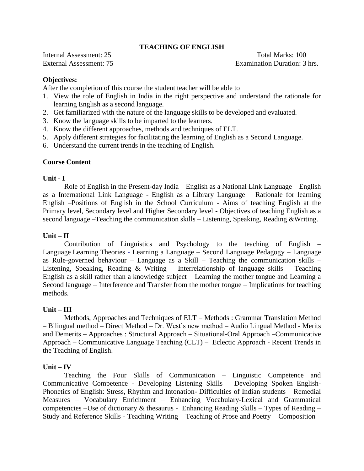#### **TEACHING OF ENGLISH**

Internal Assessment: 25 Total Marks: 100 External Assessment: 75 Examination Duration: 3 hrs.

#### **Objectives:**

After the completion of this course the student teacher will be able to

- 1. View the role of English in India in the right perspective and understand the rationale for learning English as a second language.
- 2. Get familiarized with the nature of the language skills to be developed and evaluated.
- 3. Know the language skills to be imparted to the learners.
- 4. Know the different approaches, methods and techniques of ELT.
- 5. Apply different strategies for facilitating the learning of English as a Second Language.
- 6. Understand the current trends in the teaching of English.

#### **Course Content**

#### **Unit - I**

Role of English in the Present-day India – English as a National Link Language – English as a International Link Language - English as a Library Language – Rationale for learning English –Positions of English in the School Curriculum - Aims of teaching English at the Primary level, Secondary level and Higher Secondary level - Objectives of teaching English as a second language –Teaching the communication skills – Listening, Speaking, Reading &Writing.

#### **Unit – II**

Contribution of Linguistics and Psychology to the teaching of English – [Language](http://www.indiastudychannel.com/resources/35530-ADIKAVI-NANNAYA-UNIVERSITY-M-A-English-IV.aspx##) Learning Theories - Learning a Language – Second Language Pedagogy – Language as Rule-governed behaviour – Language as a Skill – Teaching the communication skills – Listening, Speaking, Reading & Writing – Interrelationship of language skills – Teaching English as a skill rather than a knowledge subject – Learning the mother tongue and Learning a Second language – Interference and Transfer from the mother tongue – Implications for teaching methods.

#### **Unit – III**

Methods, Approaches and Techniques of ELT – Methods : Grammar Translation Method – Bilingual method – Direct Method – Dr. West's new method – Audio Lingual Method - Merits and Demerits – Approaches : Structural Approach – Situational-Oral Approach –Communicative Approach – Communicative Language Teaching (CLT) – Eclectic Approach - Recent Trends in the Teaching of English.

#### **Unit – IV**

Teaching the Four Skills of Communication – Linguistic Competence and Communicative Competence - Developing Listening Skills – Developing Spoken English-Phonetics of English: Stress, Rhythm and Intonation- Difficulties of Indian students – Remedial Measures – Vocabulary Enrichment – Enhancing Vocabulary-Lexical and Grammatical competencies –Use of dictionary & thesaurus - Enhancing Reading Skills – Types of Reading – Study and Reference Skills - Teaching Writing – Teaching of Prose and Poetry – Composition –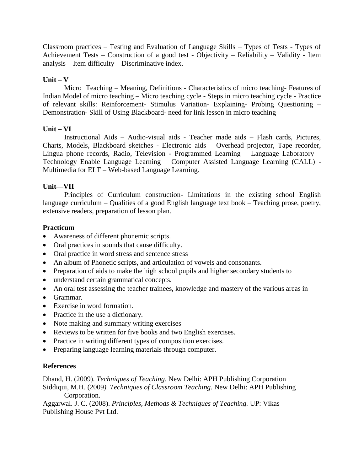Classroom practices – Testing and Evaluation of Language Skills – Types of Tests - Types of Achievement Tests – Construction of a good test - Objectivity – Reliability – Validity - Item analysis – Item difficulty – Discriminative index.

#### **Unit – V**

Micro Teaching – Meaning, Definitions - Characteristics of micro teaching- Features of Indian Model of micro teaching – Micro teaching cycle - Steps in micro teaching cycle - Practice of relevant skills: Reinforcement- Stimulus Variation- Explaining- Probing Questioning – Demonstration- Skill of Using Blackboard- need for link lesson in micro teaching

#### **Unit – VI**

Instructional Aids – Audio-visual aids - Teacher made aids – Flash cards, Pictures, Charts, Models, Blackboard sketches - Electronic aids – Overhead projector, Tape recorder, Lingua phone records, Radio, Television - Programmed Learning – Language Laboratory – Technology Enable Language Learning – Computer Assisted Language Learning (CALL) - Multimedia for ELT – Web-based Language Learning.

#### **Unit—VII**

Principles of Curriculum construction- Limitations in the existing school English language curriculum – Qualities of a good English language text book – Teaching prose, poetry, extensive readers, preparation of lesson plan.

#### **Practicum**

- Awareness of different phonemic scripts.
- Oral practices in sounds that cause difficulty.
- Oral practice in word stress and sentence stress
- An album of Phonetic scripts, and articulation of vowels and consonants.
- Preparation of aids to make the high school pupils and higher secondary students to
- understand certain grammatical concepts.
- An oral test assessing the teacher trainees, knowledge and mastery of the various areas in
- Grammar.
- Exercise in word formation.
- Practice in the use a dictionary.
- Note making and summary writing exercises
- Reviews to be written for five books and two English exercises.
- Practice in writing different types of composition exercises.
- Preparing language learning materials through computer.

#### **References**

Dhand, H. (2009). *Techniques of Teaching*. New Delhi: APH Publishing Corporation Siddiqui, M.H. (2009*). Techniques of Classroom Teaching*. New Delhi: APH Publishing Corporation.

Aggarwal. J. C. (2008). *Principles, Methods & Techniques of Teaching.* UP: Vikas Publishing House Pvt Ltd.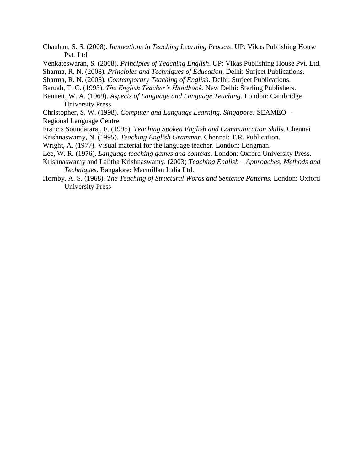- Chauhan, S. S. (2008). *Innovations in Teaching Learning Process*. UP: Vikas Publishing House Pvt. Ltd.
- Venkateswaran, S. (2008). *Principles of Teaching English*. UP: Vikas Publishing House Pvt. Ltd.

Sharma, R. N. (2008). *Principles and Techniques of Education*. Delhi: Surjeet Publications.

- Sharma, R. N. (2008). *Contemporary Teaching of English*. Delhi: Surjeet Publications.
- Baruah, T. C. (1993). *The English Teacher's Handbook.* New Delhi: Sterling Publishers.
- Bennett, W. A. (1969). *Aspects of Language and Language Teaching.* London: Cambridge University Press.
- Christopher, S. W. (1998). *Computer and Language Learning. Singapore:* SEAMEO Regional Language Centre.
- Francis Soundararaj, F. (1995). *Teaching Spoken English and Communication Skills*. Chennai
- Krishnaswamy, N. (1995). *Teaching English Grammar*. Chennai: T.R. Publication.
- Wright, A. (1977). Visual material for the language teacher. London: Longman.
- Lee, W. R. (1976). *Language teaching games and contexts.* London: Oxford University Press.
- Krishnaswamy and Lalitha Krishnaswamy. (2003) *Teaching English – Approaches, Methods and Techniques*. Bangalore: Macmillan India Ltd.
- Hornby, A. S. (1968). *The Teaching of Structural Words and Sentence Patterns.* London: Oxford University Press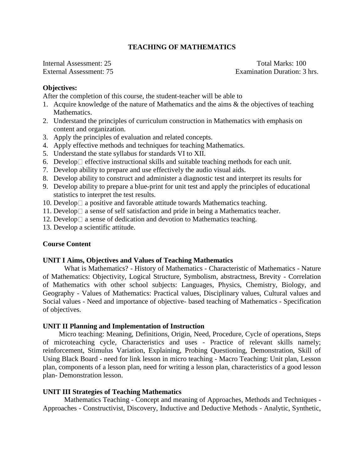#### **TEACHING OF MATHEMATICS**

Internal Assessment: 25 Total Marks: 100 External Assessment: 75 Examination Duration: 3 hrs.

#### **Objectives:**

After the completion of this course, the student-teacher will be able to

- 1. Acquire knowledge of the nature of Mathematics and the aims & the objectives of teaching Mathematics.
- 2. Understand the principles of curriculum construction in Mathematics with emphasis on content and organization.
- 3. Apply the principles of evaluation and related concepts.
- 4. Apply effective methods and techniques for teaching Mathematics.
- 5. Understand the state syllabus for standards VI to XII.
- 6. Develop  $\Box$  effective instructional skills and suitable teaching methods for each unit.
- 7. Develop ability to prepare and use effectively the audio visual aids.
- 8. Develop ability to construct and administer a diagnostic test and interpret its results for
- 9. Develop ability to prepare a blue-print for unit test and apply the principles of educational statistics to interpret the test results.
- 10. Develop  $\Box$  a positive and favorable attitude towards Mathematics teaching.
- 11. Develop  $\Box$  a sense of self satisfaction and pride in being a Mathematics teacher.
- 12. Develop  $\Box$  a sense of dedication and devotion to Mathematics teaching.
- 13. Develop a scientific attitude.

#### **Course Content**

#### **UNIT I Aims, Objectives and Values of Teaching Mathematics**

What is Mathematics? - History of Mathematics - Characteristic of Mathematics - Nature of Mathematics: Objectivity, Logical Structure, Symbolism, abstractness, Brevity - Correlation of Mathematics with other school subjects: Languages, Physics, Chemistry, Biology, and Geography - Values of Mathematics: Practical values, Disciplinary values, Cultural values and Social values - Need and importance of objective- based teaching of Mathematics - Specification of objectives.

#### **UNIT II Planning and Implementation of Instruction**

Micro teaching: Meaning, Definitions, Origin, Need, Procedure, Cycle of operations, Steps of microteaching cycle, Characteristics and uses - Practice of relevant skills namely; reinforcement, Stimulus Variation, Explaining, Probing Questioning, Demonstration, Skill of Using Black Board - need for link lesson in micro teaching - Macro Teaching: Unit plan, Lesson plan, components of a lesson plan, need for writing a lesson plan, characteristics of a good lesson plan- Demonstration lesson.

#### **UNIT III Strategies of Teaching Mathematics**

Mathematics Teaching - Concept and meaning of Approaches, Methods and Techniques - Approaches - Constructivist, Discovery, Inductive and Deductive Methods - Analytic, Synthetic,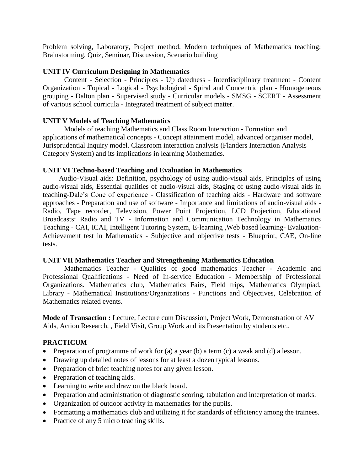Problem solving, Laboratory, Project method. Modern techniques of Mathematics teaching: Brainstorming, Quiz, Seminar, Discussion, Scenario building

#### **UNIT IV Curriculum Designing in Mathematics**

Content - Selection - Principles - Up datedness - Interdisciplinary treatment - Content Organization - Topical - Logical - Psychological - Spiral and Concentric plan - Homogeneous grouping - Dalton plan - Supervised study - Curricular models - SMSG - SCERT - Assessment of various school curricula - Integrated treatment of subject matter.

#### **UNIT V Models of Teaching Mathematics**

Models of teaching Mathematics and Class Room Interaction - Formation and applications of mathematical concepts - Concept attainment model, advanced organiser model, Jurisprudential Inquiry model. Classroom interaction analysis (Flanders Interaction Analysis Category System) and its implications in learning Mathematics.

#### **UNIT VI Techno-based Teaching and Evaluation in Mathematics**

Audio-Visual aids: Definition, psychology of using audio-visual aids, Principles of using audio-visual aids, Essential qualities of audio-visual aids, Staging of using audio-visual aids in teaching-Dale's Cone of experience - Classification of teaching aids - Hardware and software approaches - Preparation and use of software - Importance and limitations of audio-visual aids - Radio, Tape recorder, Television, Power Point Projection, LCD Projection, Educational Broadcasts: Radio and TV - Information and Communication Technology in Mathematics Teaching - CAI, ICAI, Intelligent Tutoring System, E-learning ,Web based learning- Evaluation-Achievement test in Mathematics - Subjective and objective tests - Blueprint, CAE, On-line tests.

#### **UNIT VII Mathematics Teacher and Strengthening Mathematics Education**

Mathematics Teacher - Qualities of good mathematics Teacher - Academic and Professional Qualifications - Need of In-service Education - Membership of Professional Organizations. Mathematics club, Mathematics Fairs, Field trips, Mathematics Olympiad, Library - Mathematical Institutions/Organizations - Functions and Objectives, Celebration of Mathematics related events.

**Mode of Transaction :** Lecture, Lecture cum Discussion, Project Work, Demonstration of AV Aids, Action Research, , Field Visit, Group Work and its Presentation by students etc.,

#### **PRACTICUM**

- Preparation of programme of work for (a) a year (b) a term (c) a weak and (d) a lesson.
- Drawing up detailed notes of lessons for at least a dozen typical lessons.
- Preparation of brief teaching notes for any given lesson.
- Preparation of teaching aids.
- Learning to write and draw on the black board.
- Preparation and administration of diagnostic scoring, tabulation and interpretation of marks.
- Organization of outdoor activity in mathematics for the pupils.
- Formatting a mathematics club and utilizing it for standards of efficiency among the trainees.
- Practice of any 5 micro teaching skills.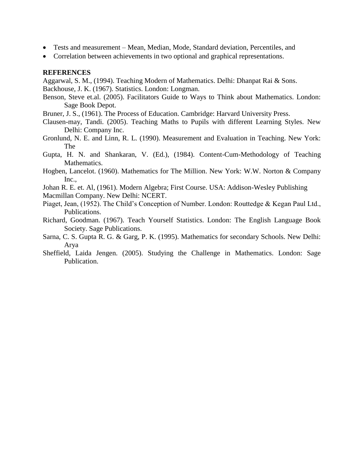- Tests and measurement Mean, Median, Mode, Standard deviation, Percentiles, and
- Correlation between achievements in two optional and graphical representations.

#### **REFERENCES**

Aggarwal, S. M., (1994). Teaching Modern of Mathematics. Delhi: Dhanpat Rai & Sons.

Backhouse, J. K. (1967). Statistics. London: Longman.

- Benson, Steve et.al. (2005). Facilitators Guide to Ways to Think about Mathematics. London: Sage Book Depot.
- Bruner, J. S., (1961). The Process of Education. Cambridge: Harvard University Press.
- Clausen-may, Tandi. (2005). Teaching Maths to Pupils with different Learning Styles. New Delhi: Company Inc.
- Gronlund, N. E. and Linn, R. L. (1990). Measurement and Evaluation in Teaching. New York: The
- Gupta, H. N. and Shankaran, V. (Ed.), (1984). Content-Cum-Methodology of Teaching Mathematics.
- Hogben, Lancelot. (1960). Mathematics for The Million. New York: W.W. Norton & Company Inc.,
- Johan R. E. et. Al, (1961). Modern Algebra; First Course. USA: Addison-Wesley Publishing
- Macmillan Company. New Delhi: NCERT.
- Piaget, Jean, (1952). The Child's Conception of Number. London: Routtedge & Kegan Paul Ltd., Publications.
- Richard, Goodman. (1967). Teach Yourself Statistics. London: The English Language Book Society. Sage Publications.
- Sarna, C. S. Gupta R. G. & Garg, P. K. (1995). Mathematics for secondary Schools. New Delhi: Arya
- Sheffield, Laida Jengen. (2005). Studying the Challenge in Mathematics. London: Sage Publication.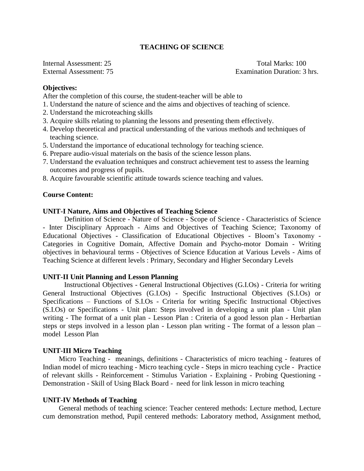#### **TEACHING OF SCIENCE**

Internal Assessment: 25 Total Marks: 100 External Assessment: 75 Examination Duration: 3 hrs.

#### **Objectives:**

After the completion of this course, the student-teacher will be able to

- 1. Understand the nature of science and the aims and objectives of teaching of science.
- 2. Understand the microteaching skills
- 3. Acquire skills relating to planning the lessons and presenting them effectively.
- 4. Develop theoretical and practical understanding of the various methods and techniques of teaching science.
- 5. Understand the importance of educational technology for teaching science.
- 6. Prepare audio-visual materials on the basis of the science lesson plans.
- 7. Understand the evaluation techniques and construct achievement test to assess the learning outcomes and progress of pupils.
- 8. Acquire favourable scientific attitude towards science teaching and values.

#### **Course Content:**

#### **UNIT-I Nature, Aims and Objectives of Teaching Science**

Definition of Science - Nature of Science - Scope of Science - Characteristics of Science - Inter Disciplinary Approach - Aims and Objectives of Teaching Science; Taxonomy of Educational Objectives - Classification of Educational Objectives - Bloom's Taxonomy - Categories in Cognitive Domain, Affective Domain and Psycho-motor Domain - Writing objectives in behavioural terms - Objectives of Science Education at Various Levels - Aims of Teaching Science at different levels : Primary, Secondary and Higher Secondary Levels

#### **UNIT-II Unit Planning and Lesson Planning**

Instructional Objectives - General Instructional Objectives (G.I.Os) - Criteria for writing General Instructional Objectives (G.I.Os) - Specific Instructional Objectives (S.I.Os) or Specifications – Functions of S.I.Os - Criteria for writing Specific Instructional Objectives (S.I.Os) or Specifications - Unit plan: Steps involved in developing a unit plan - Unit plan writing - The format of a unit plan - Lesson Plan : Criteria of a good lesson plan - Herbartian steps or steps involved in a lesson plan - Lesson plan writing - The format of a lesson plan – model Lesson Plan

#### **UNIT-III Micro Teaching**

Micro Teaching - meanings, definitions - Characteristics of micro teaching - features of Indian model of micro teaching - Micro teaching cycle - Steps in micro teaching cycle - Practice of relevant skills - Reinforcement - Stimulus Variation - Explaining - Probing Questioning - Demonstration - Skill of Using Black Board - need for link lesson in micro teaching

#### **UNIT-IV Methods of Teaching**

General methods of teaching science: Teacher centered methods: Lecture method, Lecture cum demonstration method, Pupil centered methods: Laboratory method, Assignment method,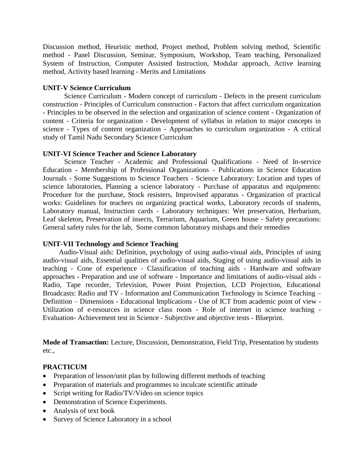Discussion method, Heuristic method, Project method, Problem solving method, Scientific method - Panel Discussion, Seminar, Symposium, Workshop, Team teaching, Personalized System of Instruction, Computer Assisted Instruction, Modular approach, Active learning method, Activity based learning - Merits and Limitations

#### **UNIT-V Science Curriculum**

Science Curriculum - Modern concept of curriculum - Defects in the present curriculum construction - Principles of Curriculum construction - Factors that affect curriculum organization - Principles to be observed in the selection and organization of science content - Organization of content - Criteria for organization - Development of syllabus in relation to major concepts in science - Types of content organization - Approaches to curriculum organization - A critical study of Tamil Nadu Secondary Science Curriculum

#### **UNIT-VI Science Teacher and Science Laboratory**

Science Teacher - Academic and Professional Qualifications - Need of In-service Education - Membership of Professional Organizations - Publications in Science Education Journals - Some Suggestions to Science Teachers - Science Laboratory: Location and types of science laboratories, Planning a science laboratory - Purchase of apparatus and equipments: Procedure for the purchase, Stock resisters, Improvised apparatus - Organization of practical works: Guidelines for teachers on organizing practical works, Laboratory records of students, Laboratory manual, Instruction cards - Laboratory techniques: Wet preservation, Herbarium, Leaf skeleton, Preservation of insects, Terrarium, Aquarium, Green house - Safety precautions: General safety rules for the lab, Some common laboratory mishaps and their remedies

#### **UNIT-VII Technology and Science Teaching**

Audio-Visual aids: Definition, psychology of using audio-visual aids, Principles of using audio-visual aids, Essential qualities of audio-visual aids, Staging of using audio-visual aids in teaching - Cone of experience - Classification of teaching aids - Hardware and software approaches - Preparation and use of software - Importance and limitations of audio-visual aids - Radio, Tape recorder, Television, Power Point Projection, LCD Projection, Educational Broadcasts: Radio and TV - Information and Communication Technology in Science Teaching – Definition – Dimensions - Educational Implications - Use of ICT from academic point of view - Utilization of e-resources in science class room - Role of internet in science teaching - Evaluation- Achievement test in Science - Subjective and objective tests - Blueprint.

**Mode of Transaction:** Lecture, Discussion, Demonstration, Field Trip, Presentation by students etc.,

#### **PRACTICUM**

- Preparation of lesson/unit plan by following different methods of teaching
- Preparation of materials and programmes to inculcate scientific attitude
- Script writing for Radio/TV/Video on science topics
- Demonstration of Science Experiments.
- Analysis of text book
- Survey of Science Laboratory in a school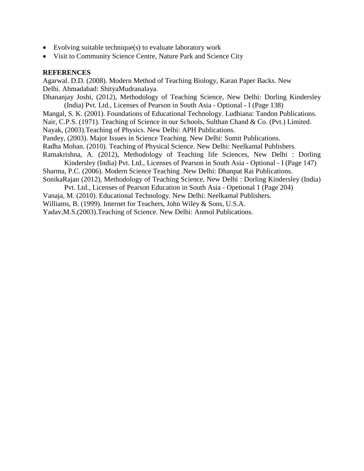- Evolving suitable technique(s) to evaluate laboratory work
- Visit to Community Science Centre, Nature Park and Science City

#### **REFERENCES**

Agarwal. D.D. (2008). Modern Method of Teaching Biology, Karan Paper Backs. New Delhi. Ahmadabad: ShityaMudranalaya.

Dhananjay Joshi, (2012), Methodology of Teaching Science, New Delhi: Dorling Kindersley (India) Pvt. Ltd., Licenses of Pearson in South Asia - Optional - I (Page 138)

Mangal, S. K. (2001). Foundations of Educational Technology. Ludhiana: Tandon Publications.

Nair, C.P.S. (1971). Teaching of Science in our Schools, Sulthan Chand & Co. (Pvt.) Limited.

Nayak, (2003).Teaching of Physics. New Delhi: APH Publications.

Pandey, (2003). Major Issues in Science Teaching. New Delhi: Sumit Publications.

Radha Mohan. (2010). Teaching of Physical Science. New Delhi: Neelkamal Publishers.

Ramakrishna, A. (2012), Methodology of Teaching life Sciences, New Delhi : Dorling

Kindersley (India) Pvt. Ltd., Licenses of Pearson in South Asia - Optional - I (Page 147) Sharma, P.C. (2006). Modern Science Teaching .New Delhi: Dhanpat Rai Publications.

SonikaRajan (2012), Methodology of Teaching Science, New Delhi : Dorling Kindersley (India)

Pvt. Ltd., Licenses of Pearson Education in South Asia - Opetional 1 (Page 204)

Vanaja, M. (2010). Educational Technology. New Delhi: Neelkamal Publishers.

Williams, B. (1999). Internet for Teachers, John Wiley & Sons, U.S.A.

Yadav,M.S.(2003).Teaching of Science. New Delhi: Anmol Publications.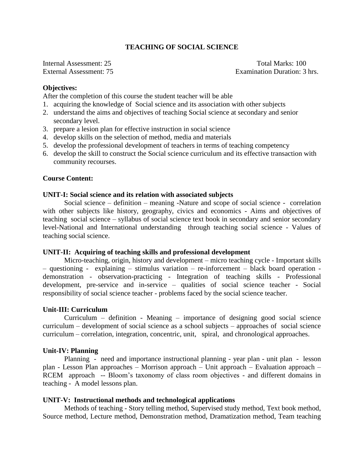#### **TEACHING OF SOCIAL SCIENCE**

Internal Assessment: 25 Total Marks: 100 External Assessment: 75 Examination Duration: 3 hrs.

#### **Objectives:**

After the completion of this course the student teacher will be able

- 1. acquiring the knowledge of Social science and its association with other subjects
- 2. understand the aims and objectives of teaching Social science at secondary and senior secondary level.
- 3. prepare a lesion plan for effective instruction in social science
- 4. develop skills on the selection of method, media and materials
- 5. develop the professional development of teachers in terms of teaching competency
- 6. develop the skill to construct the Social science curriculum and its effective transaction with community recourses.

#### **Course Content:**

#### **UNIT-I: Social science and its relation with associated subjects**

Social science – definition – meaning -Nature and scope of social science - correlation with other subjects like history, geography, civics and economics - Aims and objectives of teaching social science – syllabus of social science text book in secondary and senior secondary level-National and International understanding through teaching social science - Values of teaching social science.

#### **UNIT-II: Acquiring of teaching skills and professional development**

Micro-teaching, origin, history and development – micro teaching cycle - Important skills – questioning - explaining – stimulus variation – re-inforcement – black board operation demonstration - observation-practicing - Integration of teaching skills - Professional development, pre-service and in-service – qualities of social science teacher - Social responsibility of social science teacher - problems faced by the social science teacher.

#### **Unit-III: Curriculum**

Curriculum – definition - Meaning – importance of designing good social science curriculum – development of social science as a school subjects – approaches of social science curriculum – correlation, integration, concentric, unit, spiral, and chronological approaches.

#### **Unit-IV: Planning**

Planning - need and importance instructional planning - year plan - unit plan - lesson plan - Lesson Plan approaches – Morrison approach – Unit approach – Evaluation approach – RCEM approach -- Bloom's taxonomy of class room objectives - and different domains in teaching - A model lessons plan.

#### **UNIT-V: Instructional methods and technological applications**

Methods of teaching - Story telling method, Supervised study method, Text book method, Source method, Lecture method, Demonstration method, Dramatization method, Team teaching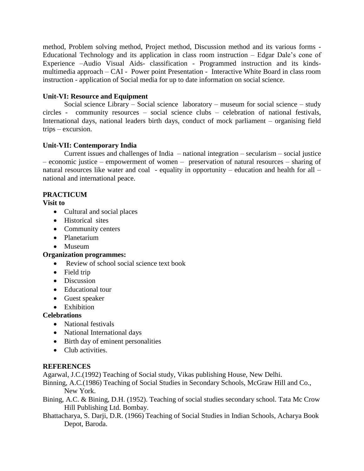method, Problem solving method, Project method, Discussion method and its various forms - Educational Technology and its application in class room instruction – Edgar Dale's cone of Experience –Audio Visual Aids- classification - Programmed instruction and its kindsmultimedia approach – CAI - Power point Presentation - Interactive White Board in class room instruction - application of Social media for up to date information on social science.

#### **Unit-VI: Resource and Equipment**

Social science Library – Social science laboratory – museum for social science – study circles - community resources – social science clubs – celebration of national festivals, International days, national leaders birth days, conduct of mock parliament – organising field trips – excursion.

#### **Unit-VII: Contemporary India**

Current issues and challenges of India – national integration – secularism – social justice – economic justice – empowerment of women – preservation of natural resources – sharing of natural resources like water and coal - equality in opportunity – education and health for all – national and international peace.

#### **PRACTICUM**

**Visit to** 

- Cultural and social places
- Historical sites
- Community centers
- Planetarium
- Museum

#### **Organization programmes:**

- Review of school social science text book
- Field trip
- Discussion
- Educational tour
- Guest speaker
- Exhibition

#### **Celebrations**

- National festivals
- National International days
- Birth day of eminent personalities
- Club activities.

#### **REFERENCES**

Agarwal, J.C.(1992) Teaching of Social study, Vikas publishing House, New Delhi.

Binning, A.C.(1986) Teaching of Social Studies in Secondary Schools, McGraw Hill and Co., New York.

- Bining, A.C. & Bining, D.H. (1952). Teaching of social studies secondary school. Tata Mc Crow Hill Publishing Ltd. Bombay.
- Bhattacharya, S. Darji, D.R. (1966) Teaching of Social Studies in Indian Schools, Acharya Book Depot, Baroda.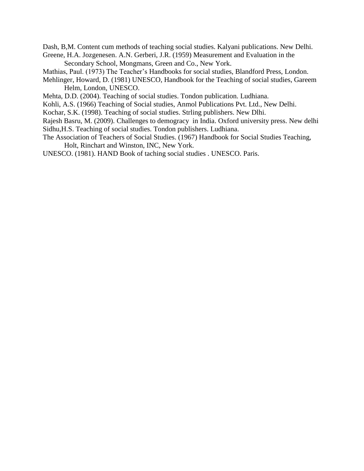Dash, B,M. Content cum methods of teaching social studies. Kalyani publications. New Delhi. Greene, H.A. Jozgenesen. A.N. Gerberi, J.R. (1959) Measurement and Evaluation in the

Secondary School, Mongmans, Green and Co., New York.

Mathias, Paul. (1973) The Teacher's Handbooks for social studies, Blandford Press, London.

Mehlinger, Howard, D. (1981) UNESCO, Handbook for the Teaching of social studies, Gareem Helm, London, UNESCO.

Mehta, D.D. (2004). Teaching of social studies. Tondon publication. Ludhiana.

Kohli, A.S. (1966) Teaching of Social studies, Anmol Publications Pvt. Ltd., New Delhi.

Kochar, S.K. (1998). Teaching of social studies. Strling publishers. New Dlhi.

Rajesh Basru, M. (2009). Challenges to demogracy in India. Oxford university press. New delhi Sidhu,H.S. Teaching of social studies. Tondon publishers. Ludhiana.

The Association of Teachers of Social Studies. (1967) Handbook for Social Studies Teaching, Holt, Rinchart and Winston, INC, New York.

UNESCO. (1981). HAND Book of taching social studies . UNESCO. Paris.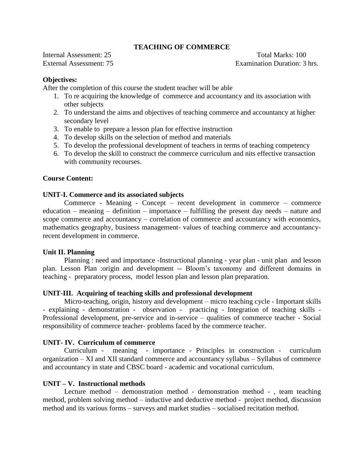### **TEACHING OF COMMERCE**

Internal Assessment: 25 Total Marks: 100

External Assessment: 75 Examination Duration: 3 hrs.

### **Objectives:**

After the completion of this course the student teacher will be able

- 1. To re acquiring the knowledge of commerce and accountancy and its association with other subjects
- 2. To understand the aims and objectives of teaching commerce and accountancy at higher secondary level
- 3. To enable to prepare a lesson plan for effective instruction
- 4. To develop skills on the selection of method and materials
- 5. To develop the professional development of teachers in terms of teaching competency
- 6. To develop the skill to construct the commerce curriculum and nits effective transaction with community recourses.

### **Course Content:**

#### **UNIT-I. Commerce and its associated subjects**

Commerce - Meaning - Concept – recent development in commerce – commerce education – meaning – definition – importance – fulfilling the present day needs – nature and scope commerce and accountancy – correlation of commerce and accountancy with economics, mathematics geography, business management- values of teaching commerce and accountancyrecent development in commerce.

#### **Unit II. Planning**

Planning : need and importance -Instructional planning - year plan - unit plan and lesson plan. Lesson Plan :origin and development -- Bloom's taxonomy and different domains in teaching - preparatory process, model lesson plan and lesson plan preparation.

#### **UNIT-III. Acquiring of teaching skills and professional development**

Micro-teaching, origin, history and development – micro teaching cycle - Important skills - explaining - demonstration - observation - practicing - Integration of teaching skills - Professional development, pre-service and in-service – qualities of commerce teacher - Social responsibility of commerce teacher- problems faced by the commerce teacher.

#### **UNIT- IV. Curriculum of commerce**

Curriculum - meaning - importance - Principles in construction - curriculum organization – XI and XII standard commerce and accountancy syllabus – Syllabus of commerce and accountancy in state and CBSC board - academic and vocational curriculum.

### **UNIT – V. Instructional methods**

Lecture method – demonstration method - demonstration method - , team teaching method, problem solving method – inductive and deductive method - project method, discussion method and its various forms – surveys and market studies – socialised recitation method.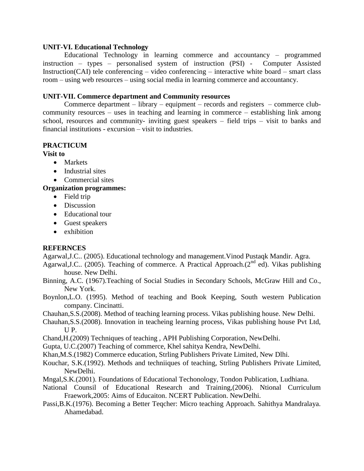#### **UNIT-VI. Educational Technology**

Educational Technology in learning commerce and accountancy – programmed instruction – types – personalised system of instruction (PSI) - Computer Assisted Instruction(CAI) tele conferencing – video conferencing – interactive white board – smart class room – using web resources – using social media in learning commerce and accountancy.

#### **UNIT-VII. Commerce department and Community resources**

Commerce department – library – equipment – records and registers – commerce clubcommunity resources – uses in teaching and learning in commerce – establishing link among school, resources and community- inviting guest speakers – field trips – visit to banks and financial institutions - excursion – visit to industries.

### **PRACTICUM**

**Visit to** 

- Markets
- Industrial sites
- Commercial sites

#### **Organization programmes:**

- Field trip
- Discussion
- Educational tour
- Guest speakers
- exhibition

#### **REFERNCES**

Agarwal,J.C.. (2005). Educational technology and management.Vinod Pustaqk Mandir. Agra.

- Agarwal, J.C.. (2005). Teaching of commerce. A Practical Approach.( $2<sup>nd</sup>$  ed). Vikas publishing house. New Delhi.
- Binning, A.C. (1967).Teaching of Social Studies in Secondary Schools, McGraw Hill and Co., New York.
- Boynlon,L.O. (1995). Method of teaching and Book Keeping, South western Publication company. Cincinatti.
- Chauhan,S.S.(2008). Method of teaching learning process. Vikas publishing house. New Delhi.
- Chauhan,S.S.(2008). Innovation in teacheing learning process, Vikas publishing house Pvt Ltd, U P.
- Chand,H.(2009) Techniques of teaching , APH Publishing Corporation, NewDelhi.
- Gupta, U.C.(2007) Teaching of commerce, Khel sahitya Kendra, NewDelhi.
- Khan,M.S.(1982) Commerce education, Strling Publishers Private Limited, New Dlhi.
- Kouchar, S.K.(1992). Methods and techniiques of teaching, Strling Publishers Private Limited, NewDelhi.
- Mngal,S.K.(2001). Foundations of Educational Techonology, Tondon Publication, Ludhiana.
- National Counsil of Educational Research and Training,(2006). Ntional Curriculum Fraework,2005: Aims of Educaiton. NCERT Publication. NewDelhi.
- Passi,B.K.(1976). Becoming a Better Teqcher: Micro teaching Approach. Sahithya Mandralaya. Ahamedabad.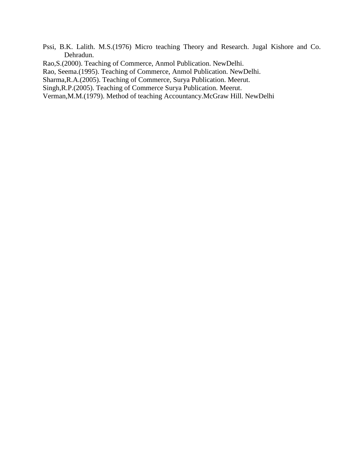Pssi, B.K. Lalith. M.S.(1976) Micro teaching Theory and Research. Jugal Kishore and Co. Dehradun.

Rao,S.(2000). Teaching of Commerce, Anmol Publication. NewDelhi.

Rao, Seema.(1995). Teaching of Commerce, Anmol Publication. NewDelhi.

Sharma,R.A.(2005). Teaching of Commerce, Surya Publication. Meerut.

Singh,R.P.(2005). Teaching of Commerce Surya Publication. Meerut.

Verman,M.M.(1979). Method of teaching Accountancy.McGraw Hill. NewDelhi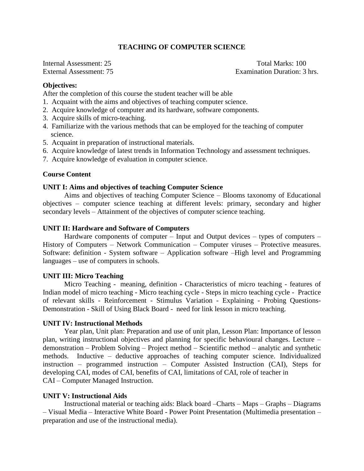### **TEACHING OF COMPUTER SCIENCE**

Internal Assessment: 25 Total Marks: 100 External Assessment: 75 Examination Duration: 3 hrs.

#### **Objectives:**

After the completion of this course the student teacher will be able

- 1. Acquaint with the aims and objectives of teaching computer science.
- 2. Acquire knowledge of computer and its hardware, software components.
- 3. Acquire skills of micro-teaching.
- 4. Familiarize with the various methods that can be employed for the teaching of computer science.
- 5. Acquaint in preparation of instructional materials.
- 6. Acquire knowledge of latest trends in Information Technology and assessment techniques.
- 7. Acquire knowledge of evaluation in computer science.

#### **Course Content**

#### **UNIT I: Aims and objectives of teaching Computer Science**

Aims and objectives of teaching Computer Science – Blooms taxonomy of Educational objectives – computer science teaching at different levels: primary, secondary and higher secondary levels – Attainment of the objectives of computer science teaching.

#### **UNIT II: Hardware and Software of Computers**

Hardware components of computer – Input and Output devices – types of computers – History of Computers – Network Communication – Computer viruses – Protective measures. Software: definition - System software – Application software –High level and Programming languages – use of computers in schools.

### **UNIT III: Micro Teaching**

Micro Teaching - meaning, definition - Characteristics of micro teaching - features of Indian model of micro teaching - Micro teaching cycle - Steps in micro teaching cycle - Practice of relevant skills - Reinforcement - Stimulus Variation - Explaining - Probing Questions-Demonstration - Skill of Using Black Board - need for link lesson in micro teaching.

#### **UNIT IV: Instructional Methods**

Year plan, Unit plan: Preparation and use of unit plan, Lesson Plan: Importance of lesson plan, writing instructional objectives and planning for specific behavioural changes. Lecture – demonstration – Problem Solving – Project method – Scientific method – analytic and synthetic methods. Inductive – deductive approaches of teaching computer science. Individualized instruction – programmed instruction – Computer Assisted Instruction (CAI), Steps for developing CAI, modes of CAI, benefits of CAI, limitations of CAI, role of teacher in CAI – Computer Managed Instruction.

### **UNIT V: Instructional Aids**

Instructional material or teaching aids: Black board –Charts – Maps – Graphs – Diagrams – Visual Media – Interactive White Board - Power Point Presentation (Multimedia presentation – preparation and use of the instructional media).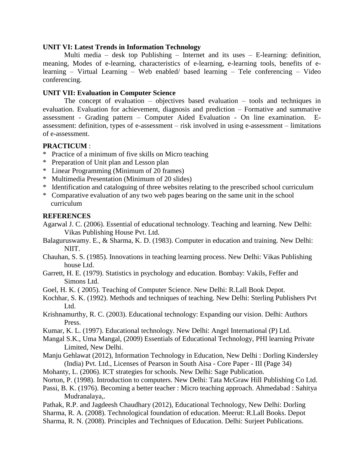#### **UNIT VI: Latest Trends in Information Technology**

Multi media – desk top Publishing – Internet and its uses – E-learning: definition, meaning, Modes of e-learning, characteristics of e-learning, e-learning tools, benefits of elearning – Virtual Learning – Web enabled/ based learning – Tele conferencing – Video conferencing.

### **UNIT VII: Evaluation in Computer Science**

The concept of evaluation – objectives based evaluation – tools and techniques in evaluation. Evaluation for achievement, diagnosis and prediction – Formative and summative assessment - Grading pattern – Computer Aided Evaluation - On line examination. Eassessment: definition, types of e-assessment – risk involved in using e-assessment – limitations of e-assessment.

### **PRACTICUM** :

- \* Practice of a minimum of five skills on Micro teaching
- \* Preparation of Unit plan and Lesson plan
- \* Linear Programming (Minimum of 20 frames)
- \* Multimedia Presentation (Minimum of 20 slides)
- \* Identification and cataloguing of three websites relating to the prescribed school curriculum
- \* Comparative evaluation of any two web pages bearing on the same unit in the school curriculum

## **REFERENCES**

- Agarwal J. C. (2006). Essential of educational technology. Teaching and learning. New Delhi: Vikas Publishing House Pvt. Ltd.
- Balaguruswamy. E., & Sharma, K. D. (1983). Computer in education and training. New Delhi: NIIT.
- Chauhan, S. S. (1985). Innovations in teaching learning process. New Delhi: Vikas Publishing house Ltd.
- Garrett, H. E. (1979). Statistics in psychology and education. Bombay: Vakils, Feffer and Simons Ltd.
- Goel, H. K. ( 2005). Teaching of Computer Science. New Delhi: R.Lall Book Depot.
- Kochhar, S. K. (1992). Methods and techniques of teaching. New Delhi: Sterling Publishers Pvt Ltd.
- Krishnamurthy, R. C. (2003). Educational technology: Expanding our vision. Delhi: Authors Press.
- Kumar, K. L. (1997). Educational technology. New Delhi: Angel International (P) Ltd.
- Mangal S.K., Uma Mangal, (2009) Essentials of Educational Technology, PHI learning Private Limited, New Delhi.
- Manju Gehlawat (2012), Information Technology in Education, New Delhi : Dorling Kindersley (India) Pvt. Ltd., Licenses of Pearson in South Aisa - Core Paper - III (Page 34)
- Mohanty, L. (2006). ICT strategies for schools. New Delhi: Sage Publication.
- Norton, P. (1998). Introduction to computers. New Delhi: Tata McGraw Hill Publishing Co Ltd.
- Passi, B. K. (1976). Becoming a better teacher : Micro teaching approach. Ahmedabad : Sahitya Mudranalaya,.
- Pathak, R.P. and Jagdeesh Chaudhary (2012), Educational Technology, New Delhi: Dorling Sharma, R. A. (2008). Technological foundation of education. Meerut: R.Lall Books. Depot
- Sharma, R. N. (2008). Principles and Techniques of Education. Delhi: Surjeet Publications.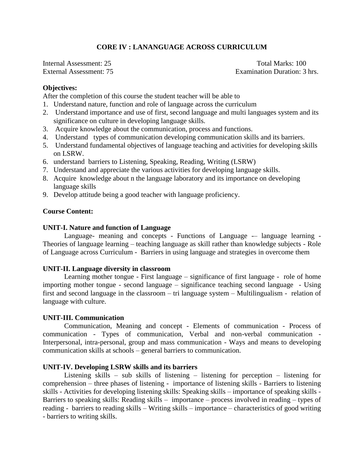## **CORE IV : LANANGUAGE ACROSS CURRICULUM**

Internal Assessment: 25 Total Marks: 100

External Assessment: 75 Examination Duration: 3 hrs.

#### **Objectives:**

After the completion of this course the student teacher will be able to

- 1. Understand nature, function and role of language across the curriculum
- 2. Understand importance and use of first, second language and multi languages system and its significance on culture in developing language skills.
- 3. Acquire knowledge about the communication, process and functions.
- 4. Understand types of communication developing communication skills and its barriers.
- 5. Understand fundamental objectives of language teaching and activities for developing skills on LSRW.
- 6. understand barriers to Listening, Speaking, Reading, Writing (LSRW)
- 7. Understand and appreciate the various activities for developing language skills.
- 8. Acquire knowledge about n the language laboratory and its importance on developing language skills
- 9. Develop attitude being a good teacher with language proficiency.

#### **Course Content:**

#### **UNIT-I. Nature and function of Language**

Language- meaning and concepts - Functions of Language -- language learning -Theories of language learning – teaching language as skill rather than knowledge subjects - Role of Language across Curriculum - Barriers in using language and strategies in overcome them

#### **UNIT-II. Language diversity in classroom**

Learning mother tongue - First language – significance of first language - role of home importing mother tongue - second language – significance teaching second language - Using first and second language in the classroom – tri language system – Multilingualism - relation of language with culture.

### **UNIT-III. Communication**

Communication, Meaning and concept - Elements of communication - Process of communication - Types of communication, Verbal and non-verbal communication - Interpersonal, intra-personal, group and mass communication - Ways and means to developing communication skills at schools – general barriers to communication.

#### **UNIT-IV. Developing LSRW skills and its barriers**

Listening skills – sub skills of listening – listening for perception – listening for comprehension – three phases of listening - importance of listening skills - Barriers to listening skills - Activities for developing listening skills: Speaking skills – importance of speaking skills - Barriers to speaking skills: Reading skills – importance – process involved in reading – types of reading - barriers to reading skills – Writing skills – importance – characteristics of good writing - barriers to writing skills.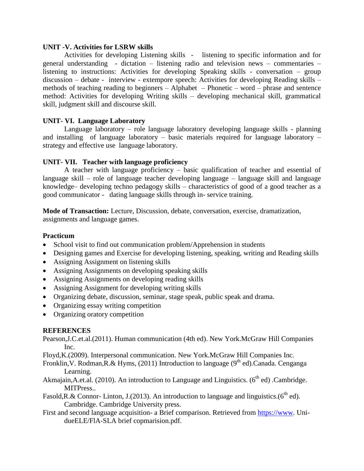#### **UNIT -V. Activities for LSRW skills**

Activities for developing Listening skills - listening to specific information and for general understanding - dictation – listening radio and television news – commentaries – listening to instructions: Activities for developing Speaking skills - conversation – group discussion – debate - interview - extempore speech: Activities for developing Reading skills – methods of teaching reading to beginners – Alphabet – Phonetic – word – phrase and sentence method: Activities for developing Writing skills – developing mechanical skill, grammatical skill, judgment skill and discourse skill.

### **UNIT- VI. Language Laboratory**

Language laboratory – role language laboratory developing language skills - planning and installing of language laboratory – basic materials required for language laboratory – strategy and effective use language laboratory.

## **UNIT- VII. Teacher with language proficiency**

A teacher with language proficiency – basic qualification of teacher and essential of language skill – role of language teacher developing language – language skill and language knowledge– developing techno pedagogy skills – characteristics of good of a good teacher as a good communicator - dating language skills through in- service training.

**Mode of Transaction:** Lecture, Discussion, debate, conversation, exercise, dramatization, assignments and language games.

### **Practicum**

- School visit to find out communication problem/Apprehension in students
- Designing games and Exercise for developing listening, speaking, writing and Reading skills
- Assigning Assignment on listening skills
- Assigning Assignments on developing speaking skills
- Assigning Assignments on developing reading skills
- Assigning Assignment for developing writing skills
- Organizing debate, discussion, seminar, stage speak, public speak and drama.
- Organizing essay writing competition
- Organizing oratory competition

# **REFERENCES**

Pearson,J.C.et.al.(2011). Human communication (4th ed). New York.McGraw Hill Companies Inc.

- Floyd,K.(2009). Interpersonal communication. New York.McGraw Hill Companies Inc.
- Fronklin, V. Rodman, R. & Hyms, (2011) Introduction to language ( $9<sup>th</sup>$  ed). Canada. Cenganga Learning.
- Akmajain,A.et.al. (2010). An introduction to Language and Linguistics. ( $6<sup>th</sup>$  ed) .Cambridge. MITPress..
- Fasold, R.& Connor- Linton, J.(2013). An introduction to language and linguistics.( $6<sup>th</sup>$  ed). Cambridge. Cambridge University press.
- First and second language acquisition- a Brief comparison. Retrieved from [https://www.](https://www/) UnidueELE/FlA-SLA brief copmarision.pdf.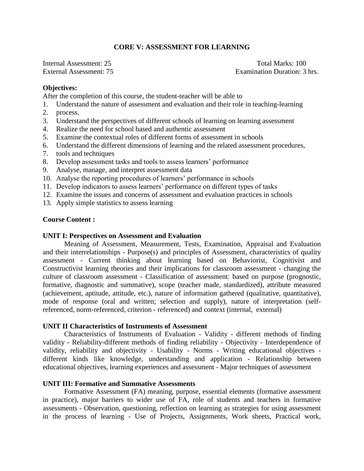#### **CORE V: ASSESSMENT FOR LEARNING**

Internal Assessment: 25 Total Marks: 100

External Assessment: 75 Examination Duration: 3 hrs.

#### **Objectives:**

After the completion of this course, the student-teacher will be able to

- 1. Understand the nature of assessment and evaluation and their role in teaching-learning
- 2. process.
- 3. Understand the perspectives of different schools of learning on learning assessment
- 4. Realize the need for school based and authentic assessment
- 5. Examine the contextual roles of different forms of assessment in schools
- 6. Understand the different dimensions of learning and the related assessment procedures,
- 7. tools and techniques
- 8. Develop assessment tasks and tools to assess learners' performance
- 9. Analyse, manage, and interpret assessment data
- 10. Analyse the reporting procedures of learners' performance in schools
- 11. Develop indicators to assess learners' performance on different types of tasks
- 12. Examine the issues and concerns of assessment and evaluation practices in schools
- 13. Apply simple statistics to assess learning

### **Course Content :**

#### **UNIT I: Perspectives on Assessment and Evaluation**

Meaning of Assessment, Measurement, Tests, Examination, Appraisal and Evaluation and their interrelationships - Purpose(s) and principles of Assessment, characteristics of quality assessment - Current thinking about learning based on Behaviorist, Cognitivist and Constructivist learning theories and their implications for classroom assessment - changing the culture of classroom assessment - Classification of assessment: based on purpose (prognostic, formative, diagnostic and summative), scope (teacher made, standardized), attribute measured (achievement, aptitude, attitude, etc.), nature of information gathered (qualitative, quantitative), mode of response (oral and written; selection and supply), nature of interpretation (selfreferenced, norm-referenced, criterion - referenced) and context (internal, external)

#### **UNIT II Characteristics of Instruments of Assessment**

Characteristics of Instruments of Evaluation - Validity - different methods of finding validity - Reliability-different methods of finding reliability - Objectivity - Interdependence of validity, reliability and objectivity - Usability - Norms - Writing educational objectives different kinds like knowledge, understanding and application - Relationship between educational objectives, learning experiences and assessment - Major techniques of assessment

#### **UNIT III: Formative and Summative Assessments**

Formative Assessment (FA) meaning, purpose, essential elements (formative assessment in practice), major barriers to wider use of FA, role of students and teachers in formative assessments - Observation, questioning, reflection on learning as strategies for using assessment in the process of learning - Use of Projects, Assignments, Work sheets, Practical work,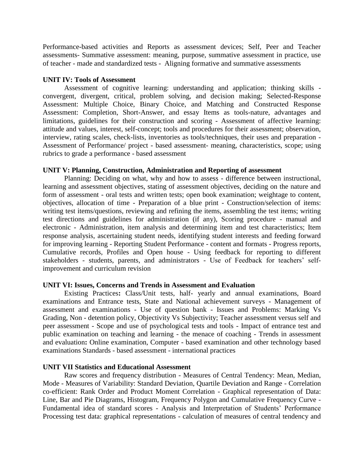Performance-based activities and Reports as assessment devices; Self, Peer and Teacher assessments- Summative assessment: meaning, purpose, summative assessment in practice, use of teacher - made and standardized tests - Aligning formative and summative assessments

#### **UNIT IV: Tools of Assessment**

Assessment of cognitive learning: understanding and application; thinking skills convergent, divergent, critical, problem solving, and decision making; Selected-Response Assessment: Multiple Choice, Binary Choice, and Matching and Constructed Response Assessment: Completion, Short-Answer, and essay Items as tools-nature, advantages and limitations, guidelines for their construction and scoring - Assessment of affective learning: attitude and values, interest, self-concept; tools and procedures for their assessment; observation, interview, rating scales, check-lists, inventories as tools/techniques, their uses and preparation - Assessment of Performance/ project - based assessment- meaning, characteristics, scope; using rubrics to grade a performance - based assessment

### **UNIT V: Planning, Construction, Administration and Reporting of assessment**

Planning: Deciding on what, why and how to assess - difference between instructional, learning and assessment objectives, stating of assessment objectives, deciding on the nature and form of assessment - oral tests and written tests; open book examination; weightage to content, objectives, allocation of time - Preparation of a blue print - Construction/selection of items: writing test items/questions, reviewing and refining the items, assembling the test items; writing test directions and guidelines for administration (if any), Scoring procedure - manual and electronic - Administration, item analysis and determining item and test characteristics; Item response analysis, ascertaining student needs, identifying student interests and feeding forward for improving learning - Reporting Student Performance - content and formats - Progress reports, Cumulative records, Profiles and Open house - Using feedback for reporting to different stakeholders - students, parents, and administrators - Use of Feedback for teachers' selfimprovement and curriculum revision

### **UNIT VI: Issues, Concerns and Trends in Assessment and Evaluation**

Existing Practices**:** Class/Unit tests, half- yearly and annual examinations, Board examinations and Entrance tests, State and National achievement surveys - Management of assessment and examinations - Use of question bank - Issues and Problems: Marking Vs Grading, Non - detention policy, Objectivity Vs Subjectivity; Teacher assessment versus self and peer assessment - Scope and use of psychological tests and tools - Impact of entrance test and public examination on teaching and learning - the menace of coaching - Trends in assessment and evaluation: Online examination, Computer - based examination and other technology based examinations Standards - based assessment - international practices

#### **UNIT VII Statistics and Educational Assessment**

Raw scores and frequency distribution - Measures of Central Tendency: Mean, Median, Mode - Measures of Variability: Standard Deviation, Quartile Deviation and Range - Correlation co-efficient: Rank Order and Product Moment Correlation - Graphical representation of Data: Line, Bar and Pie Diagrams, Histogram, Frequency Polygon and Cumulative Frequency Curve - Fundamental idea of standard scores - Analysis and Interpretation of Students' Performance Processing test data: graphical representations - calculation of measures of central tendency and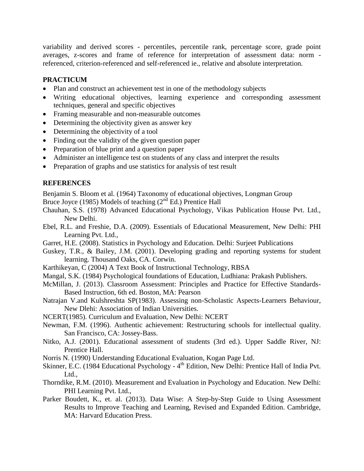variability and derived scores - percentiles, percentile rank, percentage score, grade point averages, z-scores and frame of reference for interpretation of assessment data: norm referenced, criterion-referenced and self-referenced ie., relative and absolute interpretation.

# **PRACTICUM**

- Plan and construct an achievement test in one of the methodology subjects
- Writing educational objectives, learning experience and corresponding assessment techniques, general and specific objectives
- Framing measurable and non-measurable outcomes
- Determining the objectivity given as answer key
- Determining the objectivity of a tool
- Finding out the validity of the given question paper
- Preparation of blue print and a question paper
- Administer an intelligence test on students of any class and interpret the results
- Preparation of graphs and use statistics for analysis of test result

# **REFERENCES**

Benjamin S. Bloom et al. (1964) Taxonomy of educational objectives, Longman Group

Bruce Joyce (1985) Models of teaching (2<sup>nd</sup> Ed.) Prentice Hall

Chauhan, S.S. (1978) Advanced Educational Psychology, Vikas Publication House Pvt. Ltd., New Delhi.

- Ebel, R.L. and Freshie, D.A. (2009). Essentials of Educational Measurement, New Delhi: PHI Learning Pvt. Ltd.,
- Garret, H.E. (2008). Statistics in Psychology and Education. Delhi: Surjeet Publications
- Guskey, T.R., & Bailey, J.M. (2001). Developing grading and reporting systems for student learning. Thousand Oaks, CA. Corwin.
- Karthikeyan, C (2004) A Text Book of Instructional Technology, RBSA
- Mangal, S.K. (1984) Psychological foundations of Education, Ludhiana: Prakash Publishers.
- McMillan, J. (2013). Classroom Assessment: Principles and Practice for Effective Standards-Based Instruction, 6th ed. Boston, MA: Pearson
- Natrajan V.and Kulshreshta SP(1983). Assessing non-Scholastic Aspects-Learners Behaviour, New Dlehi: Association of Indian Universities.
- NCERT(1985). Curriculum and Evaluation, New Delhi: NCERT
- Newman, F.M. (1996). Authentic achievement: Restructuring schools for intellectual quality. San Francisco, CA: Jossey-Bass.
- Nitko, A.J. (2001). Educational assessment of students (3rd ed.). Upper Saddle River, NJ: Prentice Hall.
- Norris N. (1990) Understanding Educational Evaluation, Kogan Page Ltd.
- Skinner, E.C. (1984 Educational Psychology 4<sup>th</sup> Edition, New Delhi: Prentice Hall of India Pvt. Ltd.,
- Thorndike, R.M. (2010). Measurement and Evaluation in Psychology and Education. New Delhi: PHI Learning Pvt. Ltd.,
- Parker Boudett, K., et. al. (2013). Data Wise: A Step-by-Step Guide to Using Assessment Results to Improve Teaching and Learning, Revised and Expanded Edition. Cambridge, MA: Harvard Education Press.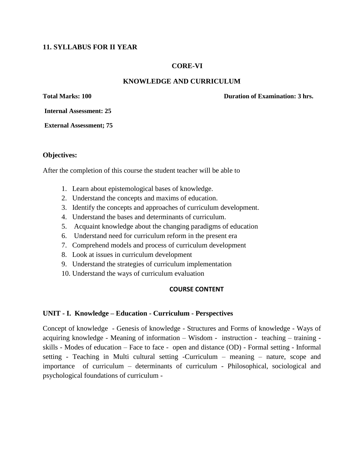## **11. SYLLABUS FOR II YEAR**

### **CORE-VI**

### **KNOWLEDGE AND CURRICULUM**

**Total Marks: 100 Duration of Examination: 3 hrs.**

**Internal Assessment: 25**

**External Assessment; 75**

#### **Objectives:**

After the completion of this course the student teacher will be able to

- 1. Learn about epistemological bases of knowledge.
- 2. Understand the concepts and maxims of education.
- 3. Identify the concepts and approaches of curriculum development.
- 4. Understand the bases and determinants of curriculum.
- 5. Acquaint knowledge about the changing paradigms of education
- 6. Understand need for curriculum reform in the present era
- 7. Comprehend models and process of curriculum development
- 8. Look at issues in curriculum development
- 9. Understand the strategies of curriculum implementation
- 10. Understand the ways of curriculum evaluation

#### **COURSE CONTENT**

#### **UNIT - I. Knowledge – Education - Curriculum - Perspectives**

Concept of knowledge - Genesis of knowledge - Structures and Forms of knowledge - Ways of acquiring knowledge - Meaning of information – Wisdom - instruction - teaching – training skills - Modes of education – Face to face - open and distance (OD) - Formal setting - Informal setting - Teaching in Multi cultural setting -Curriculum – meaning – nature, scope and importance of curriculum – determinants of curriculum - Philosophical, sociological and psychological foundations of curriculum -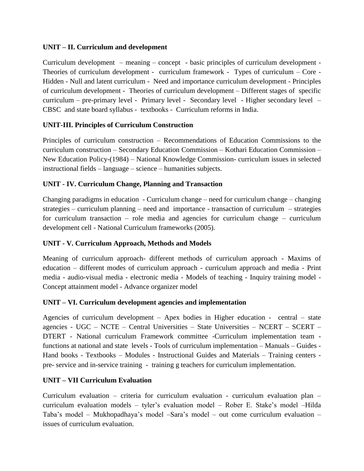# **UNIT – II. Curriculum and development**

Curriculum development – meaning – concept - basic principles of curriculum development - Theories of curriculum development - curriculum framework - Types of curriculum – Core - Hidden - Null and latent curriculum - Need and importance curriculum development - Principles of curriculum development - Theories of curriculum development – Different stages of specific curriculum – pre-primary level - Primary level - Secondary level - Higher secondary level – CBSC and state board syllabus - textbooks - Curriculum reforms in India.

# **UNIT-III. Principles of Curriculum Construction**

Principles of curriculum construction – Recommendations of Education Commissions to the curriculum construction – Secondary Education Commission – Kothari Education Commission – New Education Policy-(1984) – National Knowledge Commission- curriculum issues in selected instructional fields – language – science – humanities subjects.

# **UNIT - IV. Curriculum Change, Planning and Transaction**

Changing paradigms in education - Curriculum change – need for curriculum change – changing strategies – curriculum planning – need and importance - transaction of curriculum – strategies for curriculum transaction – role media and agencies for curriculum change – curriculum development cell - National Curriculum frameworks (2005).

# **UNIT - V. Curriculum Approach, Methods and Models**

Meaning of curriculum approach- different methods of curriculum approach - Maxims of education – different modes of curriculum approach - curriculum approach and media - Print media - audio-visual media - electronic media - Models of teaching - Inquiry training model - Concept attainment model - Advance organizer model

# **UNIT – VI. Curriculum development agencies and implementation**

Agencies of curriculum development – Apex bodies in Higher education - central – state agencies - UGC – NCTE – Central Universities – State Universities – NCERT – SCERT – DTERT - National curriculum Framework committee -Curriculum implementation team functions at national and state levels - Tools of curriculum implementation – Manuals – Guides - Hand books - Textbooks – Modules - Instructional Guides and Materials – Training centers pre- service and in-service training - training g teachers for curriculum implementation.

# **UNIT – VII Curriculum Evaluation**

Curriculum evaluation – criteria for curriculum evaluation - curriculum evaluation plan – curriculum evaluation models – tyler's evaluation model – Rober E. Stake's model –Hilda Taba's model – Mukhopadhaya's model –Sara's model – out come curriculum evaluation – issues of curriculum evaluation.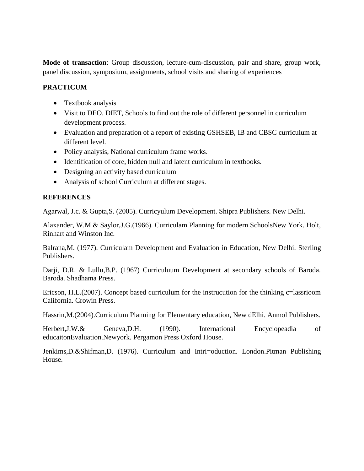**Mode of transaction**: Group discussion, lecture-cum-discussion, pair and share, group work, panel discussion, symposium, assignments, school visits and sharing of experiences

## **PRACTICUM**

- Textbook analysis
- Visit to DEO. DIET, Schools to find out the role of different personnel in curriculum development process.
- Evaluation and preparation of a report of existing GSHSEB, IB and CBSC curriculum at different level.
- Policy analysis, National curriculum frame works.
- Identification of core, hidden null and latent curriculum in textbooks.
- Designing an activity based curriculum
- Analysis of school Curriculum at different stages.

# **REFERENCES**

Agarwal, J.c. & Gupta,S. (2005). Curricyulum Development. Shipra Publishers. New Delhi.

Alaxander, W.M & Saylor,J.G.(1966). Curriculam Planning for modern SchoolsNew York. Holt, Rinhart and Winston Inc.

Balrana,M. (1977). Curriculam Development and Evaluation in Education, New Delhi. Sterling Publishers.

Darji, D.R. & Lullu,B.P. (1967) Curriculuum Development at secondary schools of Baroda. Baroda. Shadhama Press.

Ericson, H.L.(2007). Concept based curriculum for the instrucution for the thinking c=lassrioom California. Crowin Press.

Hassrin,M.(2004).Curriculum Planning for Elementary education, New dElhi. Anmol Publishers.

Herbert,J.W.& Geneva,D.H. (1990). International Encyclopeadia of educaitonEvaluation.Newyork. Pergamon Press Oxford House.

Jenkims,D.&Shifman,D. (1976). Curriculum and Intri=oduction. London.Pitman Publishing House.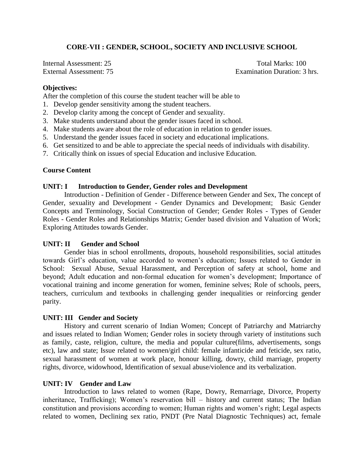# **CORE-VII : GENDER, SCHOOL, SOCIETY AND INCLUSIVE SCHOOL**

Internal Assessment: 25 Total Marks: 100

External Assessment: 75 Examination Duration: 3 hrs.

#### **Objectives:**

After the completion of this course the student teacher will be able to

- 1. Develop gender sensitivity among the student teachers.
- 2. Develop clarity among the concept of Gender and sexuality.
- 3. Make students understand about the gender issues faced in school.
- 4. Make students aware about the role of education in relation to gender issues.
- 5. Understand the gender issues faced in society and educational implications.
- 6. Get sensitized to and be able to appreciate the special needs of individuals with disability.
- 7. Critically think on issues of special Education and inclusive Education.

#### **Course Content**

#### **UNIT: I Introduction to Gender, Gender roles and Development**

Introduction - Definition of Gender - Difference between Gender and Sex, The concept of Gender, sexuality and Development - Gender Dynamics and Development; Basic Gender Concepts and Terminology, Social Construction of Gender; Gender Roles - Types of Gender Roles - Gender Roles and Relationships Matrix; Gender based division and Valuation of Work; Exploring Attitudes towards Gender.

#### **UNIT: II Gender and School**

Gender bias in school enrollments, dropouts, household responsibilities, social attitudes towards Girl's education, value accorded to women's education; Issues related to Gender in School: Sexual Abuse, Sexual Harassment, and Perception of safety at school, home and beyond; Adult education and non-formal education for women's development; Importance of vocational training and income generation for women, feminine selves; Role of schools, peers, teachers, curriculum and textbooks in challenging gender inequalities or reinforcing gender parity.

#### **UNIT: III Gender and Society**

History and current scenario of Indian Women; Concept of Patriarchy and Matriarchy and issues related to Indian Women; Gender roles in society through variety of institutions such as family, caste, religion, culture, the media and popular culture(films, advertisements, songs etc), law and state; Issue related to women/girl child: female infanticide and feticide, sex ratio, sexual harassment of women at work place, honour killing, dowry, child marriage, property rights, divorce, widowhood, Identification of sexual abuse/violence and its verbalization.

#### **UNIT: IV Gender and Law**

Introduction to laws related to women (Rape, Dowry, Remarriage, Divorce, Property inheritance, Trafficking); Women's reservation bill – history and current status; The Indian constitution and provisions according to women; Human rights and women's right; Legal aspects related to women, Declining sex ratio, PNDT (Pre Natal Diagnostic Techniques) act, female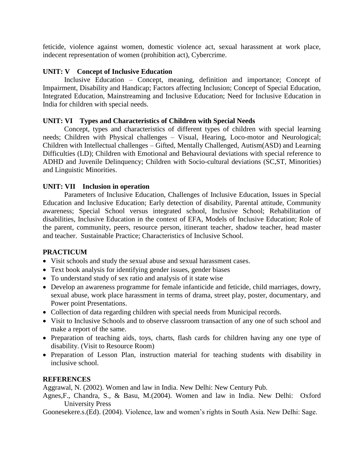feticide, violence against women, domestic violence act, sexual harassment at work place, indecent representation of women (prohibition act), Cybercrime.

## **UNIT: V Concept of Inclusive Education**

Inclusive Education – Concept, meaning, definition and importance; Concept of Impairment, Disability and Handicap; Factors affecting Inclusion; Concept of Special Education, Integrated Education, Mainstreaming and Inclusive Education; Need for Inclusive Education in India for children with special needs.

## **UNIT: VI Types and Characteristics of Children with Special Needs**

Concept, types and characteristics of different types of children with special learning needs; Children with Physical challenges – Visual, Hearing, Loco-motor and Neurological; Children with Intellectual challenges – Gifted, Mentally Challenged, Autism(ASD) and Learning Difficulties (LD); Children with Emotional and Behavioural deviations with special reference to ADHD and Juvenile Delinquency; Children with Socio-cultural deviations (SC,ST, Minorities) and Linguistic Minorities.

## **UNIT: VII Inclusion in operation**

Parameters of Inclusive Education, Challenges of Inclusive Education, Issues in Special Education and Inclusive Education; Early detection of disability, Parental attitude, Community awareness; Special School versus integrated school, Inclusive School; Rehabilitation of disabilities, Inclusive Education in the context of EFA, Models of Inclusive Education; Role of the parent, community, peers, resource person, itinerant teacher, shadow teacher, head master and teacher. Sustainable Practice; Characteristics of Inclusive School.

# **PRACTICUM**

- Visit schools and study the sexual abuse and sexual harassment cases.
- Text book analysis for identifying gender issues, gender biases
- To understand study of sex ratio and analysis of it state wise
- Develop an awareness programme for female infanticide and feticide, child marriages, dowry, sexual abuse, work place harassment in terms of drama, street play, poster, documentary, and Power point Presentations.
- Collection of data regarding children with special needs from Municipal records.
- Visit to Inclusive Schools and to observe classroom transaction of any one of such school and make a report of the same.
- Preparation of teaching aids, toys, charts, flash cards for children having any one type of disability. (Visit to Resource Room)
- Preparation of Lesson Plan, instruction material for teaching students with disability in inclusive school.

### **REFERENCES**

Aggrawal, N. (2002). Women and law in India. New Delhi: New Century Pub.

Agnes,F., Chandra, S., & Basu, M.(2004). Women and law in India. New Delhi: Oxford University Press

Goonesekere.s.(Ed). (2004). Violence, law and women's rights in South Asia. New Delhi: Sage.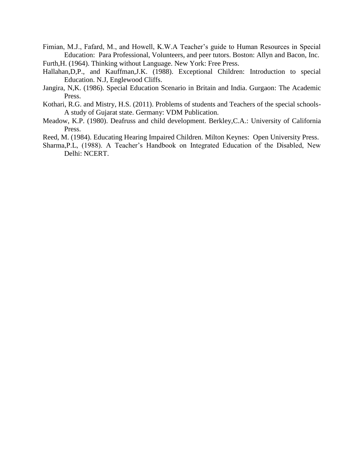- Fimian, M.J., Fafard, M., and Howell, K.W.A Teacher's guide to Human Resources in Special Education: Para Professional, Volunteers, and peer tutors. Boston: Allyn and Bacon, Inc. Furth,H. (1964). Thinking without Language. New York: Free Press.
- Hallahan,D,P., and Kauffman,J.K. (1988). Exceptional Children: Introduction to special Education. N.J, Englewood Cliffs.
- Jangira, N,K. (1986). Special Education Scenario in Britain and India. Gurgaon: The Academic Press.
- Kothari, R.G. and Mistry, H.S. (2011). Problems of students and Teachers of the special schools-A study of Gujarat state. Germany: VDM Publication.
- Meadow, K.P. (1980). Deafruss and child development. Berkley,C.A.: University of California Press.
- Reed, M. (1984). Educating Hearing Impaired Children. Milton Keynes: Open University Press.
- Sharma,P.L, (1988). A Teacher's Handbook on Integrated Education of the Disabled, New Delhi: NCERT.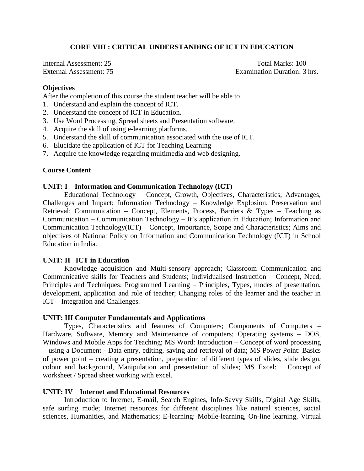## **CORE VIII : CRITICAL UNDERSTANDING OF ICT IN EDUCATION**

Internal Assessment: 25 Total Marks: 100

External Assessment: 75 Examination Duration: 3 hrs.

#### **Objectives**

After the completion of this course the student teacher will be able to

- 1. Understand and explain the concept of ICT.
- 2. Understand the concept of ICT in Education.
- 3. Use Word Processing, Spread sheets and Presentation software.
- 4. Acquire the skill of using e-learning platforms.
- 5. Understand the skill of communication associated with the use of ICT.
- 6. Elucidate the application of ICT for Teaching Learning
- 7. Acquire the knowledge regarding multimedia and web designing.

### **Course Content**

#### **UNIT: I Information and Communication Technology (ICT)**

Educational Technology – Concept, Growth, Objectives, Characteristics, Advantages, Challenges and Impact; Information Technology – Knowledge Explosion, Preservation and Retrieval; Communication – Concept, Elements, Process, Barriers & Types – Teaching as Communication – Communication Technology – It's application in Education; Information and Communication Technology(ICT) – Concept, Importance, Scope and Characteristics; Aims and objectives of National Policy on Information and Communication Technology (ICT) in School Education in India.

#### **UNIT: II ICT in Education**

Knowledge acquisition and Multi-sensory approach; Classroom Communication and Communicative skills for Teachers and Students; Individualised Instruction – Concept, Need, Principles and Techniques; Programmed Learning – Principles, Types, modes of presentation, development, application and role of teacher; Changing roles of the learner and the teacher in ICT – Integration and Challenges.

#### **UNIT: III Computer Fundamentals and Applications**

Types, Characteristics and features of Computers; Components of Computers – Hardware, Software, Memory and Maintenance of computers; Operating systems – DOS, Windows and Mobile Apps for Teaching; MS Word: Introduction – Concept of word processing – using a Document - Data entry, editing, saving and retrieval of data; MS Power Point: Basics of power point – creating a presentation, preparation of different types of slides, slide design, colour and background, Manipulation and presentation of slides; MS Excel:Concept of worksheet / Spread sheet working with excel.

#### **UNIT: IV Internet and Educational Resources**

Introduction to Internet, E-mail, Search Engines, Info-Savvy Skills, Digital Age Skills, safe surfing mode; Internet resources for different disciplines like natural sciences, social sciences, Humanities, and Mathematics; E-learning: Mobile-learning, On-line learning, Virtual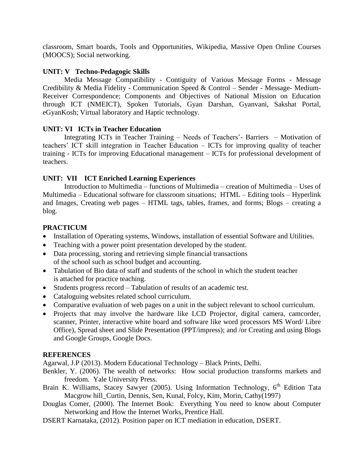classroom, Smart boards, Tools and Opportunities, Wikipedia, Massive Open Online Courses (MOOCS); Social networking.

## **UNIT: V Techno-Pedagogic Skills**

Media Message Compatibility - Contiguity of Various Message Forms - Message Credibility & Media Fidelity - Communication Speed & Control – Sender - Message- Medium-Receiver Correspondence; Components and Objectives of National Mission on Education through ICT (NMEICT), Spoken Tutorials, Gyan Darshan, Gyanvani, Sakshat Portal, eGyanKosh; Virtual laboratory and Haptic technology.

## **UNIT: VI ICTs in Teacher Education**

Integrating ICTs in Teacher Training – Needs of Teachers'- Barriers – Motivation of teachers' ICT skill integration in Teacher Education – ICTs for improving quality of teacher training - ICTs for improving Educational management – ICTs for professional development of teachers.

## **UNIT: VII ICT Enriched Learning Experiences**

Introduction to Multimedia – functions of Multimedia – creation of Multimedia – Uses of Multimedia – Educational software for classroom situations; HTML – Editing tools – Hyperlink and Images, Creating web pages – HTML tags, tables, frames, and forms; Blogs – creating a blog.

## **PRACTICUM**

- Installation of Operating systems, Windows, installation of essential Software and Utilities.
- Teaching with a power point presentation developed by the student.
- Data processing, storing and retrieving simple financial transactions of the school such as school budget and accounting.
- Tabulation of Bio data of staff and students of the school in which the student teacher is attached for practice teaching.
- Students progress record Tabulation of results of an academic test.
- Cataloguing websites related school curriculum.
- Comparative evaluation of web pages on a unit in the subject relevant to school curriculum.
- Projects that may involve the hardware like LCD Projector, digital camera, camcorder, scanner, Printer, interactive white board and software like word processors MS Word/ Libre Office), Spread sheet and Slide Presentation (PPT/impress); and /or Creating and using Blogs and Google Groups, Google Docs.

# **REFERENCES**

Agarwal, J.P (2013). Modern Educational Technology – Black Prints, Delhi.

- Benkler, Y. (2006). The wealth of networks: How social production transforms markets and freedom. Yale University Press.
- Brain K. Williams, Stacey Sawyer (2005). Using Information Technology,  $6<sup>th</sup>$  Edition Tata Macgrow hill\_Curtin, Dennis, Sen, Kunal, Folcy, Kim, Morin, Cathy(1997)
- Douglas Comer, (2000). The Internet Book: Everything You need to know about Computer Networking and How the Internet Works, Prentice Hall.
- DSERT Karnataka, (2012). Position paper on ICT mediation in education, DSERT.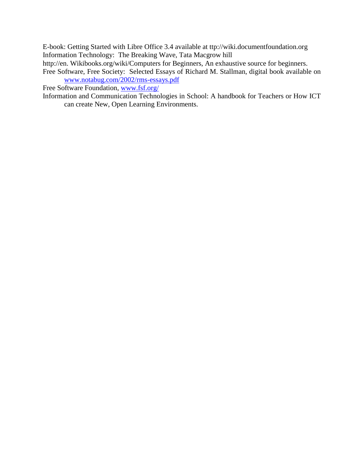E-book: Getting Started with Libre Office 3.4 available at ttp://wiki.documentfoundation.org Information Technology: The Breaking Wave, Tata Macgrow hill

http://en. Wikibooks.org/wiki/Computers for Beginners, An exhaustive source for beginners.

Free Software, Free Society: Selected Essays of Richard M. Stallman, digital book available on [www.notabug.com/2002/rms-essays.pdf](http://www.notabug.com/2002/rms-essays.pdf)

Free Software Foundation, [www.fsf.org/](http://www.fsf.org/)

Information and Communication Technologies in School: A handbook for Teachers or How ICT can create New, Open Learning Environments.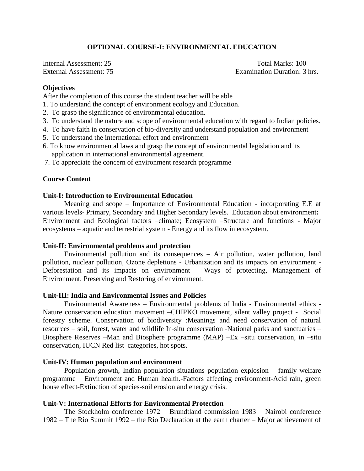## **OPTIONAL COURSE-I: ENVIRONMENTAL EDUCATION**

Internal Assessment: 25 Total Marks: 100 External Assessment: 75 Examination Duration: 3 hrs.

#### **Objectives**

After the completion of this course the student teacher will be able

- 1. To understand the concept of environment ecology and Education.
- 2. To grasp the significance of environmental education.
- 3. To understand the nature and scope of environmental education with regard to Indian policies.
- 4. To have faith in conservation of bio‐diversity and understand population and environment
- 5. To understand the international effort and environment
- 6. To know environmental laws and grasp the concept of environmental legislation and its application in international environmental agreement.
- 7. To appreciate the concern of environment research programme

#### **Course Content**

#### **Unit‐I: Introduction to Environmental Education**

Meaning and scope – Importance of Environmental Education - incorporating E.E at various levels‐ Primary, Secondary and Higher Secondary levels. Education about environment**:** Environment and Ecological factors –climate; Ecosystem –Structure and functions - Major ecosystems – aquatic and terrestrial system - Energy and its flow in ecosystem.

#### **Unit‐II: Environmental problems and protection**

Environmental pollution and its consequences – Air pollution, water pollution, land pollution, nuclear pollution, Ozone depletions - Urbanization and its impacts on environment - Deforestation and its impacts on environment – Ways of protecting, Management of Environment, Preserving and Restoring of environment.

#### **Unit‐III: India and Environmental Issues and Policies**

Environmental Awareness – Environmental problems of India - Environmental ethics - Nature conservation education movement –CHIPKO movement, silent valley project - Social forestry scheme. Conservation of biodiversity :Meanings and need conservation of natural resources – soil, forest, water and wildlife In‐situ conservation ‐National parks and sanctuaries – Biosphere Reserves –Man and Biosphere programme (MAP) –Ex –situ conservation, in –situ conservation, IUCN Red list categories, hot spots.

#### **Unit‐IV: Human population and environment**

Population growth, Indian population situations population explosion – family welfare programme – Environment and Human health.-Factors affecting environment-Acid rain, green house effect-Extinction of species-soil erosion and energy crisis.

#### **Unit-V: International Efforts for Environmental Protection**

The Stockholm conference 1972 – Brundtland commission 1983 – Nairobi conference 1982 – The Rio Summit 1992 – the Rio Declaration at the earth charter – Major achievement of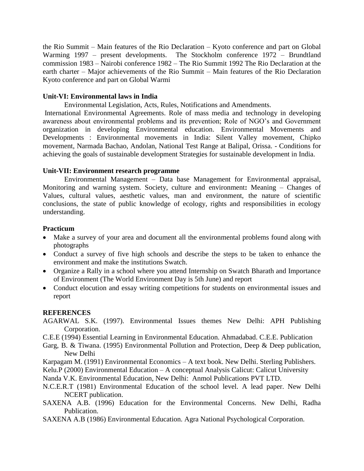the Rio Summit – Main features of the Rio Declaration – Kyoto conference and part on Global Warming 1997 – present developments. The Stockholm conference 1972 – Brundtland commission 1983 – Nairobi conference 1982 – The Rio Summit 1992 The Rio Declaration at the earth charter – Major achievements of the Rio Summit – Main features of the Rio Declaration Kyoto conference and part on Global Warmi

## **Unit‐VI: Environmental laws in India**

Environmental Legislation, Acts, Rules, Notifications and Amendments.

International Environmental Agreements. Role of mass media and technology in developing awareness about environmental problems and its prevention; Role of NGO's and Government organization in developing Environmental education. Environmental Movements and Developments : Environmental movements in India: Silent Valley movement, Chipko movement, Narmada Bachao, Andolan, National Test Range at Balipal, Orissa. - Conditions for achieving the goals of sustainable development Strategies for sustainable development in India.

## **Unit‐VII: Environment research programme**

Environmental Management – Data base Management for Environmental appraisal, Monitoring and warning system. Society, culture and environment**:** Meaning – Changes of Values, cultural values, aesthetic values, man and environment, the nature of scientific conclusions, the state of public knowledge of ecology, rights and responsibilities in ecology understanding.

### **Practicum**

- Make a survey of your area and document all the environmental problems found along with photographs
- Conduct a survey of five high schools and describe the steps to be taken to enhance the environment and make the institutions Swatch.
- Organize a Rally in a school where you attend Internship on Swatch Bharath and Importance of Environment (The World Environment Day is 5th June) and report
- Conduct elocution and essay writing competitions for students on environmental issues and report

### **REFERENCES**

- AGARWAL S.K. (1997). Environmental Issues themes New Delhi: APH Publishing Corporation.
- C.E.E (1994) Essential Learning in Environmental Education. Ahmadabad. C.E.E. Publication
- Garg, B. & Tiwana. (1995) Environmental Pollution and Protection, Deep & Deep publication, New Delhi
- Karpagam M. (1991) Environmental Economics A text book. New Delhi. Sterling Publishers.
- Kelu.P (2000) Environmental Education A conceptual Analysis Calicut: Calicut University
- Nanda V.K. Environmental Education, New Delhi: Anmol Publications PVT LTD.
- N.C.E.R.T (1981) Environmental Education of the school level. A lead paper. New Delhi NCERT publication.
- SAXENA A.B. (1996) Education for the Environmental Concerns. New Delhi, Radha Publication.
- SAXENA A.B (1986) Environmental Education. Agra National Psychological Corporation.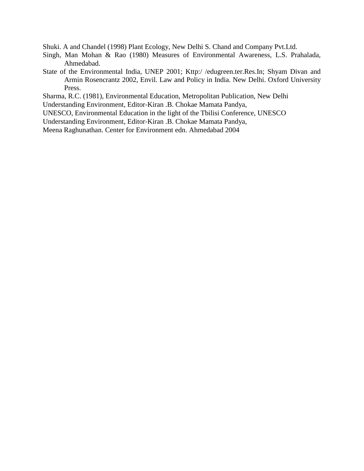Shuki. A and Chandel (1998) Plant Ecology, New Delhi S. Chand and Company Pvt.Ltd.

- Singh, Man Mohan & Rao (1980) Measures of Environmental Awareness, L.S. Prahalada, Ahmedabad.
- State of the Environmental India, UNEP 2001; Kttp:/ /edugreen.ter.Res.In; Shyam Divan and Armin Rosencrantz 2002, Envil. Law and Policy in India. New Delhi. Oxford University Press.

Sharma, R.C. (1981), Environmental Education, Metropolitan Publication, New Delhi Understanding Environment, Editor‐Kiran .B. Chokae Mamata Pandya,

UNESCO, Environmental Education in the light of the Tbilisi Conference, UNESCO

Understanding Environment, Editor‐Kiran .B. Chokae Mamata Pandya,

Meena Raghunathan. Center for Environment edn. Ahmedabad 2004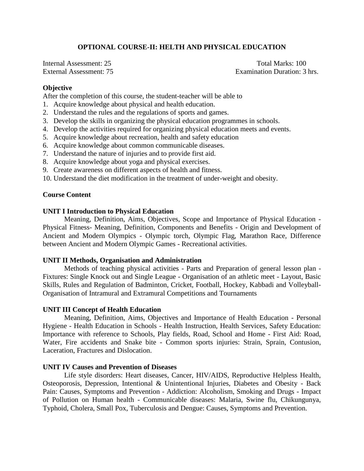## **OPTIONAL COURSE-II: HELTH AND PHYSICAL EDUCATION**

Internal Assessment: 25 Total Marks: 100

External Assessment: 75 Examination Duration: 3 hrs.

#### **Objective**

After the completion of this course, the student-teacher will be able to

- 1. Acquire knowledge about physical and health education.
- 2. Understand the rules and the regulations of sports and games.
- 3. Develop the skills in organizing the physical education programmes in schools.
- 4. Develop the activities required for organizing physical education meets and events.
- 5. Acquire knowledge about recreation, health and safety education
- 6. Acquire knowledge about common communicable diseases.
- 7. Understand the nature of injuries and to provide first aid.
- 8. Acquire knowledge about yoga and physical exercises.
- 9. Create awareness on different aspects of health and fitness.
- 10. Understand the diet modification in the treatment of under-weight and obesity.

#### **Course Content**

#### **UNIT I Introduction to Physical Education**

Meaning, Definition, Aims, Objectives, Scope and Importance of Physical Education - Physical Fitness- Meaning, Definition, Components and Benefits - Origin and Development of Ancient and Modern Olympics - Olympic torch, Olympic Flag, Marathon Race, Difference between Ancient and Modern Olympic Games - Recreational activities.

#### **UNIT II Methods, Organisation and Administration**

Methods of teaching physical activities - Parts and Preparation of general lesson plan - Fixtures: Single Knock out and Single League - Organisation of an athletic meet - Layout, Basic Skills, Rules and Regulation of Badminton, Cricket, Football, Hockey, Kabbadi and Volleyball-Organisation of Intramural and Extramural Competitions and Tournaments

#### **UNIT III Concept of Health Education**

Meaning, Definition, Aims, Objectives and Importance of Health Education - Personal Hygiene - Health Education in Schools - Health Instruction, Health Services, Safety Education: Importance with reference to Schools, Play fields, Road, School and Home - First Aid: Road, Water, Fire accidents and Snake bite - Common sports injuries: Strain, Sprain, Contusion, Laceration, Fractures and Dislocation.

#### **UNIT IV Causes and Prevention of Diseases**

Life style disorders: Heart diseases, Cancer, HIV/AIDS, Reproductive Helpless Health, Osteoporosis, Depression, Intentional & Unintentional Injuries, Diabetes and Obesity - Back Pain: Causes, Symptoms and Prevention - Addiction: Alcoholism, Smoking and Drugs - Impact of Pollution on Human health - Communicable diseases: Malaria, Swine flu, Chikungunya, Typhoid, Cholera, Small Pox, Tuberculosis and Dengue: Causes, Symptoms and Prevention.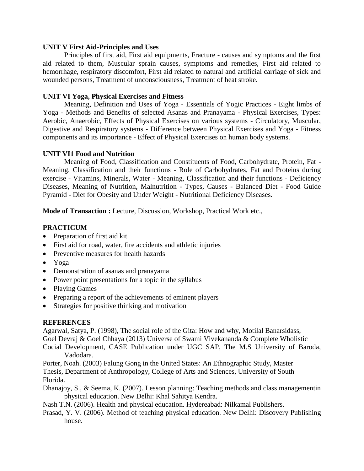#### **UNIT V First Aid-Principles and Uses**

Principles of first aid, First aid equipments, Fracture - causes and symptoms and the first aid related to them, Muscular sprain causes, symptoms and remedies, First aid related to hemorrhage, respiratory discomfort, First aid related to natural and artificial carriage of sick and wounded persons, Treatment of unconsciousness, Treatment of heat stroke.

### **UNIT VI Yoga, Physical Exercises and Fitness**

Meaning, Definition and Uses of Yoga - Essentials of Yogic Practices - Eight limbs of Yoga - Methods and Benefits of selected Asanas and Pranayama - Physical Exercises, Types: Aerobic, Anaerobic, Effects of Physical Exercises on various systems - Circulatory, Muscular, Digestive and Respiratory systems - Difference between Physical Exercises and Yoga - Fitness components and its importance - Effect of Physical Exercises on human body systems.

### **UNIT VI1 Food and Nutrition**

Meaning of Food, Classification and Constituents of Food, Carbohydrate, Protein, Fat - Meaning, Classification and their functions - Role of Carbohydrates, Fat and Proteins during exercise - Vitamins, Minerals, Water - Meaning, Classification and their functions - Deficiency Diseases, Meaning of Nutrition, Malnutrition - Types, Causes - Balanced Diet - Food Guide Pyramid - Diet for Obesity and Under Weight - Nutritional Deficiency Diseases.

**Mode of Transaction :** Lecture, Discussion, Workshop, Practical Work etc.,

## **PRACTICUM**

- Preparation of first aid kit.
- First aid for road, water, fire accidents and athletic injuries
- Preventive measures for health hazards
- Yoga
- Demonstration of asanas and pranayama
- Power point presentations for a topic in the syllabus
- Playing Games
- Preparing a report of the achievements of eminent players
- Strategies for positive thinking and motivation

### **REFERENCES**

Agarwal, Satya, P. (1998), The social role of the Gita: How and why, Motilal Banarsidass, Goel Devraj & Goel Chhaya (2013) Universe of Swami Vivekananda & Complete Wholistic Cocial Development, CASE Publication under UGC SAP, The M.S University of Baroda,

Vadodara.

Porter, Noah. (2003) Falung Gong in the United States: An Ethnographic Study, Master Thesis, Department of Anthropology, College of Arts and Sciences, University of South Florida.

Dhanajoy, S., & Seema, K. (2007). Lesson planning: Teaching methods and class managementin physical education. New Delhi: Khal Sahitya Kendra.

Nash T.N. (2006). Health and physical education. Hydereabad: Nilkamal Publishers.

Prasad, Y. V. (2006). Method of teaching physical education. New Delhi: Discovery Publishing house.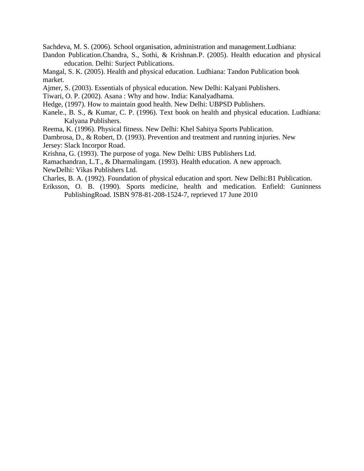Sachdeva, M. S. (2006). School organisation, administration and management.Ludhiana:

Dandon Publication.Chandra, S., Sothi, & Krishnan.P. (2005). Health education and physical education. Delhi: Surject Publications.

Mangal, S. K. (2005). Health and physical education. Ludhiana: Tandon Publication book market.

Ajmer, S. (2003). Essentials of physical education. New Delhi: Kalyani Publishers.

Tiwari, O. P. (2002). Asana : Why and how. India: Kanalyadhama.

Hedge, (1997). How to maintain good health. New Delhi: UBPSD Publishers.

Kanele., B. S., & Kumar, C. P. (1996). Text book on health and physical education. Ludhiana: Kalyana Publishers.

Reema, K. (1996). Physical fitness. New Delhi: Khel Sahitya Sports Publication.

Dambrosa, D., & Robert, D. (1993). Prevention and treatment and running injuries. New Jersey: Slack Incorpor Road.

Krishna, G. (1993). The purpose of yoga. New Delhi: UBS Publishers Ltd.

Ramachandran, L.T., & Dharmalingam. (1993). Health education. A new approach.

NewDelhi: Vikas Publishers Ltd.

Charles, B. A. (1992). Foundation of physical education and sport. New Delhi:B1 Publication.

Eriksson, O. B. (1990). Sports medicine, health and medication. Enfield: Guninness PublishingRoad. ISBN 978-81-208-1524-7, reprieved 17 June 2010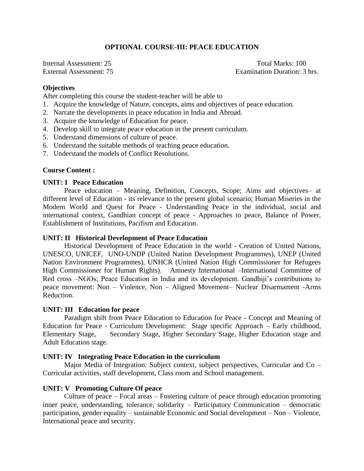## **OPTIONAL COURSE-III: PEACE EDUCATION**

Internal Assessment: 25 Total Marks: 100 External Assessment: 75 Examination Duration: 3 hrs.

#### **Objectives**

After completing this course the student-teacher will be able to

- 1. Acquire the knowledge of Nature, concepts, aims and objectives of peace education.
- 2. Narrate the developments in peace education in India and Abroad.
- 3. Acquire the knowledge of Education for peace.
- 4. Develop skill to integrate peace education in the present curriculum.
- 5. Understand dimensions of culture of peace.
- 6. Understand the suitable methods of teaching peace education.
- 7. Understand the models of Conflict Resolutions.

#### **Course Content :**

#### **UNIT: I Peace Education**

Peace education – Meaning, Definition, Concepts, Scope; Aims and objectives– at different level of Education - its relevance to the present global scenario; Human Miseries in the Modern World and Quest for Peace - Understanding Peace in the individual, social and international context, Gandhian concept of peace - Approaches to peace, Balance of Power, Establishment of Institutions, Pacifism and Education.

#### **UNIT: II Historical Development of Peace Education**

Historical Development of Peace Education in the world - Creation of United Nations, UNESCO, UNICEF, UNO-UNDP (United Nation Development Programmes), UNEP (United Nation Environment Programmes), UNHCR (United Nation High Commissioner for Refugees High Commissioner for Human Rights). Amnesty International –International Committee of Red cross –NGOs; Peace Education in India and its development. Gandhiji's contributions to peace movement: Non – Violence, Non – Aligned Movement– Nuclear Disarmament -Arms Reduction.

### **UNIT: III Education for peace**

Paradigm shift from Peace Education to Education for Peace - Concept and Meaning of Education for Peace - Curriculum Development: Stage specific Approach – Early childhood, Elementary Stage, Secondary Stage, Higher Secondary Stage, Higher Education stage and Adult Education stage.

### **UNIT: IV Integrating Peace Education in the curriculum**

Major Media of Integration: Subject context, subject perspectives, Curricular and Co – Curricular activities, staff development, Class room and School management.

#### **UNIT: V Promoting Culture Of peace**

Culture of peace – Focal areas – Fostering culture of peace through education promoting inner peace, understanding, tolerance, solidarity – Participatory Communication – democratic participation, gender equality – sustainable Economic and Social development – Non – Violence, International peace and security.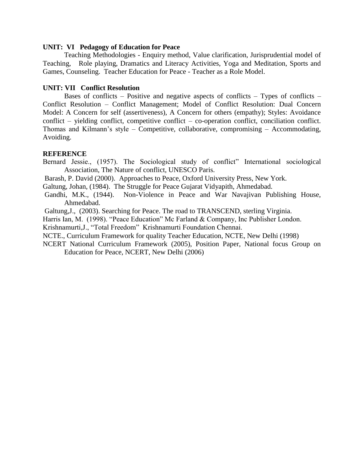#### **UNIT: VI Pedagogy of Education for Peace**

Teaching Methodologies - Enquiry method, Value clarification, Jurisprudential model of Teaching, Role playing, Dramatics and Literacy Activities, Yoga and Meditation, Sports and Games, Counseling. Teacher Education for Peace - Teacher as a Role Model.

### **UNIT: VII Conflict Resolution**

Bases of conflicts – Positive and negative aspects of conflicts – Types of conflicts – Conflict Resolution – Conflict Management; Model of Conflict Resolution: Dual Concern Model: A Concern for self (assertiveness), A Concern for others (empathy); Styles: Avoidance conflict – yielding conflict, competitive conflict – co-operation conflict, conciliation conflict. Thomas and Kilmann's style – Competitive, collaborative, compromising – Accommodating, Avoiding.

### **REFERENCE**

Bernard Jessie., (1957). The Sociological study of conflict" International sociological Association, The Nature of conflict, UNESCO Paris.

Barash, P. David (2000). Approaches to Peace, Oxford University Press, New York.

Galtung, Johan, (1984). The Struggle for Peace Gujarat Vidyapith, Ahmedabad.

Gandhi, M.K., (1944). Non-Violence in Peace and War Navajivan Publishing House, Ahmedabad.

Galtung,J., (2003). Searching for Peace. The road to TRANSCEND, sterling Virginia.

Harris Ian, M. (1998). "Peace Education" Mc Farland & Company, Inc Publisher London.

Krishnamurti,J., "Total Freedom" Krishnamurti Foundation Chennai.

NCTE., Curriculum Framework for quality Teacher Education, NCTE, New Delhi (1998)

NCERT National Curriculum Framework (2005), Position Paper, National focus Group on Education for Peace, NCERT, New Delhi (2006)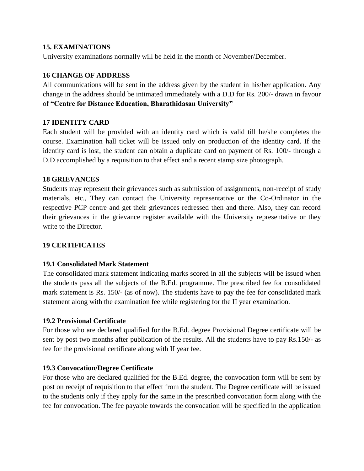## **15. EXAMINATIONS**

University examinations normally will be held in the month of November/December.

# **16 CHANGE OF ADDRESS**

All communications will be sent in the address given by the student in his/her application. Any change in the address should be intimated immediately with a D.D for Rs. 200/- drawn in favour of **"Centre for Distance Education, Bharathidasan University"**

# **17 IDENTITY CARD**

Each student will be provided with an identity card which is valid till he/she completes the course. Examination hall ticket will be issued only on production of the identity card. If the identity card is lost, the student can obtain a duplicate card on payment of Rs. 100/- through a D.D accomplished by a requisition to that effect and a recent stamp size photograph.

## **18 GRIEVANCES**

Students may represent their grievances such as submission of assignments, non-receipt of study materials, etc., They can contact the University representative or the Co-Ordinator in the respective PCP centre and get their grievances redressed then and there. Also, they can record their grievances in the grievance register available with the University representative or they write to the Director.

# **19 CERTIFICATES**

### **19.1 Consolidated Mark Statement**

The consolidated mark statement indicating marks scored in all the subjects will be issued when the students pass all the subjects of the B.Ed. programme. The prescribed fee for consolidated mark statement is Rs. 150/- (as of now). The students have to pay the fee for consolidated mark statement along with the examination fee while registering for the II year examination.

### **19.2 Provisional Certificate**

For those who are declared qualified for the B.Ed. degree Provisional Degree certificate will be sent by post two months after publication of the results. All the students have to pay Rs.150/- as fee for the provisional certificate along with II year fee.

# **19.3 Convocation/Degree Certificate**

For those who are declared qualified for the B.Ed. degree, the convocation form will be sent by post on receipt of requisition to that effect from the student. The Degree certificate will be issued to the students only if they apply for the same in the prescribed convocation form along with the fee for convocation. The fee payable towards the convocation will be specified in the application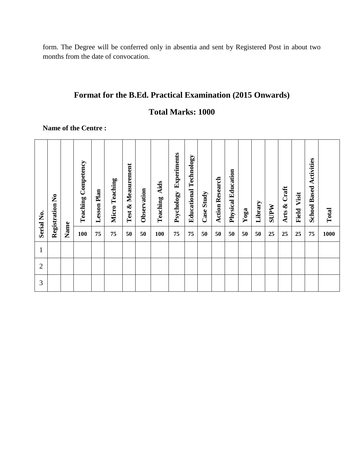form. The Degree will be conferred only in absentia and sent by Registered Post in about two months from the date of convocation.

# **Format for the B.Ed. Practical Examination (2015 Onwards)**

# **Total Marks: 1000**

**Name of the Centre :**

| Serial No.     | Registration No |      | Competency<br>Teaching | <b>Lesson Plan</b> | <b>Micro Teaching</b> | Measurement<br>ళ<br>Test | Observation | Aids<br>Teaching | Experiments<br>Psychology | <b>Educational Technology</b> | Case Study | Research<br>Action | <b>Physical Education</b> | Yoga | Library | <b>NdLNS</b> | Craft<br>Arts & | Visit<br>Field | <b>School Based Activities</b> | Total |
|----------------|-----------------|------|------------------------|--------------------|-----------------------|--------------------------|-------------|------------------|---------------------------|-------------------------------|------------|--------------------|---------------------------|------|---------|--------------|-----------------|----------------|--------------------------------|-------|
|                |                 | Name | 100                    | 75                 | 75                    | 50                       | 50          | 100              | 75                        | 75                            | 50         | 50                 | 50                        | 50   | 50      | 25           | 25              | 25             | 75                             | 1000  |
| $\mathbf{1}$   |                 |      |                        |                    |                       |                          |             |                  |                           |                               |            |                    |                           |      |         |              |                 |                |                                |       |
| $\overline{2}$ |                 |      |                        |                    |                       |                          |             |                  |                           |                               |            |                    |                           |      |         |              |                 |                |                                |       |
| 3              |                 |      |                        |                    |                       |                          |             |                  |                           |                               |            |                    |                           |      |         |              |                 |                |                                |       |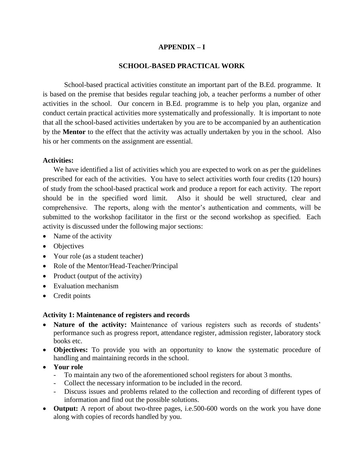## **APPENDIX – I**

### **SCHOOL-BASED PRACTICAL WORK**

School-based practical activities constitute an important part of the B.Ed. programme. It is based on the premise that besides regular teaching job, a teacher performs a number of other activities in the school. Our concern in B.Ed. programme is to help you plan, organize and conduct certain practical activities more systematically and professionally. It is important to note that all the school-based activities undertaken by you are to be accompanied by an authentication by the **Mentor** to the effect that the activity was actually undertaken by you in the school. Also his or her comments on the assignment are essential.

#### **Activities:**

We have identified a list of activities which you are expected to work on as per the guidelines prescribed for each of the activities. You have to select activities worth four credits (120 hours) of study from the school-based practical work and produce a report for each activity. The report should be in the specified word limit. Also it should be well structured, clear and comprehensive. The reports, along with the mentor's authentication and comments, will be submitted to the workshop facilitator in the first or the second workshop as specified. Each activity is discussed under the following major sections:

- Name of the activity
- Objectives
- Your role (as a student teacher)
- Role of the Mentor/Head-Teacher/Principal
- Product (output of the activity)
- Evaluation mechanism
- Credit points

#### **Activity 1: Maintenance of registers and records**

- **Nature of the activity:** Maintenance of various registers such as records of students' performance such as progress report, attendance register, admission register, laboratory stock books etc.
- **Objectives:** To provide you with an opportunity to know the systematic procedure of handling and maintaining records in the school.
- **Your role**
	- To maintain any two of the aforementioned school registers for about 3 months.
	- Collect the necessary information to be included in the record.
	- Discuss issues and problems related to the collection and recording of different types of information and find out the possible solutions.
- **Output:** A report of about two-three pages, i.e.500-600 words on the work you have done along with copies of records handled by you.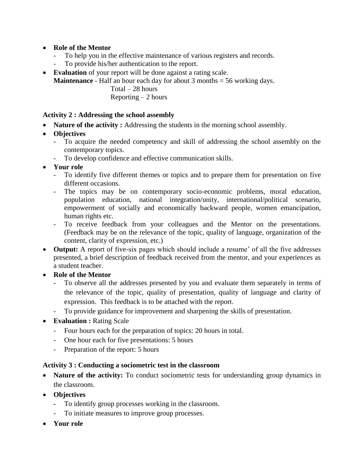# **Role of the Mentor**

- To help you in the effective maintenance of various registers and records.
- To provide his/her authentication to the report.
- **Evaluation** of your report will be done against a rating scale.

**Maintenance** - Half an hour each day for about 3 months = 56 working days.

 Total – 28 hours Reporting  $-2$  hours

## **Activity 2 : Addressing the school assembly**

- **Nature of the activity :** Addressing the students in the morning school assembly.
- **Objectives**
	- To acquire the needed competency and skill of addressing the school assembly on the contemporary topics.
	- To develop confidence and effective communication skills.
- **Your role**
	- To identify five different themes or topics and to prepare them for presentation on five different occasions.
	- The topics may be on contemporary socio-economic problems, moral education, population education, national integration/unity, international/political scenario, empowerment of socially and economically backward people, women emancipation, human rights etc.
	- To receive feedback from your colleagues and the Mentor on the presentations. (Feedback may be on the relevance of the topic, quality of language, organization of the content, clarity of expression, etc.)
- **Output:** A report of five-six pages which should include a resume' of all the five addresses presented, a brief description of feedback received from the mentor, and your experiences as a student teacher.
- **Role of the Mentor**
	- To observe all the addresses presented by you and evaluate them separately in terms of the relevance of the topic, quality of presentation, quality of language and clarity of expression. This feedback is to be attached with the report.
	- To provide guidance for improvement and sharpening the skills of presentation.
- **•** Evaluation : Rating Scale
	- Four hours each for the preparation of topics: 20 hours in total.
	- One hour each for five presentations: 5 hours
	- Preparation of the report: 5 hours

# **Activity 3 : Conducting a sociometric test in the classroom**

- **Nature of the activity:** To conduct sociometric tests for understanding group dynamics in the classroom.
- **Objectives**
	- To identify group processes working in the classroom.
	- To initiate measures to improve group processes.
- **Your role**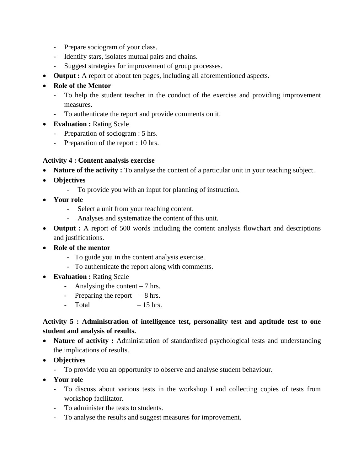- Prepare sociogram of your class.
- Identify stars, isolates mutual pairs and chains.
- Suggest strategies for improvement of group processes.
- **Output :** A report of about ten pages, including all aforementioned aspects.
- **Role of the Mentor**
	- To help the student teacher in the conduct of the exercise and providing improvement measures.
	- To authenticate the report and provide comments on it.
- **Evaluation :** Rating Scale
	- Preparation of sociogram : 5 hrs.
	- Preparation of the report : 10 hrs.

# **Activity 4 : Content analysis exercise**

- **Nature of the activity :** To analyse the content of a particular unit in your teaching subject.
- **Objectives**
	- To provide you with an input for planning of instruction.
- **Your role**
	- Select a unit from your teaching content.
	- Analyses and systematize the content of this unit.
- **Output :** A report of 500 words including the content analysis flowchart and descriptions and justifications.
- **Role of the mentor**
	- To guide you in the content analysis exercise.
	- To authenticate the report along with comments.
- **Evaluation :** Rating Scale
	- Analysing the content 7 hrs.
	- Preparing the report  $-8$  hrs.
	- $-$  Total  $-15$  hrs.

# **Activity 5 : Administration of intelligence test, personality test and aptitude test to one student and analysis of results.**

- **Nature of activity :** Administration of standardized psychological tests and understanding the implications of results.
- **Objectives**
	- To provide you an opportunity to observe and analyse student behaviour.
- **Your role**
	- To discuss about various tests in the workshop I and collecting copies of tests from workshop facilitator.
	- To administer the tests to students.
	- To analyse the results and suggest measures for improvement.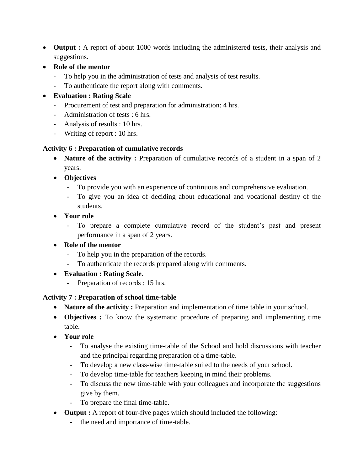- **Output :** A report of about 1000 words including the administered tests, their analysis and suggestions.
- **Role of the mentor**
	- To help you in the administration of tests and analysis of test results.
	- To authenticate the report along with comments.
- **Evaluation : Rating Scale**
	- Procurement of test and preparation for administration: 4 hrs.
	- Administration of tests : 6 hrs.
	- Analysis of results : 10 hrs.
	- Writing of report : 10 hrs.

# **Activity 6 : Preparation of cumulative records**

- **Nature of the activity :** Preparation of cumulative records of a student in a span of 2 years.
- **Objectives**
	- To provide you with an experience of continuous and comprehensive evaluation.
	- To give you an idea of deciding about educational and vocational destiny of the students.
- **Your role**
	- To prepare a complete cumulative record of the student's past and present performance in a span of 2 years.
- **Role of the mentor**
	- To help you in the preparation of the records.
	- To authenticate the records prepared along with comments.
- **Evaluation : Rating Scale.**
	- Preparation of records : 15 hrs.

# **Activity 7 : Preparation of school time-table**

- **Nature of the activity :** Preparation and implementation of time table in your school.
- **Objectives :** To know the systematic procedure of preparing and implementing time table.
- **Your role**
	- To analyse the existing time-table of the School and hold discussions with teacher and the principal regarding preparation of a time-table.
	- To develop a new class-wise time-table suited to the needs of your school.
	- To develop time-table for teachers keeping in mind their problems.
	- To discuss the new time-table with your colleagues and incorporate the suggestions give by them.
	- To prepare the final time-table.
- **Output :** A report of four-five pages which should included the following:
	- the need and importance of time-table.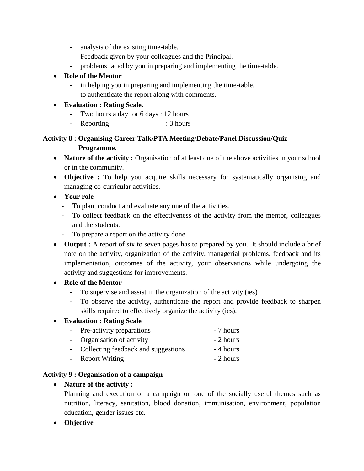- analysis of the existing time-table.
- Feedback given by your colleagues and the Principal.
- problems faced by you in preparing and implementing the time-table.

# **Role of the Mentor**

- in helping you in preparing and implementing the time-table.
- to authenticate the report along with comments.

# **Evaluation : Rating Scale.**

- Two hours a day for 6 days : 12 hours
- Reporting : 3 hours

# **Activity 8 : Organising Career Talk/PTA Meeting/Debate/Panel Discussion/Quiz Programme.**

- **Nature of the activity :** Organisation of at least one of the above activities in your school or in the community.
- **Objective :** To help you acquire skills necessary for systematically organising and managing co-curricular activities.
- **Your role**
	- To plan, conduct and evaluate any one of the activities.
	- To collect feedback on the effectiveness of the activity from the mentor, colleagues and the students.
	- To prepare a report on the activity done.
- **Output :** A report of six to seven pages has to prepared by you. It should include a brief note on the activity, organization of the activity, managerial problems, feedback and its implementation, outcomes of the activity, your observations while undergoing the activity and suggestions for improvements.

# **Role of the Mentor**

- To supervise and assist in the organization of the activity (ies)
- To observe the activity, authenticate the report and provide feedback to sharpen skills required to effectively organize the activity (ies).

# **Evaluation : Rating Scale**

- Pre-activity preparations 7 hours
- Organisation of activity 2 hours
- Collecting feedback and suggestions 4 hours
- Report Writing 2 hours

# **Activity 9 : Organisation of a campaign**

# **Nature of the activity :**

Planning and execution of a campaign on one of the socially useful themes such as nutrition, literacy, sanitation, blood donation, immunisation, environment, population education, gender issues etc.

**Objective**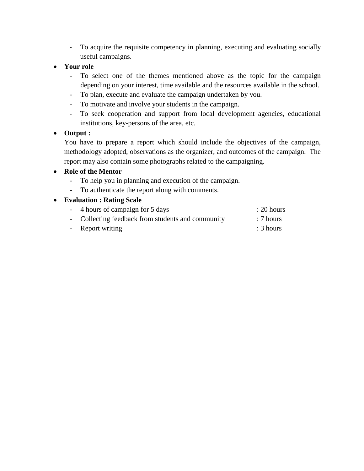- To acquire the requisite competency in planning, executing and evaluating socially useful campaigns.

# **Your role**

- To select one of the themes mentioned above as the topic for the campaign depending on your interest, time available and the resources available in the school.
- To plan, execute and evaluate the campaign undertaken by you.
- To motivate and involve your students in the campaign.
- To seek cooperation and support from local development agencies, educational institutions, key-persons of the area, etc.

# **Output :**

You have to prepare a report which should include the objectives of the campaign, methodology adopted, observations as the organizer, and outcomes of the campaign. The report may also contain some photographs related to the campaigning.

# **Role of the Mentor**

- To help you in planning and execution of the campaign.
- To authenticate the report along with comments.

# **Evaluation : Rating Scale**

| - 4 hours of campaign for 5 days                  | $: 20$ hours |
|---------------------------------------------------|--------------|
| - Collecting feedback from students and community | : 7 hours    |
| - Report writing                                  | : 3 hours    |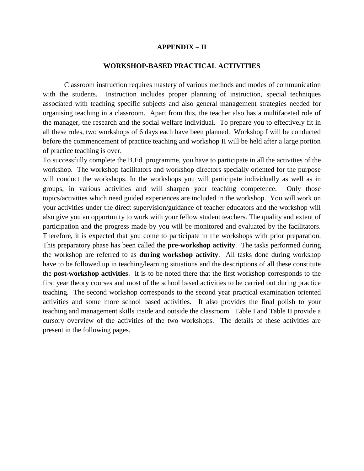#### **APPENDIX – II**

#### **WORKSHOP-BASED PRACTICAL ACTIVITIES**

Classroom instruction requires mastery of various methods and modes of communication with the students. Instruction includes proper planning of instruction, special techniques associated with teaching specific subjects and also general management strategies needed for organising teaching in a classroom. Apart from this, the teacher also has a multifaceted role of the manager, the research and the social welfare individual. To prepare you to effectively fit in all these roles, two workshops of 6 days each have been planned. Workshop I will be conducted before the commencement of practice teaching and workshop II will be held after a large portion of practice teaching is over.

To successfully complete the B.Ed. programme, you have to participate in all the activities of the workshop. The workshop facilitators and workshop directors specially oriented for the purpose will conduct the workshops. In the workshops you will participate individually as well as in groups, in various activities and will sharpen your teaching competence. Only those topics/activities which need guided experiences are included in the workshop. You will work on your activities under the direct supervision/guidance of teacher educators and the workshop will also give you an opportunity to work with your fellow student teachers. The quality and extent of participation and the progress made by you will be monitored and evaluated by the facilitators. Therefore, it is expected that you come to participate in the workshops with prior preparation. This preparatory phase has been called the **pre-workshop activity**. The tasks performed during the workshop are referred to as **during workshop activity**. All tasks done during workshop have to be followed up in teaching/learning situations and the descriptions of all these constitute the **post-workshop activities**. It is to be noted there that the first workshop corresponds to the first year theory courses and most of the school based activities to be carried out during practice teaching. The second workshop corresponds to the second year practical examination oriented activities and some more school based activities. It also provides the final polish to your teaching and management skills inside and outside the classroom. Table I and Table II provide a cursory overview of the activities of the two workshops. The details of these activities are present in the following pages.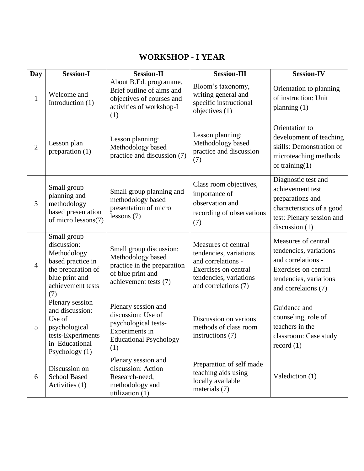## **WORKSHOP - I YEAR**

| <b>Day</b>     | <b>Session-I</b>                                                                                                                   | <b>Session-II</b>                                                                                                           | <b>Session-III</b>                                                                                                                            | <b>Session-IV</b>                                                                                                                            |
|----------------|------------------------------------------------------------------------------------------------------------------------------------|-----------------------------------------------------------------------------------------------------------------------------|-----------------------------------------------------------------------------------------------------------------------------------------------|----------------------------------------------------------------------------------------------------------------------------------------------|
| $\mathbf{1}$   | Welcome and<br>Introduction (1)                                                                                                    | About B.Ed. programme.<br>Brief outline of aims and<br>objectives of courses and<br>activities of workshop-I<br>(1)         | Bloom's taxonomy,<br>writing general and<br>specific instructional<br>objectives (1)                                                          | Orientation to planning<br>of instruction: Unit<br>planning $(1)$                                                                            |
| $\overline{2}$ | Lesson plan<br>preparation (1)                                                                                                     | Lesson planning:<br>Methodology based<br>practice and discussion (7)                                                        | Lesson planning:<br>Methodology based<br>practice and discussion<br>(7)                                                                       | Orientation to<br>development of teaching<br>skills: Demonstration of<br>microteaching methods<br>of training $(1)$                          |
| 3              | Small group<br>planning and<br>methodology<br>based presentation<br>of micro lessons(7)                                            | Small group planning and<br>methodology based<br>presentation of micro<br>lessons $(7)$                                     | Class room objectives,<br>importance of<br>observation and<br>recording of observations<br>(7)                                                | Diagnostic test and<br>achievement test<br>preparations and<br>characteristics of a good<br>test: Plenary session and<br>discussion $(1)$    |
| $\overline{4}$ | Small group<br>discussion:<br>Methodology<br>based practice in<br>the preparation of<br>blue print and<br>achievement tests<br>(7) | Small group discussion:<br>Methodology based<br>practice in the preparation<br>of blue print and<br>achievement tests (7)   | Measures of central<br>tendencies, variations<br>and correlations -<br>Exercises on central<br>tendencies, variations<br>and correlations (7) | Measures of central<br>tendencies, variations<br>and correlations -<br>Exercises on central<br>tendencies, variations<br>and correlaions (7) |
| 5              | Plenary session<br>and discussion:<br>Use of<br>psychological<br>tests-Experiments<br>in Educational<br>Psychology (1)             | Plenary session and<br>discussion: Use of<br>psychological tests-<br>Experiments in<br><b>Educational Psychology</b><br>(1) | Discussion on various<br>methods of class room<br>instructions (7)                                                                            | Guidance and<br>counseling, role of<br>teachers in the<br>classroom: Case study<br>record $(1)$                                              |
| 6              | Discussion on<br><b>School Based</b><br>Activities (1)                                                                             | Plenary session and<br>discussion: Action<br>Research-need,<br>methodology and<br>utilization $(1)$                         | Preparation of self made<br>teaching aids using<br>locally available<br>materials (7)                                                         | Valediction (1)                                                                                                                              |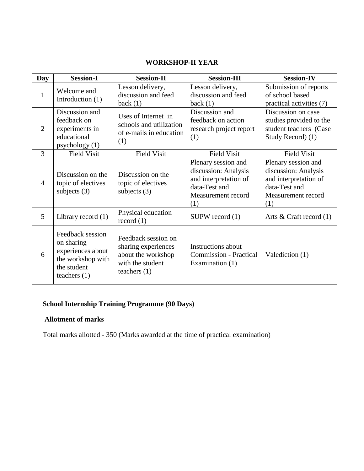### **WORKSHOP-II YEAR**

| <b>Day</b>     | <b>Session-I</b>                                                                                          | <b>Session-II</b>                                                                                      | <b>Session-III</b>                                                                                                 | <b>Session-IV</b>                                                                                                  |
|----------------|-----------------------------------------------------------------------------------------------------------|--------------------------------------------------------------------------------------------------------|--------------------------------------------------------------------------------------------------------------------|--------------------------------------------------------------------------------------------------------------------|
| $\mathbf{1}$   | Welcome and<br>Introduction (1)                                                                           | Lesson delivery,<br>discussion and feed<br>back(1)                                                     | Lesson delivery,<br>discussion and feed<br>back $(1)$                                                              | Submission of reports<br>of school based<br>practical activities (7)                                               |
| $\overline{2}$ | Discussion and<br>feedback on<br>experiments in<br>educational<br>psychology $(1)$                        | Uses of Internet in<br>schools and utilization<br>of e-mails in education<br>(1)                       | Discussion and<br>feedback on action<br>research project report<br>(1)                                             | Discussion on case<br>studies provided to the<br>student teachers (Case<br>Study Record) (1)                       |
| 3              | <b>Field Visit</b>                                                                                        | <b>Field Visit</b>                                                                                     | <b>Field Visit</b>                                                                                                 | <b>Field Visit</b>                                                                                                 |
| $\overline{4}$ | Discussion on the<br>topic of electives<br>subjects $(3)$                                                 | Discussion on the<br>topic of electives<br>subjects $(3)$                                              | Plenary session and<br>discussion: Analysis<br>and interpretation of<br>data-Test and<br>Measurement record<br>(1) | Plenary session and<br>discussion: Analysis<br>and interpretation of<br>data-Test and<br>Measurement record<br>(1) |
| 5              | Library record $(1)$                                                                                      | Physical education<br>record $(1)$                                                                     | $SUPW$ record $(1)$                                                                                                | Arts $& Craff record (1)$                                                                                          |
| 6              | Feedback session<br>on sharing<br>experiences about<br>the workshop with<br>the student<br>teachers $(1)$ | Feedback session on<br>sharing experiences<br>about the workshop<br>with the student<br>teachers $(1)$ | <b>Instructions about</b><br><b>Commission - Practical</b><br>Examination $(1)$                                    | Valediction (1)                                                                                                    |

## **School Internship Training Programme (90 Days)**

## **Allotment of marks**

Total marks allotted - 350 (Marks awarded at the time of practical examination)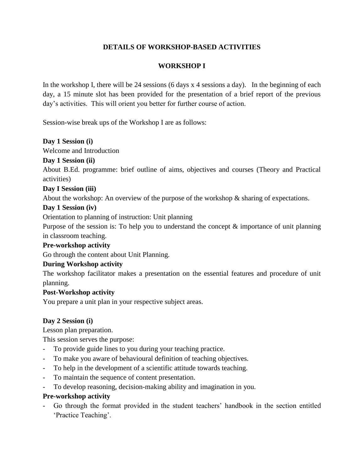## **DETAILS OF WORKSHOP-BASED ACTIVITIES**

## **WORKSHOP I**

In the workshop I, there will be 24 sessions (6 days x 4 sessions a day). In the beginning of each day, a 15 minute slot has been provided for the presentation of a brief report of the previous day's activities. This will orient you better for further course of action.

Session-wise break ups of the Workshop I are as follows:

#### **Day 1 Session (i)**

Welcome and Introduction

#### **Day 1 Session (ii)**

About B.Ed. programme: brief outline of aims, objectives and courses (Theory and Practical activities)

#### **Day I Session (iii)**

About the workshop: An overview of the purpose of the workshop & sharing of expectations.

#### **Day 1 Session (iv)**

Orientation to planning of instruction: Unit planning

Purpose of the session is: To help you to understand the concept  $\&$  importance of unit planning in classroom teaching.

#### **Pre-workshop activity**

Go through the content about Unit Planning.

## **During Workshop activity**

The workshop facilitator makes a presentation on the essential features and procedure of unit planning.

## **Post-Workshop activity**

You prepare a unit plan in your respective subject areas.

## **Day 2 Session (i)**

Lesson plan preparation.

This session serves the purpose:

- To provide guide lines to you during your teaching practice.
- To make you aware of behavioural definition of teaching objectives.
- To help in the development of a scientific attitude towards teaching.
- To maintain the sequence of content presentation.
- To develop reasoning, decision-making ability and imagination in you.

## **Pre-workshop activity**

- Go through the format provided in the student teachers' handbook in the section entitled 'Practice Teaching'.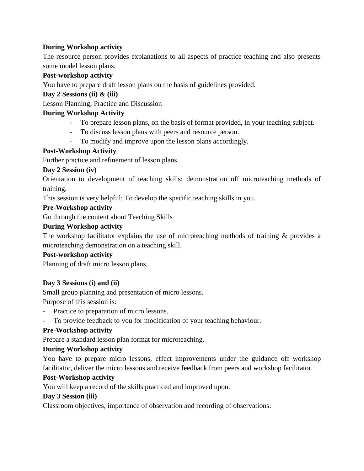## **During Workshop activity**

The resource person provides explanations to all aspects of practice teaching and also presents some model lesson plans.

## **Post-workshop activity**

You have to prepare draft lesson plans on the basis of guidelines provided.

## **Day 2 Sessions (ii) & (iii)**

Lesson Planning; Practice and Discussion

### **During Workshop Activity**

- To prepare lesson plans, on the basis of format provided, in your teaching subject.
- To discuss lesson plans with peers and resource person.
- To modify and improve upon the lesson plans accordingly.

#### **Post-Workshop Activity**

Further practice and refinement of lesson plans.

#### **Day 2 Session (iv)**

Orientation to development of teaching skills: demonstration off microteaching methods of training.

This session is very helpful: To develop the specific teaching skills in you.

#### **Pre-Workshop activity**

Go through the content about Teaching Skills

#### **During Workshop activity**

The workshop facilitator explains the use of microteaching methods of training & provides a microteaching demonstration on a teaching skill.

#### **Post-workshop activity**

Planning of draft micro lesson plans.

## **Day 3 Sessions (i) and (ii)**

Small group planning and presentation of micro lessons.

Purpose of this session is:

- Practice to preparation of micro lessons.
- To provide feedback to you for modification of your teaching behaviour.

## **Pre-Workshop activity**

Prepare a standard lesson plan format for microteaching.

#### **During Workshop activity**

You have to prepare micro lessons, effect improvements under the guidance off workshop facilitator, deliver the micro lessons and receive feedback from peers and workshop facilitator.

#### **Post-Workshop activity**

You will keep a record of the skills practiced and improved upon.

#### **Day 3 Session (iii)**

Classroom objectives, importance of observation and recording of observations: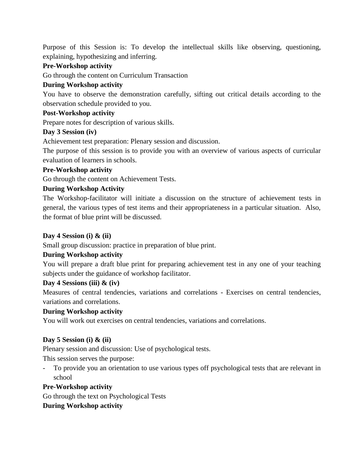Purpose of this Session is: To develop the intellectual skills like observing, questioning, explaining, hypothesizing and inferring.

## **Pre-Workshop activity**

Go through the content on Curriculum Transaction

## **During Workshop activity**

You have to observe the demonstration carefully, sifting out critical details according to the observation schedule provided to you.

## **Post-Workshop activity**

Prepare notes for description of various skills.

## **Day 3 Session (iv)**

Achievement test preparation: Plenary session and discussion.

The purpose of this session is to provide you with an overview of various aspects of curricular evaluation of learners in schools.

## **Pre-Workshop activity**

Go through the content on Achievement Tests.

## **During Workshop Activity**

The Workshop-facilitator will initiate a discussion on the structure of achievement tests in general, the various types of test items and their appropriateness in a particular situation. Also, the format of blue print will be discussed.

## **Day 4 Session (i) & (ii)**

Small group discussion: practice in preparation of blue print.

## **During Workshop activity**

You will prepare a draft blue print for preparing achievement test in any one of your teaching subjects under the guidance of workshop facilitator.

## **Day 4 Sessions (iii) & (iv)**

Measures of central tendencies, variations and correlations - Exercises on central tendencies, variations and correlations.

## **During Workshop activity**

You will work out exercises on central tendencies, variations and correlations.

## **Day 5 Session (i) & (ii)**

Plenary session and discussion: Use of psychological tests.

This session serves the purpose:

- To provide you an orientation to use various types off psychological tests that are relevant in school

## **Pre-Workshop activity**

Go through the text on Psychological Tests

## **During Workshop activity**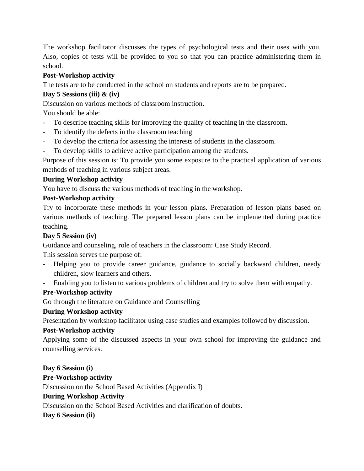The workshop facilitator discusses the types of psychological tests and their uses with you. Also, copies of tests will be provided to you so that you can practice administering them in school.

## **Post-Workshop activity**

The tests are to be conducted in the school on students and reports are to be prepared.

## **Day 5 Sessions (iii) & (iv)**

Discussion on various methods of classroom instruction.

You should be able:

- To describe teaching skills for improving the quality of teaching in the classroom.
- To identify the defects in the classroom teaching
- To develop the criteria for assessing the interests of students in the classroom.
- To develop skills to achieve active participation among the students.

Purpose of this session is: To provide you some exposure to the practical application of various methods of teaching in various subject areas.

## **During Workshop activity**

You have to discuss the various methods of teaching in the workshop.

#### **Post-Workshop activity**

Try to incorporate these methods in your lesson plans. Preparation of lesson plans based on various methods of teaching. The prepared lesson plans can be implemented during practice teaching.

## **Day 5 Session (iv)**

Guidance and counseling, role of teachers in the classroom: Case Study Record.

This session serves the purpose of:

- Helping you to provide career guidance, guidance to socially backward children, needy children, slow learners and others.
- Enabling you to listen to various problems of children and try to solve them with empathy.

## **Pre-Workshop activity**

Go through the literature on Guidance and Counselling

## **During Workshop activity**

Presentation by workshop facilitator using case studies and examples followed by discussion.

## **Post-Workshop activity**

Applying some of the discussed aspects in your own school for improving the guidance and counselling services.

**Day 6 Session (i)**

## **Pre-Workshop activity**

Discussion on the School Based Activities (Appendix I)

## **During Workshop Activity**

Discussion on the School Based Activities and clarification of doubts.

**Day 6 Session (ii)**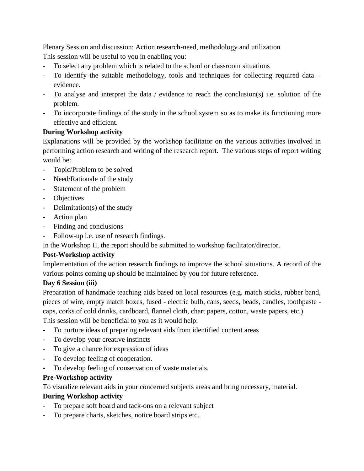Plenary Session and discussion: Action research-need, methodology and utilization This session will be useful to you in enabling you:

- To select any problem which is related to the school or classroom situations
- To identify the suitable methodology, tools and techniques for collecting required data evidence.
- To analyse and interpret the data / evidence to reach the conclusion(s) i.e. solution of the problem.
- To incorporate findings of the study in the school system so as to make its functioning more effective and efficient.

## **During Workshop activity**

Explanations will be provided by the workshop facilitator on the various activities involved in performing action research and writing of the research report. The various steps of report writing would be:

- Topic/Problem to be solved
- Need/Rationale of the study
- Statement of the problem
- Objectives
- Delimitation(s) of the study
- Action plan
- Finding and conclusions
- Follow-up i.e. use of research findings.

In the Workshop II, the report should be submitted to workshop facilitator/director.

## **Post-Workshop activity**

Implementation of the action research findings to improve the school situations. A record of the various points coming up should be maintained by you for future reference.

## **Day 6 Session (iii)**

Preparation of handmade teaching aids based on local resources (e.g. match sticks, rubber band, pieces of wire, empty match boxes, fused - electric bulb, cans, seeds, beads, candles, toothpaste caps, corks of cold drinks, cardboard, flannel cloth, chart papers, cotton, waste papers, etc.)

This session will be beneficial to you as it would help:

- To nurture ideas of preparing relevant aids from identified content areas
- To develop your creative instincts
- To give a chance for expression of ideas
- To develop feeling of cooperation.
- To develop feeling of conservation of waste materials.

## **Pre-Workshop activity**

To visualize relevant aids in your concerned subjects areas and bring necessary, material.

## **During Workshop activity**

- To prepare soft board and tack-ons on a relevant subject
- To prepare charts, sketches, notice board strips etc.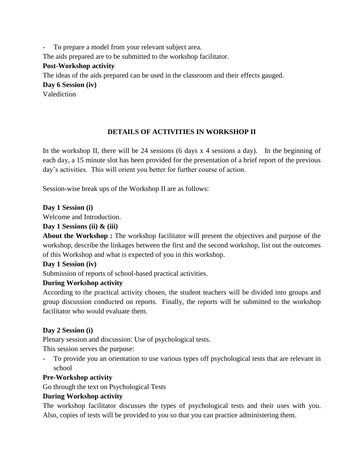To prepare a model from your relevant subject area. The aids prepared are to be submitted to the workshop facilitator. **Post-Workshop activity** The ideas of the aids prepared can be used in the classroom and their effects gauged. **Day 6 Session (iv)** Valediction

## **DETAILS OF ACTIVITIES IN WORKSHOP II**

In the workshop II, there will be 24 sessions (6 days  $x$  4 sessions a day). In the beginning of each day, a 15 minute slot has been provided for the presentation of a brief report of the previous day's activities. This will orient you better for further course of action.

Session-wise break ups of the Workshop II are as follows:

**Day 1 Session (i)**

Welcome and Introduction.

#### **Day 1 Sessions (ii) & (iii)**

**About the Workshop :** The workshop facilitator will present the objectives and purpose of the workshop, describe the linkages between the first and the second workshop, list out the outcomes of this Workshop and what is expected of you in this workshop.

#### **Day 1 Session (iv)**

Submission of reports of school-based practical activities.

## **During Workshop activity**

According to the practical activity chosen, the student teachers will be divided into groups and group discussion conducted on reports. Finally, the reports will be submitted to the workshop facilitator who would evaluate them.

## **Day 2 Session (i)**

Plenary session and discussion: Use of psychological tests.

This session serves the purpose:

- To provide you an orientation to use various types off psychological tests that are relevant in school

## **Pre-Workshop activity**

Go through the text on Psychological Tests

## **During Workshop activity**

The workshop facilitator discusses the types of psychological tests and their uses with you. Also, copies of tests will be provided to you so that you can practice administering them.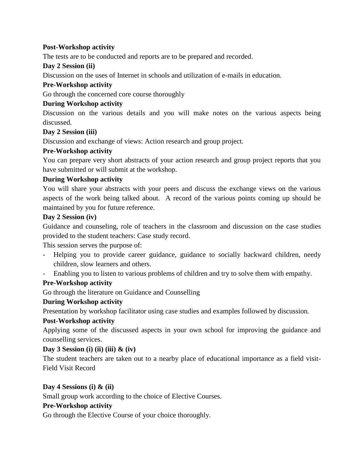## **Post-Workshop activity**

The tests are to be conducted and reports are to be prepared and recorded.

## **Day 2 Session (ii)**

Discussion on the uses of Internet in schools and utilization of e-mails in education.

## **Pre-Workshop activity**

Go through the concerned core course thoroughly

## **During Workshop activity**

Discussion on the various details and you will make notes on the various aspects being discussed.

## **Day 2 Session (iii)**

Discussion and exchange of views: Action research and group project.

## **Pre-Workshop activity**

You can prepare very short abstracts of your action research and group project reports that you have submitted or will submit at the workshop.

## **During Workshop activity**

You will share your abstracts with your peers and discuss the exchange views on the various aspects of the work being talked about. A record of the various points coming up should be maintained by you for future reference.

## **Day 2 Session (iv)**

Guidance and counseling, role of teachers in the classroom and discussion on the case studies provided to the student teachers: Case study record.

This session serves the purpose of:

- Helping you to provide career guidance, guidance to socially backward children, needy children, slow learners and others.
- Enabling you to listen to various problems of children and try to solve them with empathy.

## **Pre-Workshop activity**

Go through the literature on Guidance and Counselling

## **During Workshop activity**

Presentation by workshop facilitator using case studies and examples followed by discussion.

## **Post-Workshop activity**

Applying some of the discussed aspects in your own school for improving the guidance and counselling services.

## **Day 3 Session (i) (ii) (iii) & (iv)**

The student teachers are taken out to a nearby place of educational importance as a field visit-Field Visit Record

## **Day 4 Sessions (i) & (ii)**

Small group work according to the choice of Elective Courses.

## **Pre-Workshop activity**

Go through the Elective Course of your choice thoroughly.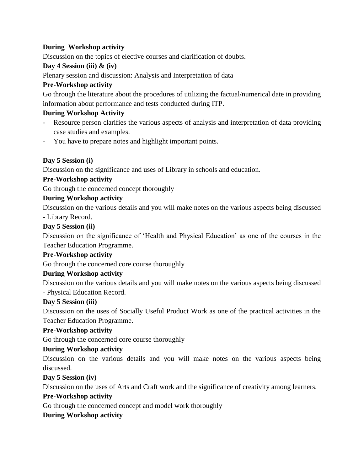## **During Workshop activity**

Discussion on the topics of elective courses and clarification of doubts.

## **Day 4 Session (iii) & (iv)**

Plenary session and discussion: Analysis and Interpretation of data

## **Pre-Workshop activity**

Go through the literature about the procedures of utilizing the factual/numerical date in providing information about performance and tests conducted during ITP.

## **During Workshop Activity**

- Resource person clarifies the various aspects of analysis and interpretation of data providing case studies and examples.
- You have to prepare notes and highlight important points.

## **Day 5 Session (i)**

Discussion on the significance and uses of Library in schools and education.

## **Pre-Workshop activity**

Go through the concerned concept thoroughly

## **During Workshop activity**

Discussion on the various details and you will make notes on the various aspects being discussed - Library Record.

## **Day 5 Session (ii)**

Discussion on the significance of 'Health and Physical Education' as one of the courses in the Teacher Education Programme.

## **Pre-Workshop activity**

Go through the concerned core course thoroughly

## **During Workshop activity**

Discussion on the various details and you will make notes on the various aspects being discussed - Physical Education Record.

## **Day 5 Session (iii)**

Discussion on the uses of Socially Useful Product Work as one of the practical activities in the Teacher Education Programme.

## **Pre-Workshop activity**

Go through the concerned core course thoroughly

## **During Workshop activity**

Discussion on the various details and you will make notes on the various aspects being discussed.

## **Day 5 Session (iv)**

Discussion on the uses of Arts and Craft work and the significance of creativity among learners.

## **Pre-Workshop activity**

Go through the concerned concept and model work thoroughly

## **During Workshop activity**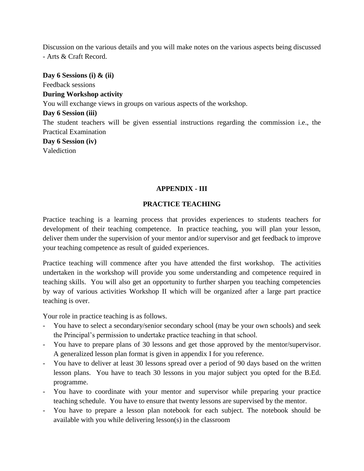Discussion on the various details and you will make notes on the various aspects being discussed - Arts & Craft Record.

**Day 6 Sessions (i) & (ii)** Feedback sessions **During Workshop activity** You will exchange views in groups on various aspects of the workshop. **Day 6 Session (iii)** The student teachers will be given essential instructions regarding the commission i.e., the Practical Examination

**Day 6 Session (iv)** Valediction

## **APPENDIX - III**

## **PRACTICE TEACHING**

Practice teaching is a learning process that provides experiences to students teachers for development of their teaching competence. In practice teaching, you will plan your lesson, deliver them under the supervision of your mentor and/or supervisor and get feedback to improve your teaching competence as result of guided experiences.

Practice teaching will commence after you have attended the first workshop. The activities undertaken in the workshop will provide you some understanding and competence required in teaching skills. You will also get an opportunity to further sharpen you teaching competencies by way of various activities Workshop II which will be organized after a large part practice teaching is over.

Your role in practice teaching is as follows.

- You have to select a secondary/senior secondary school (may be your own schools) and seek the Principal's permission to undertake practice teaching in that school.
- You have to prepare plans of 30 lessons and get those approved by the mentor/supervisor. A generalized lesson plan format is given in appendix I for you reference.
- You have to deliver at least 30 lessons spread over a period of 90 days based on the written lesson plans. You have to teach 30 lessons in you major subject you opted for the B.Ed. programme.
- You have to coordinate with your mentor and supervisor while preparing your practice teaching schedule. You have to ensure that twenty lessons are supervised by the mentor.
- You have to prepare a lesson plan notebook for each subject. The notebook should be available with you while delivering lesson(s) in the classroom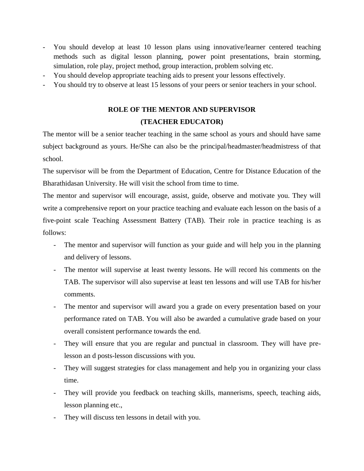- You should develop at least 10 lesson plans using innovative/learner centered teaching methods such as digital lesson planning, power point presentations, brain storming, simulation, role play, project method, group interaction, problem solving etc.
- You should develop appropriate teaching aids to present your lessons effectively.
- You should try to observe at least 15 lessons of your peers or senior teachers in your school.

# **ROLE OF THE MENTOR AND SUPERVISOR (TEACHER EDUCATOR)**

The mentor will be a senior teacher teaching in the same school as yours and should have same subject background as yours. He/She can also be the principal/headmaster/headmistress of that school.

The supervisor will be from the Department of Education, Centre for Distance Education of the Bharathidasan University. He will visit the school from time to time.

The mentor and supervisor will encourage, assist, guide, observe and motivate you. They will write a comprehensive report on your practice teaching and evaluate each lesson on the basis of a five-point scale Teaching Assessment Battery (TAB). Their role in practice teaching is as follows:

- The mentor and supervisor will function as your guide and will help you in the planning and delivery of lessons.
- The mentor will supervise at least twenty lessons. He will record his comments on the TAB. The supervisor will also supervise at least ten lessons and will use TAB for his/her comments.
- The mentor and supervisor will award you a grade on every presentation based on your performance rated on TAB. You will also be awarded a cumulative grade based on your overall consistent performance towards the end.
- They will ensure that you are regular and punctual in classroom. They will have prelesson an d posts-lesson discussions with you.
- They will suggest strategies for class management and help you in organizing your class time.
- They will provide you feedback on teaching skills, mannerisms, speech, teaching aids, lesson planning etc.,
- They will discuss ten lessons in detail with you.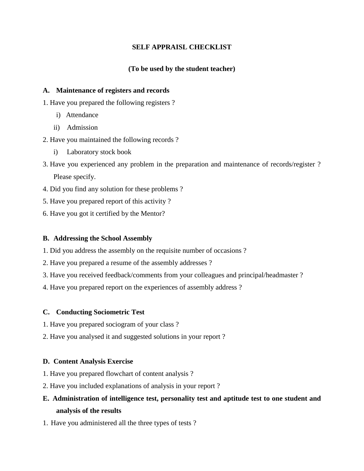### **SELF APPRAISL CHECKLIST**

### **(To be used by the student teacher)**

#### **A. Maintenance of registers and records**

1. Have you prepared the following registers ?

- i) Attendance
- ii) Admission
- 2. Have you maintained the following records ?
	- i) Laboratory stock book
- 3. Have you experienced any problem in the preparation and maintenance of records/register ? Please specify.
- 4. Did you find any solution for these problems ?
- 5. Have you prepared report of this activity ?
- 6. Have you got it certified by the Mentor?

#### **B. Addressing the School Assembly**

- 1. Did you address the assembly on the requisite number of occasions ?
- 2. Have you prepared a resume of the assembly addresses ?
- 3. Have you received feedback/comments from your colleagues and principal/headmaster ?
- 4. Have you prepared report on the experiences of assembly address ?

#### **C. Conducting Sociometric Test**

- 1. Have you prepared sociogram of your class ?
- 2. Have you analysed it and suggested solutions in your report ?

## **D. Content Analysis Exercise**

- 1. Have you prepared flowchart of content analysis ?
- 2. Have you included explanations of analysis in your report ?
- **E. Administration of intelligence test, personality test and aptitude test to one student and analysis of the results**
- 1. Have you administered all the three types of tests ?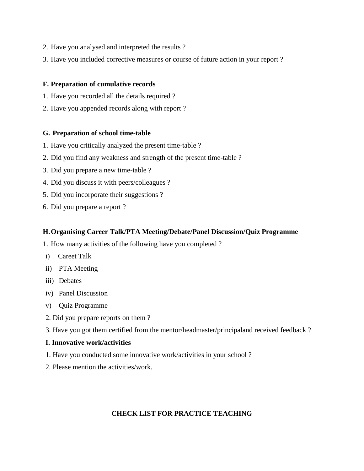- 2. Have you analysed and interpreted the results ?
- 3. Have you included corrective measures or course of future action in your report ?

#### **F. Preparation of cumulative records**

- 1. Have you recorded all the details required ?
- 2. Have you appended records along with report ?

#### **G. Preparation of school time-table**

- 1. Have you critically analyzed the present time-table ?
- 2. Did you find any weakness and strength of the present time-table ?
- 3. Did you prepare a new time-table ?
- 4. Did you discuss it with peers/colleagues ?
- 5. Did you incorporate their suggestions ?
- 6. Did you prepare a report ?

#### **H.Organising Career Talk/PTA Meeting/Debate/Panel Discussion/Quiz Programme**

1. How many activities of the following have you completed ?

- i) Careet Talk
- ii) PTA Meeting
- iii) Debates
- iv) Panel Discussion
- v) Quiz Programme
- 2. Did you prepare reports on them ?
- 3. Have you got them certified from the mentor/headmaster/principaland received feedback ?

#### **I. Innovative work/activities**

- 1. Have you conducted some innovative work/activities in your school ?
- 2. Please mention the activities/work.

#### **CHECK LIST FOR PRACTICE TEACHING**